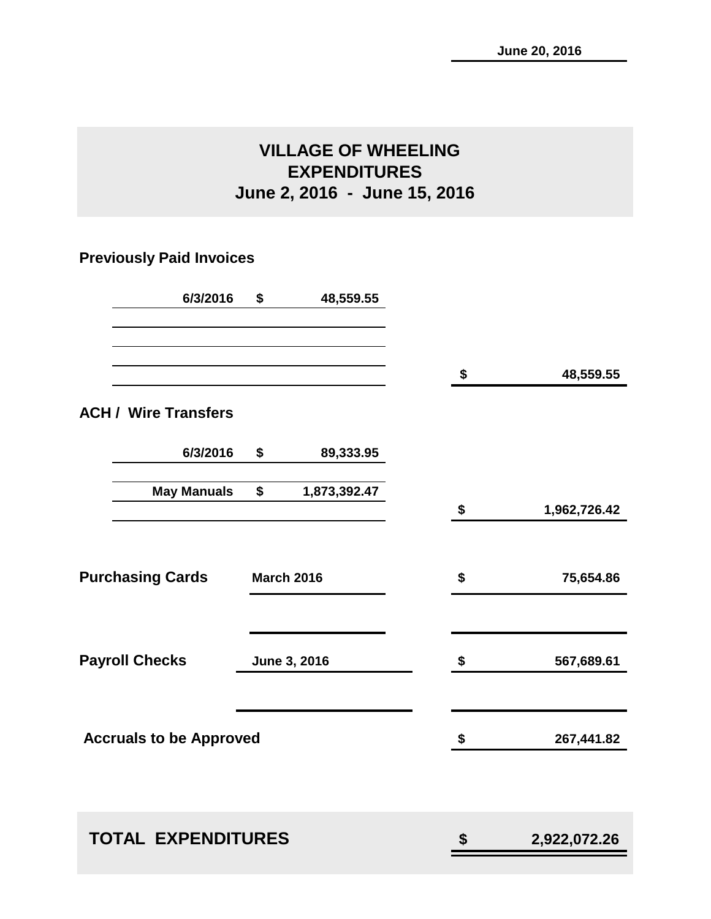# **VILLAGE OF WHEELING EXPENDITURES June 2, 2016 - June 15, 2016**

# **Previously Paid Invoices**

| 6/3/2016                       | \$<br>48,559.55    |    |              |
|--------------------------------|--------------------|----|--------------|
|                                |                    | \$ | 48,559.55    |
| <b>ACH / Wire Transfers</b>    |                    |    |              |
| 6/3/2016                       | \$<br>89,333.95    |    |              |
| <b>May Manuals</b>             | \$<br>1,873,392.47 | \$ | 1,962,726.42 |
|                                |                    |    |              |
| <b>Purchasing Cards</b>        | <b>March 2016</b>  | \$ | 75,654.86    |
| <b>Payroll Checks</b>          | June 3, 2016       | \$ | 567,689.61   |
|                                |                    |    |              |
| <b>Accruals to be Approved</b> |                    | \$ | 267,441.82   |
|                                |                    |    |              |
| <b>TOTAL EXPENDITURES</b>      |                    | \$ | 2,922,072.26 |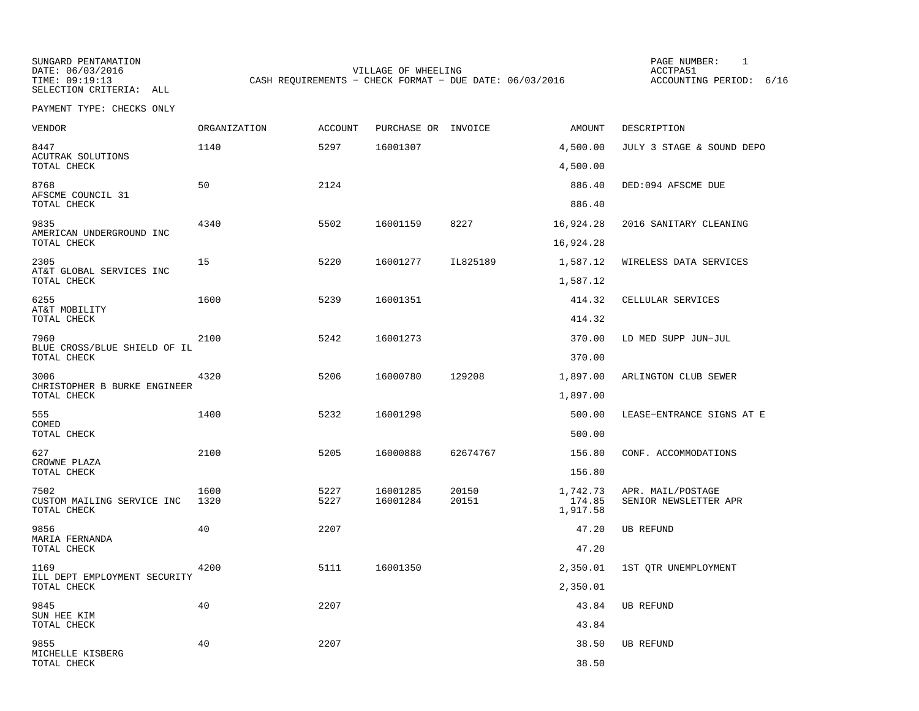SUNGARD PENTAMATION PAGE NUMBER: 1SELECTION CRITERIA: ALL

DATE:  $06/03/2016$  ACCTPA51 TIME: 09:19:13 CASH REQUIREMENTS - CHECK FORMAT - DUE DATE: 06/03/2016

ACCOUNTING PERIOD: 6/16

| <b>VENDOR</b>                        | ORGANIZATION | ACCOUNT      | PURCHASE OR INVOICE  |                | AMOUNT             | DESCRIPTION                                |
|--------------------------------------|--------------|--------------|----------------------|----------------|--------------------|--------------------------------------------|
| 8447<br>ACUTRAK SOLUTIONS            | 1140         | 5297         | 16001307             |                | 4,500.00           | JULY 3 STAGE & SOUND DEPO                  |
| TOTAL CHECK                          |              |              |                      |                | 4,500.00           |                                            |
| 8768<br>AFSCME COUNCIL 31            | 50           | 2124         |                      |                | 886.40             | DED:094 AFSCME DUE                         |
| TOTAL CHECK                          |              |              |                      |                | 886.40             |                                            |
| 9835<br>AMERICAN UNDERGROUND INC     | 4340         | 5502         | 16001159             | 8227           | 16,924.28          | 2016 SANITARY CLEANING                     |
| TOTAL CHECK                          |              |              |                      |                | 16,924.28          |                                            |
| 2305<br>AT&T GLOBAL SERVICES INC     | 15           | 5220         | 16001277             | IL825189       | 1,587.12           | WIRELESS DATA SERVICES                     |
| TOTAL CHECK                          |              |              |                      |                | 1,587.12           |                                            |
| 6255<br>AT&T MOBILITY                | 1600         | 5239         | 16001351             |                | 414.32             | CELLULAR SERVICES                          |
| TOTAL CHECK                          |              |              |                      |                | 414.32             |                                            |
| 7960<br>BLUE CROSS/BLUE SHIELD OF IL | 2100         | 5242         | 16001273             |                | 370.00             | LD MED SUPP JUN-JUL                        |
| TOTAL CHECK                          |              |              |                      |                | 370.00             |                                            |
| 3006<br>CHRISTOPHER B BURKE ENGINEER | 4320         | 5206         | 16000780             | 129208         | 1,897.00           | ARLINGTON CLUB SEWER                       |
| TOTAL CHECK                          |              |              |                      |                | 1,897.00           |                                            |
| 555<br>COMED                         | 1400         | 5232         | 16001298             |                | 500.00             | LEASE-ENTRANCE SIGNS AT E                  |
| TOTAL CHECK                          |              |              |                      |                | 500.00             |                                            |
| 627<br>CROWNE PLAZA                  | 2100         | 5205         | 16000888             | 62674767       | 156.80             | CONF. ACCOMMODATIONS                       |
| TOTAL CHECK                          |              |              |                      |                | 156.80             |                                            |
| 7502<br>CUSTOM MAILING SERVICE INC   | 1600<br>1320 | 5227<br>5227 | 16001285<br>16001284 | 20150<br>20151 | 1,742.73<br>174.85 | APR. MAIL/POSTAGE<br>SENIOR NEWSLETTER APR |
| TOTAL CHECK                          |              |              |                      |                | 1,917.58           |                                            |
| 9856<br>MARIA FERNANDA               | 40           | 2207         |                      |                | 47.20              | <b>UB REFUND</b>                           |
| TOTAL CHECK                          |              |              |                      |                | 47.20              |                                            |
| 1169<br>ILL DEPT EMPLOYMENT SECURITY | 4200         | 5111         | 16001350             |                | 2,350.01           | 1ST OTR UNEMPLOYMENT                       |
| TOTAL CHECK                          |              |              |                      |                | 2,350.01           |                                            |
| 9845<br>SUN HEE KIM                  | 40           | 2207         |                      |                | 43.84              | <b>UB REFUND</b>                           |
| TOTAL CHECK                          |              |              |                      |                | 43.84              |                                            |
| 9855<br>MICHELLE KISBERG             | 40           | 2207         |                      |                | 38.50              | <b>UB REFUND</b>                           |
| TOTAL CHECK                          |              |              |                      |                | 38.50              |                                            |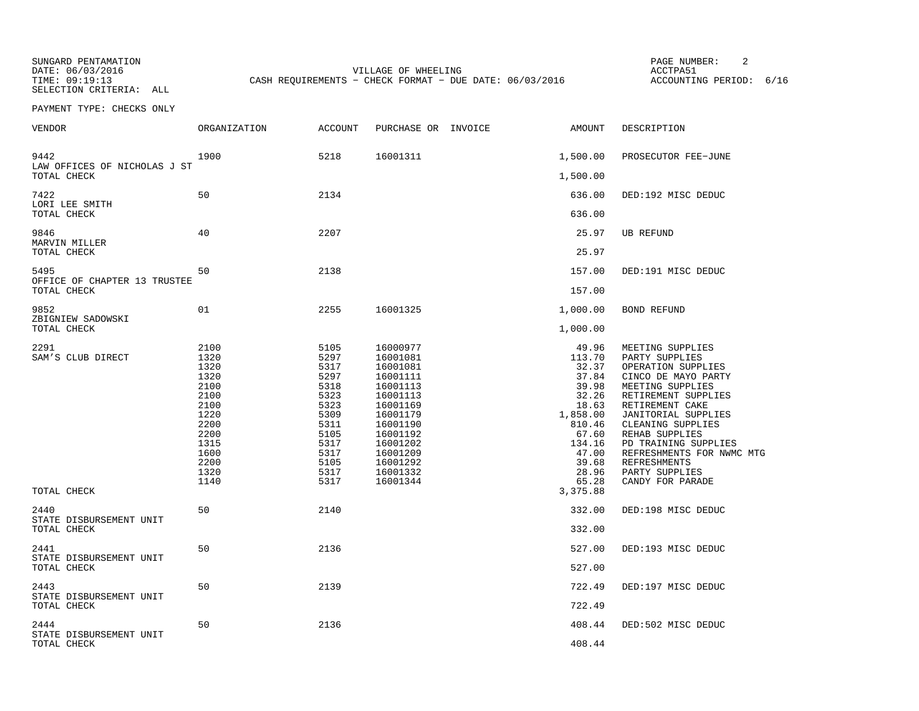SUNGARD PENTAMATION PAGE NUMBER: 2SELECTION CRITERIA: ALL

DATE:  $06/03/2016$  ACCTPA51 TIME: 09:19:13 CASH REQUIREMENTS - CHECK FORMAT - DUE DATE: 06/03/2016

ACCOUNTING PERIOD: 6/16

| VENDOR                                         | ORGANIZATION                                                                                                         | <b>ACCOUNT</b>                                                                                                       | PURCHASE OR INVOICE                                                                                                                                                              | AMOUNT                                                                                                                                    | DESCRIPTION                                                                                                                                                                                                                                                                                                                   |
|------------------------------------------------|----------------------------------------------------------------------------------------------------------------------|----------------------------------------------------------------------------------------------------------------------|----------------------------------------------------------------------------------------------------------------------------------------------------------------------------------|-------------------------------------------------------------------------------------------------------------------------------------------|-------------------------------------------------------------------------------------------------------------------------------------------------------------------------------------------------------------------------------------------------------------------------------------------------------------------------------|
| 9442<br>LAW OFFICES OF NICHOLAS J ST           | 1900                                                                                                                 | 5218                                                                                                                 | 16001311                                                                                                                                                                         | 1,500.00                                                                                                                                  | PROSECUTOR FEE-JUNE                                                                                                                                                                                                                                                                                                           |
| TOTAL CHECK                                    |                                                                                                                      |                                                                                                                      |                                                                                                                                                                                  | 1,500.00                                                                                                                                  |                                                                                                                                                                                                                                                                                                                               |
| 7422<br>LORI LEE SMITH<br>TOTAL CHECK          | 50                                                                                                                   | 2134                                                                                                                 |                                                                                                                                                                                  | 636.00<br>636.00                                                                                                                          | DED:192 MISC DEDUC                                                                                                                                                                                                                                                                                                            |
| 9846                                           | 40                                                                                                                   | 2207                                                                                                                 |                                                                                                                                                                                  | 25.97                                                                                                                                     | <b>UB REFUND</b>                                                                                                                                                                                                                                                                                                              |
| MARVIN MILLER<br>TOTAL CHECK                   |                                                                                                                      |                                                                                                                      |                                                                                                                                                                                  | 25.97                                                                                                                                     |                                                                                                                                                                                                                                                                                                                               |
| 5495                                           | 50                                                                                                                   | 2138                                                                                                                 |                                                                                                                                                                                  | 157.00                                                                                                                                    | DED:191 MISC DEDUC                                                                                                                                                                                                                                                                                                            |
| OFFICE OF CHAPTER 13 TRUSTEE<br>TOTAL CHECK    |                                                                                                                      |                                                                                                                      |                                                                                                                                                                                  | 157.00                                                                                                                                    |                                                                                                                                                                                                                                                                                                                               |
| 9852                                           | 01                                                                                                                   | 2255                                                                                                                 | 16001325                                                                                                                                                                         | 1,000.00                                                                                                                                  | <b>BOND REFUND</b>                                                                                                                                                                                                                                                                                                            |
| ZBIGNIEW SADOWSKI<br>TOTAL CHECK               |                                                                                                                      |                                                                                                                      |                                                                                                                                                                                  | 1,000.00                                                                                                                                  |                                                                                                                                                                                                                                                                                                                               |
| 2291<br>SAM'S CLUB DIRECT                      | 2100<br>1320<br>1320<br>1320<br>2100<br>2100<br>2100<br>1220<br>2200<br>2200<br>1315<br>1600<br>2200<br>1320<br>1140 | 5105<br>5297<br>5317<br>5297<br>5318<br>5323<br>5323<br>5309<br>5311<br>5105<br>5317<br>5317<br>5105<br>5317<br>5317 | 16000977<br>16001081<br>16001081<br>16001111<br>16001113<br>16001113<br>16001169<br>16001179<br>16001190<br>16001192<br>16001202<br>16001209<br>16001292<br>16001332<br>16001344 | 49.96<br>113.70<br>32.37<br>37.84<br>39.98<br>32.26<br>18.63<br>1,858.00<br>810.46<br>67.60<br>134.16<br>47.00<br>39.68<br>28.96<br>65.28 | MEETING SUPPLIES<br>PARTY SUPPLIES<br>OPERATION SUPPLIES<br>CINCO DE MAYO PARTY<br>MEETING SUPPLIES<br>RETIREMENT SUPPLIES<br>RETIREMENT CAKE<br>JANITORIAL SUPPLIES<br>CLEANING SUPPLIES<br>REHAB SUPPLIES<br>PD TRAINING SUPPLIES<br>REFRESHMENTS FOR NWMC MTG<br><b>REFRESHMENTS</b><br>PARTY SUPPLIES<br>CANDY FOR PARADE |
| TOTAL CHECK                                    |                                                                                                                      |                                                                                                                      |                                                                                                                                                                                  | 3,375.88                                                                                                                                  |                                                                                                                                                                                                                                                                                                                               |
| 2440<br>STATE DISBURSEMENT UNIT<br>TOTAL CHECK | 50                                                                                                                   | 2140                                                                                                                 |                                                                                                                                                                                  | 332.00<br>332.00                                                                                                                          | DED:198 MISC DEDUC                                                                                                                                                                                                                                                                                                            |
| 2441<br>STATE DISBURSEMENT UNIT<br>TOTAL CHECK | 50                                                                                                                   | 2136                                                                                                                 |                                                                                                                                                                                  | 527.00<br>527.00                                                                                                                          | DED:193 MISC DEDUC                                                                                                                                                                                                                                                                                                            |
| 2443<br>STATE DISBURSEMENT UNIT<br>TOTAL CHECK | 50                                                                                                                   | 2139                                                                                                                 |                                                                                                                                                                                  | 722.49<br>722.49                                                                                                                          | DED:197 MISC DEDUC                                                                                                                                                                                                                                                                                                            |
| 2444<br>STATE DISBURSEMENT UNIT<br>TOTAL CHECK | 50                                                                                                                   | 2136                                                                                                                 |                                                                                                                                                                                  | 408.44<br>408.44                                                                                                                          | DED:502 MISC DEDUC                                                                                                                                                                                                                                                                                                            |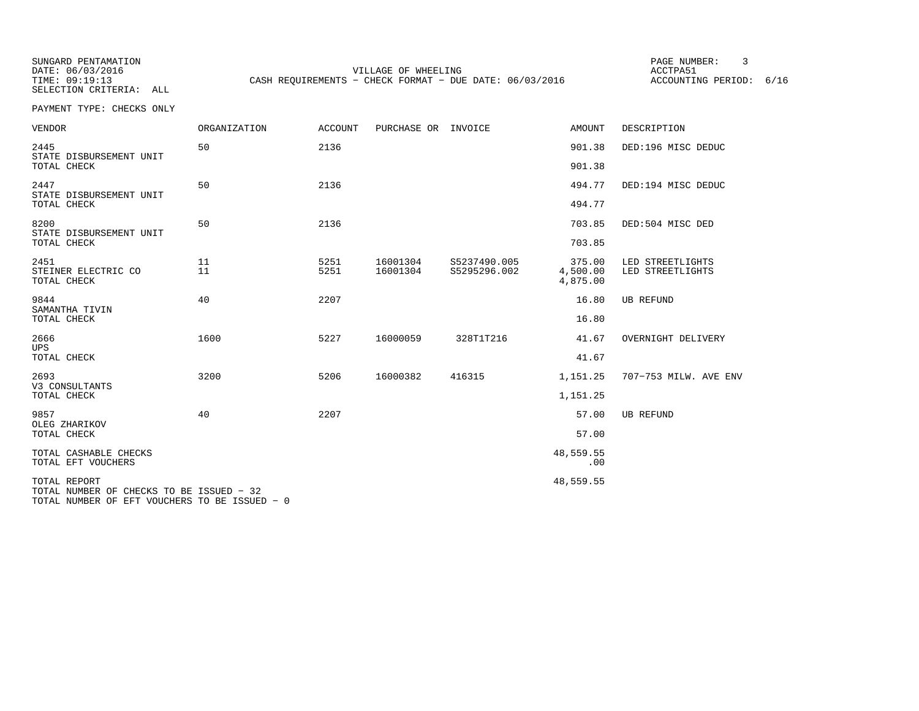SUNGARD PENTAMATION PAGE NUMBER: 3SELECTION CRITERIA: ALL

DATE:  $06/03/2016$  ACCTPA51 TIME: 09:19:13 CASH REQUIREMENTS - CHECK FORMAT - DUE DATE: 06/03/2016

ACCOUNTING PERIOD: 6/16

PAYMENT TYPE: CHECKS ONLY

| <b>VENDOR</b>                                            | <b>ORGANIZATION</b> | <b>ACCOUNT</b> | PURCHASE OR INVOICE  |                              | <b>AMOUNT</b>                  | DESCRIPTION                          |
|----------------------------------------------------------|---------------------|----------------|----------------------|------------------------------|--------------------------------|--------------------------------------|
| 2445<br>STATE DISBURSEMENT UNIT                          | 50                  | 2136           |                      |                              | 901.38                         | DED:196 MISC DEDUC                   |
| TOTAL CHECK                                              |                     |                |                      |                              | 901.38                         |                                      |
| 2447<br>STATE DISBURSEMENT UNIT                          | 50                  | 2136           |                      |                              | 494.77                         | DED:194 MISC DEDUC                   |
| TOTAL CHECK                                              |                     |                |                      |                              | 494.77                         |                                      |
| 8200<br>STATE DISBURSEMENT UNIT                          | 50                  | 2136           |                      |                              | 703.85                         | DED:504 MISC DED                     |
| TOTAL CHECK                                              |                     |                |                      |                              | 703.85                         |                                      |
| 2451<br>STEINER ELECTRIC CO<br>TOTAL CHECK               | 11<br>11            | 5251<br>5251   | 16001304<br>16001304 | S5237490.005<br>S5295296.002 | 375.00<br>4,500.00<br>4,875.00 | LED STREETLIGHTS<br>LED STREETLIGHTS |
| 9844                                                     | 40                  | 2207           |                      |                              | 16.80                          | <b>UB REFUND</b>                     |
| SAMANTHA TIVIN<br>TOTAL CHECK                            |                     |                |                      |                              | 16.80                          |                                      |
| 2666                                                     | 1600                | 5227           | 16000059             | 328T1T216                    | 41.67                          | OVERNIGHT DELIVERY                   |
| <b>UPS</b><br>TOTAL CHECK                                |                     |                |                      |                              | 41.67                          |                                      |
| 2693<br>V3 CONSULTANTS                                   | 3200                | 5206           | 16000382             | 416315                       | 1,151.25                       | 707-753 MILW. AVE ENV                |
| TOTAL CHECK                                              |                     |                |                      |                              | 1,151.25                       |                                      |
| 9857<br>OLEG ZHARIKOV                                    | 40                  | 2207           |                      |                              | 57.00                          | <b>UB REFUND</b>                     |
| TOTAL CHECK                                              |                     |                |                      |                              | 57.00                          |                                      |
| TOTAL CASHABLE CHECKS<br>TOTAL EFT VOUCHERS              |                     |                |                      |                              | 48,559.55<br>.00               |                                      |
| TOTAL REPORT<br>TOTAL NUMBER OF CHECKS TO BE ISSUED - 32 |                     |                |                      |                              | 48,559.55                      |                                      |

TOTAL NUMBER OF EFT VOUCHERS TO BE ISSUED − 0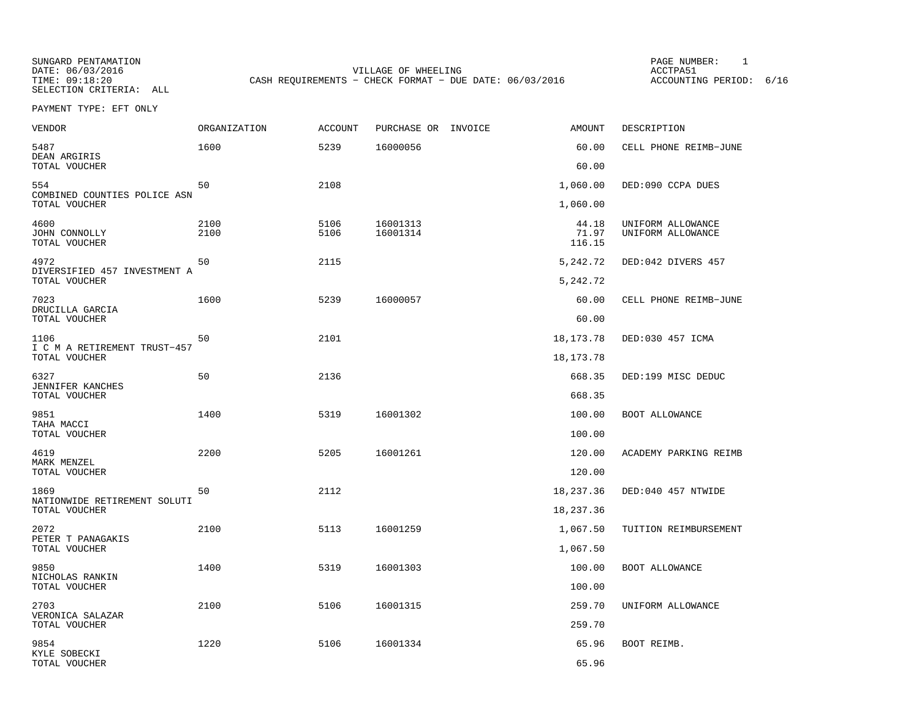SELECTION CRITERIA: ALL

SUNGARD PENTAMATION PAGE NUMBER: 1DATE: 06/03/2016 VILLAGE OF WHEELING ACCTPA51CASH REQUIREMENTS - CHECK FORMAT - DUE DATE: 06/03/2016

ACCOUNTING PERIOD: 6/16

PAYMENT TYPE: EFT ONLY

| VENDOR                                        | ORGANIZATION | <b>ACCOUNT</b> | PURCHASE OR INVOICE  | <b>AMOUNT</b>            | DESCRIPTION                            |
|-----------------------------------------------|--------------|----------------|----------------------|--------------------------|----------------------------------------|
| 5487<br>DEAN ARGIRIS                          | 1600         | 5239           | 16000056             | 60.00                    | CELL PHONE REIMB-JUNE                  |
| TOTAL VOUCHER                                 |              |                |                      | 60.00                    |                                        |
| 554<br>COMBINED COUNTIES POLICE ASN           | 50           | 2108           |                      | 1,060.00                 | DED:090 CCPA DUES                      |
| TOTAL VOUCHER                                 |              |                |                      | 1,060.00                 |                                        |
| 4600<br>JOHN CONNOLLY<br>TOTAL VOUCHER        | 2100<br>2100 | 5106<br>5106   | 16001313<br>16001314 | 44.18<br>71.97<br>116.15 | UNIFORM ALLOWANCE<br>UNIFORM ALLOWANCE |
| 4972                                          | 50           | 2115           |                      | 5,242.72                 | DED:042 DIVERS 457                     |
| DIVERSIFIED 457 INVESTMENT A<br>TOTAL VOUCHER |              |                |                      | 5,242.72                 |                                        |
| 7023                                          | 1600         | 5239           | 16000057             | 60.00                    | CELL PHONE REIMB-JUNE                  |
| DRUCILLA GARCIA<br>TOTAL VOUCHER              |              |                |                      | 60.00                    |                                        |
| 1106                                          | 50           | 2101           |                      | 18, 173. 78              | DED:030 457 ICMA                       |
| I C M A RETIREMENT TRUST-457<br>TOTAL VOUCHER |              |                |                      | 18, 173. 78              |                                        |
| 6327                                          | 50           | 2136           |                      | 668.35                   | DED:199 MISC DEDUC                     |
| JENNIFER KANCHES<br>TOTAL VOUCHER             |              |                |                      | 668.35                   |                                        |
| 9851                                          | 1400         | 5319           | 16001302             | 100.00                   | BOOT ALLOWANCE                         |
| TAHA MACCI<br>TOTAL VOUCHER                   |              |                |                      | 100.00                   |                                        |
| 4619                                          | 2200         | 5205           | 16001261             | 120.00                   | ACADEMY PARKING REIMB                  |
| MARK MENZEL<br>TOTAL VOUCHER                  |              |                |                      | 120.00                   |                                        |
| 1869                                          | 50           | 2112           |                      | 18,237.36                | DED:040 457 NTWIDE                     |
| NATIONWIDE RETIREMENT SOLUTI<br>TOTAL VOUCHER |              |                |                      | 18,237.36                |                                        |
| 2072                                          | 2100         | 5113           | 16001259             | 1,067.50                 | TUITION REIMBURSEMENT                  |
| PETER T PANAGAKIS<br>TOTAL VOUCHER            |              |                |                      | 1,067.50                 |                                        |
| 9850                                          | 1400         | 5319           | 16001303             | 100.00                   | BOOT ALLOWANCE                         |
| NICHOLAS RANKIN<br>TOTAL VOUCHER              |              |                |                      | 100.00                   |                                        |
| 2703                                          | 2100         | 5106           | 16001315             | 259.70                   | UNIFORM ALLOWANCE                      |
| VERONICA SALAZAR<br>TOTAL VOUCHER             |              |                |                      | 259.70                   |                                        |
| 9854                                          | 1220         | 5106           | 16001334             | 65.96                    | BOOT REIMB.                            |
| KYLE SOBECKI<br>TOTAL VOUCHER                 |              |                |                      | 65.96                    |                                        |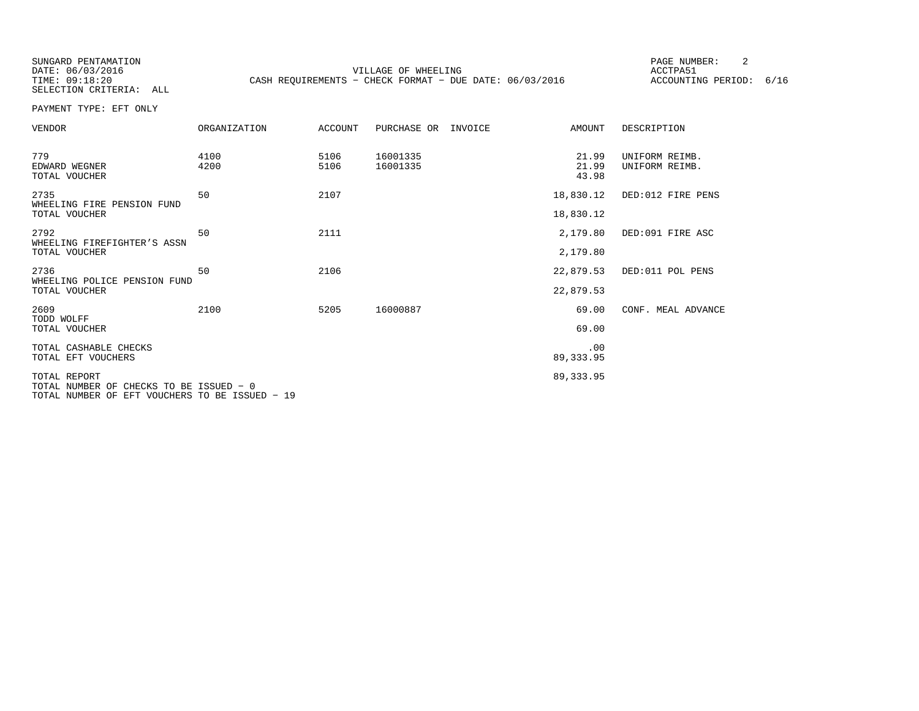SUNGARD PENTAMATION PAGE NUMBER: 2SELECTION CRITERIA: ALL

DATE:  $06/03/2016$  ACCTPA51 TIME: 09:18:20 CASH REQUIREMENTS - CHECK FORMAT - DUE DATE: 06/03/2016

ACCOUNTING PERIOD: 6/16

PAYMENT TYPE: EFT ONLY

| ORGANIZATION                            | <b>ACCOUNT</b>                                 | PURCHASE OR          | AMOUNT                  | DESCRIPTION                                                                  |
|-----------------------------------------|------------------------------------------------|----------------------|-------------------------|------------------------------------------------------------------------------|
| 4100<br>4200                            | 5106<br>5106                                   | 16001335<br>16001335 | 21.99<br>21.99<br>43.98 | UNIFORM REIMB.<br>UNIFORM REIMB.                                             |
| 50                                      | 2107                                           |                      |                         | DED:012 FIRE PENS                                                            |
|                                         |                                                |                      |                         |                                                                              |
| 50                                      | 2111                                           |                      | 2,179.80                | DED:091 FIRE ASC                                                             |
|                                         |                                                |                      | 2,179.80                |                                                                              |
| 50                                      | 2106                                           |                      |                         | DED:011 POL PENS                                                             |
|                                         |                                                |                      |                         |                                                                              |
| 2100                                    | 5205                                           | 16000887             | 69.00                   | CONF. MEAL ADVANCE                                                           |
|                                         |                                                |                      | 69.00                   |                                                                              |
|                                         |                                                |                      | .00                     |                                                                              |
|                                         |                                                |                      |                         |                                                                              |
| TOTAL NUMBER OF CHECKS TO BE ISSUED - 0 |                                                |                      |                         |                                                                              |
|                                         | TOTAL NUMBER OF EFT VOUCHERS TO BE ISSUED - 19 |                      | INVOICE                 | 18,830.12<br>18,830.12<br>22,879.53<br>22,879.53<br>89, 333.95<br>89, 333.95 |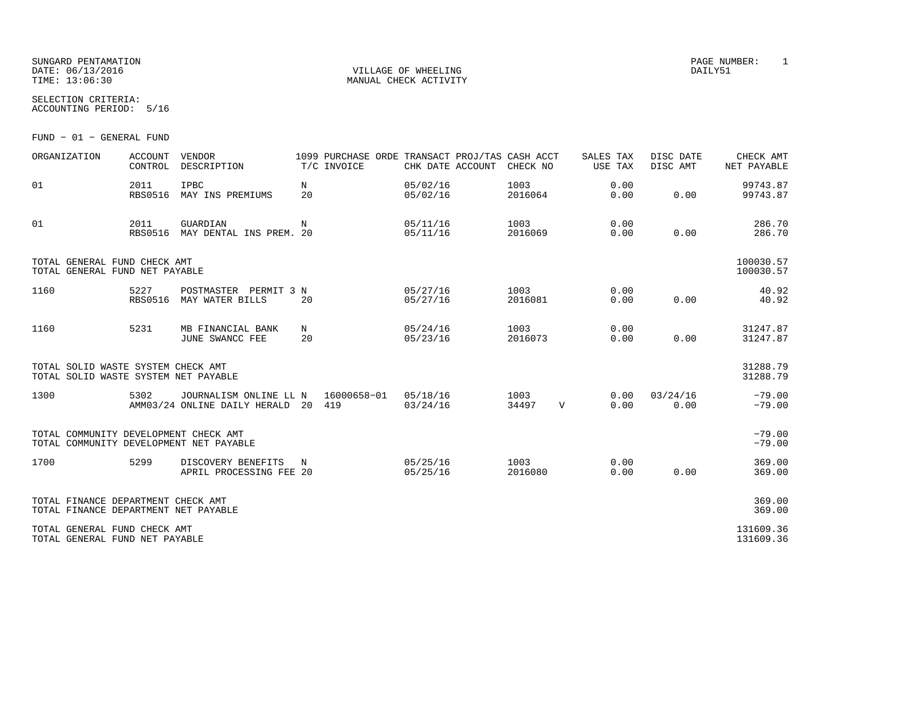# SUNGARD PENTAMATION PAGE NUMBER: 1 DATE: 06/13/2016 VILLAGE OF WHEELING DAILY51

SELECTION CRITERIA:

ACCOUNTING PERIOD: 5/16

FUND − 01 − GENERAL FUND

| ORGANIZATION                                                                     | <b>ACCOUNT</b><br>CONTROL | VENDOR<br>DESCRIPTION                                         |         | 1099 PURCHASE ORDE TRANSACT PROJ/TAS CASH ACCT<br>T/C INVOICE | CHK DATE ACCOUNT     | CHECK NO        |             | SALES TAX<br>USE TAX | DISC DATE<br>DISC AMT | CHECK AMT<br>NET PAYABLE |
|----------------------------------------------------------------------------------|---------------------------|---------------------------------------------------------------|---------|---------------------------------------------------------------|----------------------|-----------------|-------------|----------------------|-----------------------|--------------------------|
| 01                                                                               | 2011<br>RBS0516           | <b>IPBC</b><br>MAY INS PREMIUMS                               | N<br>20 |                                                               | 05/02/16<br>05/02/16 | 1003<br>2016064 |             | 0.00<br>0.00         | 0.00                  | 99743.87<br>99743.87     |
| 01                                                                               | 2011<br><b>RBS0516</b>    | GUARDIAN<br>MAY DENTAL INS PREM. 20                           | N       |                                                               | 05/11/16<br>05/11/16 | 1003<br>2016069 |             | 0.00<br>0.00         | 0.00                  | 286.70<br>286.70         |
| TOTAL GENERAL FUND CHECK AMT<br>TOTAL GENERAL FUND NET PAYABLE                   |                           |                                                               |         |                                                               |                      |                 |             |                      |                       | 100030.57<br>100030.57   |
| 1160                                                                             | 5227<br><b>RBS0516</b>    | POSTMASTER PERMIT 3 N<br>MAY WATER BILLS                      | 20      |                                                               | 05/27/16<br>05/27/16 | 1003<br>2016081 |             | 0.00<br>0.00         | 0.00                  | 40.92<br>40.92           |
| 1160                                                                             | 5231                      | MB FINANCIAL BANK<br>JUNE SWANCC FEE                          | N<br>20 |                                                               | 05/24/16<br>05/23/16 | 1003<br>2016073 |             | 0.00<br>0.00         | 0.00                  | 31247.87<br>31247.87     |
| TOTAL SOLID WASTE SYSTEM CHECK AMT<br>TOTAL SOLID WASTE SYSTEM NET PAYABLE       |                           |                                                               |         |                                                               |                      |                 |             |                      |                       | 31288.79<br>31288.79     |
| 1300                                                                             | 5302                      | JOURNALISM ONLINE LL N<br>AMM03/24 ONLINE DAILY HERALD 20 419 |         | 16000658-01                                                   | 05/18/16<br>03/24/16 | 1003<br>34497   | $\mathbf V$ | 0.00<br>0.00         | 03/24/16<br>0.00      | $-79.00$<br>$-79.00$     |
| TOTAL COMMUNITY DEVELOPMENT CHECK AMT<br>TOTAL COMMUNITY DEVELOPMENT NET PAYABLE |                           |                                                               |         |                                                               |                      |                 |             |                      |                       | $-79.00$<br>$-79.00$     |
| 1700                                                                             | 5299                      | DISCOVERY BENEFITS<br>APRIL PROCESSING FEE 20                 | N       |                                                               | 05/25/16<br>05/25/16 | 1003<br>2016080 |             | 0.00<br>0.00         | 0.00                  | 369.00<br>369.00         |
| TOTAL FINANCE DEPARTMENT CHECK AMT<br>TOTAL FINANCE DEPARTMENT NET PAYABLE       |                           |                                                               |         |                                                               |                      |                 |             |                      |                       | 369.00<br>369.00         |
| TOTAL GENERAL FUND CHECK AMT<br>TOTAL GENERAL FUND NET PAYABLE                   |                           |                                                               |         |                                                               |                      |                 |             |                      |                       | 131609.36<br>131609.36   |

MANUAL CHECK ACTIVITY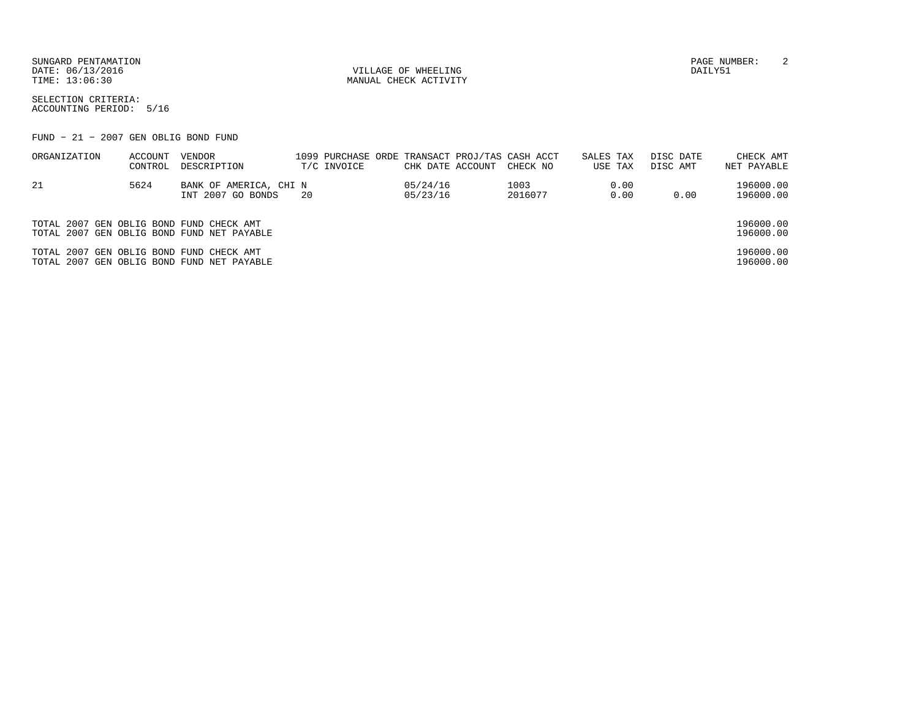DATE:  $06/13/2016$  DAILY51

TIME:  $13:06:30$  MANUAL CHECK ACTIVITY

SUNGARD PENTAMATION PAGE NUMBER: 2

SELECTION CRITERIA:ACCOUNTING PERIOD: 5/16

FUND − 21 − 2007 GEN OBLIG BOND FUND

| ORGANIZATION                             | ACCOUNT | VENDOR                                     |     |             |                  | 1099 PURCHASE ORDE TRANSACT PROJ/TAS CASH ACCT | SALES TAX |      | DISC DATE | CHECK AMT   |
|------------------------------------------|---------|--------------------------------------------|-----|-------------|------------------|------------------------------------------------|-----------|------|-----------|-------------|
|                                          | CONTROL | DESCRIPTION                                |     | T/C INVOICE | CHK DATE ACCOUNT | CHECK NO                                       | USE TAX   |      | DISC AMT  | NET PAYABLE |
| -21                                      | 5624    | BANK OF AMERICA, CHI N                     |     |             | 05/24/16         | 1003                                           |           | 0.00 |           | 196000.00   |
|                                          |         | INT 2007 GO BONDS                          | -20 |             | 05/23/16         | 2016077                                        |           | 0.00 | 0.00      | 196000.00   |
|                                          |         |                                            |     |             |                  |                                                |           |      |           |             |
| TOTAL 2007 GEN OBLIG BOND FUND CHECK AMT |         |                                            |     |             |                  |                                                |           |      |           | 196000.00   |
|                                          |         | TOTAL 2007 GEN OBLIG BOND FUND NET PAYABLE |     |             |                  |                                                |           |      |           | 196000.00   |
| TOTAL 2007 GEN OBLIG BOND FUND CHECK AMT |         |                                            |     |             |                  |                                                |           |      |           | 196000.00   |
|                                          |         | TOTAL 2007 GEN OBLIG BOND FUND NET PAYABLE |     |             |                  |                                                |           |      |           | 196000.00   |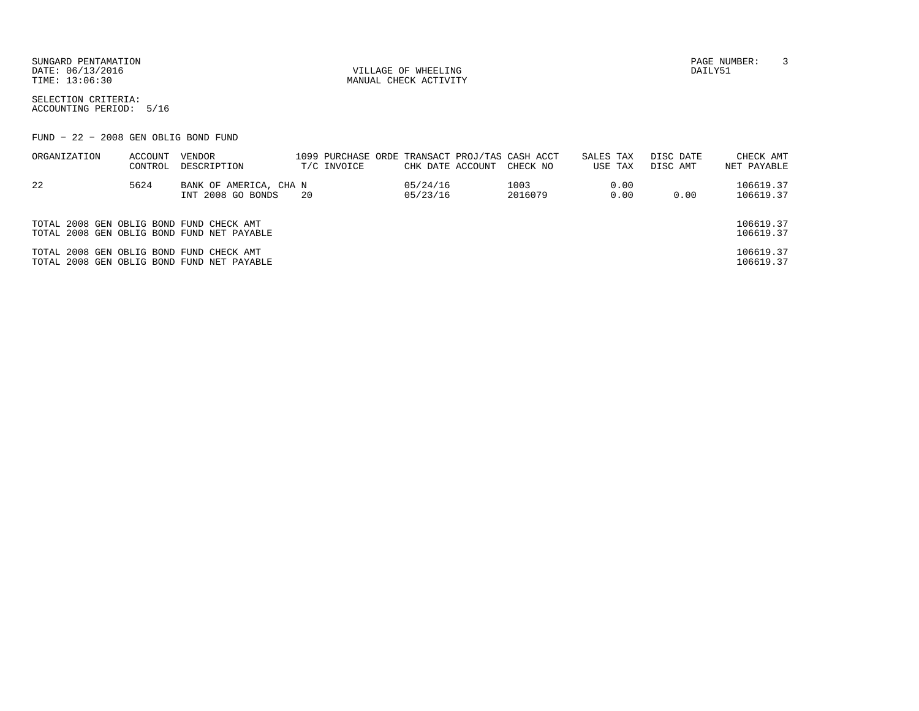SUNGARD PENTAMATION PAGE NUMBER: 3DATE:  $06/13/2016$  DAILY51

TIME:  $13:06:30$  MANUAL CHECK ACTIVITY

SELECTION CRITERIA:ACCOUNTING PERIOD: 5/16

FUND − 22 − 2008 GEN OBLIG BOND FUND

| ORGANIZATION                             | ACCOUNT<br>CONTROL | VENDOR<br>DESCRIPTION                       |     | T/C INVOICE | CHK DATE ACCOUNT     | 1099 PURCHASE ORDE TRANSACT PROJ/TAS CASH ACCT<br>CHECK NO | SALES TAX<br>USE TAX |              | DISC DATE<br>DISC AMT | CHECK AMT<br>NET PAYABLE |
|------------------------------------------|--------------------|---------------------------------------------|-----|-------------|----------------------|------------------------------------------------------------|----------------------|--------------|-----------------------|--------------------------|
| -22                                      | 5624               | BANK OF AMERICA, CHA N<br>INT 2008 GO BONDS | -20 |             | 05/24/16<br>05/23/16 | 1003<br>2016079                                            |                      | 0.00<br>0.00 | 0.00                  | 106619.37<br>106619.37   |
| TOTAL 2008 GEN OBLIG BOND FUND CHECK AMT |                    | TOTAL 2008 GEN OBLIG BOND FUND NET PAYABLE  |     |             |                      |                                                            |                      |              |                       | 106619.37<br>106619.37   |
| TOTAL 2008 GEN OBLIG BOND FUND CHECK AMT |                    | TOTAL 2008 GEN OBLIG BOND FUND NET PAYABLE  |     |             |                      |                                                            |                      |              |                       | 106619.37<br>106619.37   |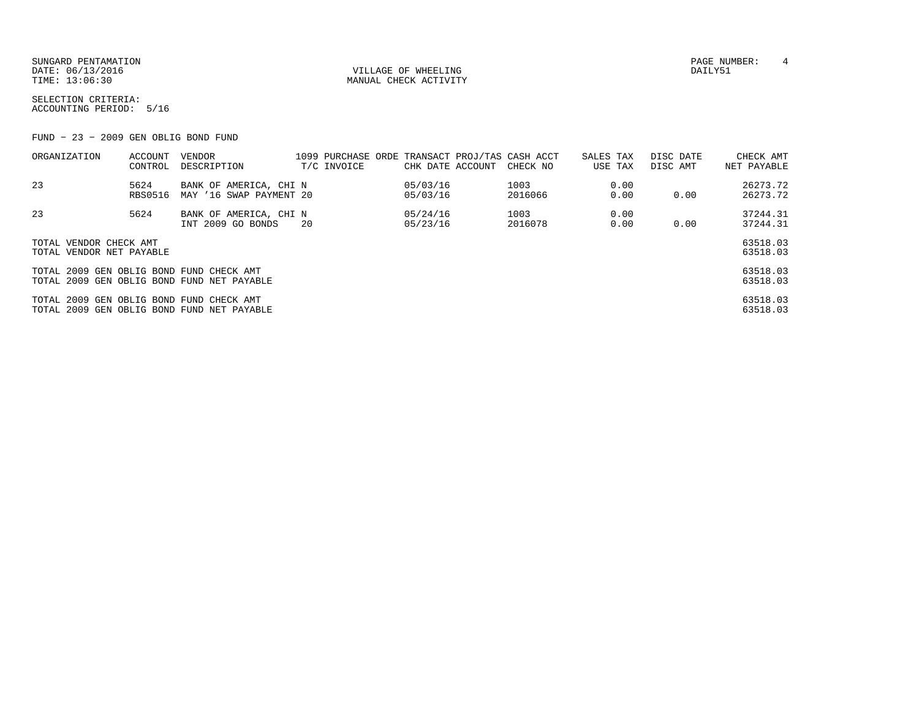SUNGARD PENTAMATION PAGE NUMBER: 4 DATE:  $06/13/2016$  DAILY51 TIME:  $13:06:30$  MANUAL CHECK ACTIVITY

SELECTION CRITERIA:ACCOUNTING PERIOD: 5/16

FUND − 23 − 2009 GEN OBLIG BOND FUND

| ORGANIZATION                             | ACCOUNT | VENDOR                                     |     |             |                  | 1099 PURCHASE ORDE TRANSACT PROJ/TAS CASH ACCT | SALES TAX | DISC DATE | CHECK AMT   |
|------------------------------------------|---------|--------------------------------------------|-----|-------------|------------------|------------------------------------------------|-----------|-----------|-------------|
|                                          | CONTROL | DESCRIPTION                                |     | T/C INVOICE | CHK DATE ACCOUNT | CHECK NO                                       | USE TAX   | DISC AMT  | NET PAYABLE |
| 23                                       | 5624    | BANK OF AMERICA, CHI N                     |     |             | 05/03/16         | 1003                                           | 0.00      |           | 26273.72    |
|                                          | RBS0516 | MAY '16 SWAP PAYMENT 20                    |     |             | 05/03/16         | 2016066                                        | 0.00      | 0.00      | 26273.72    |
| 23                                       | 5624    | BANK OF AMERICA, CHI N                     |     |             | 05/24/16         | 1003                                           | 0.00      |           | 37244.31    |
|                                          |         | INT 2009 GO BONDS                          | -20 |             | 05/23/16         | 2016078                                        | 0.00      | 0.00      | 37244.31    |
| TOTAL VENDOR CHECK AMT                   |         |                                            |     |             |                  |                                                |           |           | 63518.03    |
| TOTAL VENDOR NET PAYABLE                 |         |                                            |     |             |                  |                                                |           |           | 63518.03    |
|                                          |         |                                            |     |             |                  |                                                |           |           |             |
| TOTAL 2009 GEN OBLIG BOND FUND CHECK AMT |         |                                            |     |             |                  |                                                |           |           | 63518.03    |
|                                          |         | TOTAL 2009 GEN OBLIG BOND FUND NET PAYABLE |     |             |                  |                                                |           |           | 63518.03    |
| TOTAL 2009 GEN OBLIG BOND FUND CHECK AMT |         |                                            |     |             |                  |                                                |           |           | 63518.03    |
|                                          |         | TOTAL 2009 GEN OBLIG BOND FUND NET PAYABLE |     |             |                  |                                                |           |           | 63518.03    |
|                                          |         |                                            |     |             |                  |                                                |           |           |             |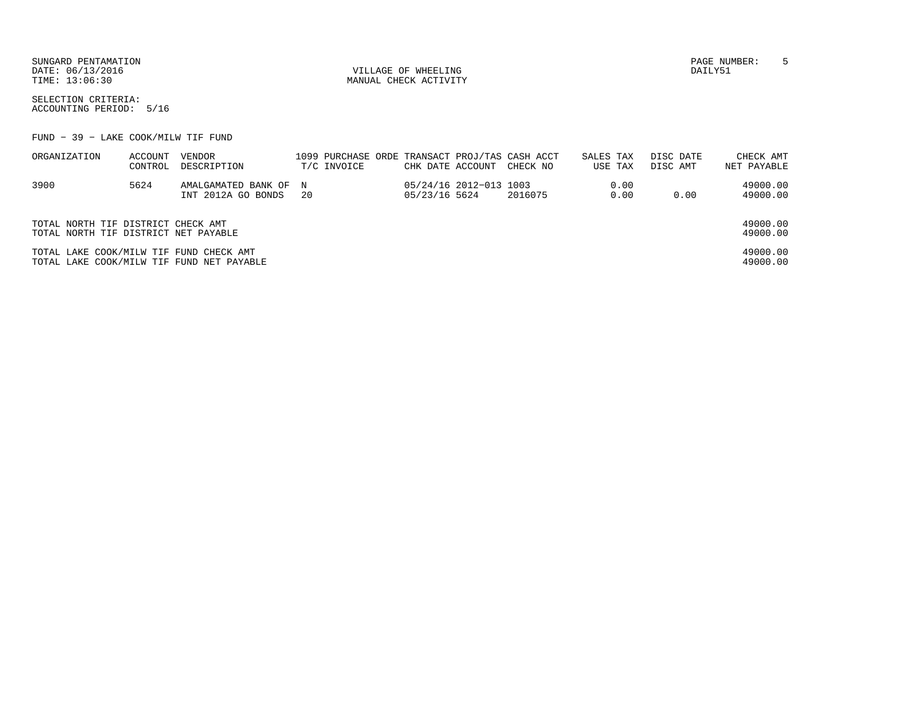SUNGARD PENTAMATION PAGE NUMBER: 5DATE:  $06/13/2016$  DAILY51

TIME:  $13:06:30$  MANUAL CHECK ACTIVITY

SELECTION CRITERIA:ACCOUNTING PERIOD: 5/16

FUND − 39 − LAKE COOK/MILW TIF FUND

| ORGANIZATION                              | ACCOUNT | VENDOR                |      |             |                  |                        | 1099 PURCHASE ORDE TRANSACT PROJ/TAS CASH ACCT | SALES TAX |         | DISC DATE | CHECK AMT   |
|-------------------------------------------|---------|-----------------------|------|-------------|------------------|------------------------|------------------------------------------------|-----------|---------|-----------|-------------|
|                                           | CONTROL | DESCRIPTION           |      | T/C INVOICE | CHK DATE ACCOUNT |                        | CHECK NO                                       |           | USE TAX | DISC AMT  | NET PAYABLE |
| 3900                                      | 5624    | AMALGAMATED BANK OF N |      |             |                  | 05/24/16 2012-013 1003 |                                                |           | 0.00    |           | 49000.00    |
|                                           |         | INT 2012A GO BONDS    | - 20 |             | 05/23/16 5624    |                        | 2016075                                        |           | 0.00    | 0.00      | 49000.00    |
| TOTAL NORTH TIF DISTRICT CHECK AMT        |         |                       |      |             |                  |                        |                                                |           |         |           | 49000.00    |
| TOTAL NORTH TIF DISTRICT NET PAYABLE      |         |                       |      |             |                  |                        |                                                |           |         |           | 49000.00    |
| TOTAL LAKE COOK/MILW TIF FUND CHECK AMT   |         |                       |      |             |                  |                        |                                                |           |         |           | 49000.00    |
| TOTAL LAKE COOK/MILW TIF FUND NET PAYABLE |         |                       |      |             |                  |                        |                                                |           |         |           | 49000.00    |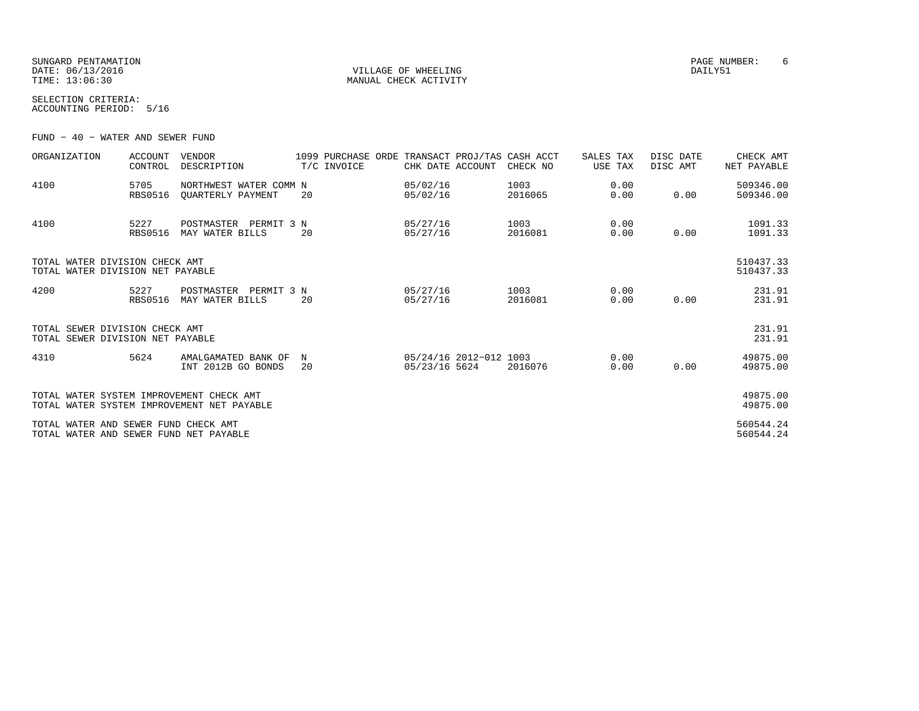SUNGARD PENTAMATION PAGE NUMBER: 6DATE:  $06/13/2016$  DAILY51 TIME:  $13:06:30$  MANUAL CHECK ACTIVITY

SELECTION CRITERIA:ACCOUNTING PERIOD: 5/16

FUND − 40 − WATER AND SEWER FUND

| ORGANIZATION                                                                   | <b>ACCOUNT</b><br>CONTROL | <b>VENDOR</b><br>DESCRIPTION                |         | 1099 PURCHASE ORDE<br>T/C INVOICE | CHK DATE ACCOUNT     |                        | TRANSACT PROJ/TAS CASH ACCT<br>CHECK NO | SALES TAX<br>USE TAX | DISC DATE<br>DISC AMT | CHECK AMT<br>NET PAYABLE |
|--------------------------------------------------------------------------------|---------------------------|---------------------------------------------|---------|-----------------------------------|----------------------|------------------------|-----------------------------------------|----------------------|-----------------------|--------------------------|
| 4100                                                                           | 5705<br><b>RBS0516</b>    | NORTHWEST WATER COMM N<br>OUARTERLY PAYMENT | 20      |                                   | 05/02/16<br>05/02/16 |                        | 1003<br>2016065                         | 0.00<br>0.00         | 0.00                  | 509346.00<br>509346.00   |
| 4100                                                                           | 5227<br><b>RBS0516</b>    | POSTMASTER<br>PERMIT 3 N<br>MAY WATER BILLS | 20      |                                   | 05/27/16<br>05/27/16 |                        | 1003<br>2016081                         | 0.00<br>0.00         | 0.00                  | 1091.33<br>1091.33       |
| TOTAL WATER DIVISION CHECK AMT<br>TOTAL WATER DIVISION NET PAYABLE             |                           |                                             |         |                                   |                      |                        |                                         |                      |                       | 510437.33<br>510437.33   |
| 4200                                                                           | 5227<br><b>RBS0516</b>    | POSTMASTER<br>PERMIT 3 N<br>MAY WATER BILLS | 20      |                                   | 05/27/16<br>05/27/16 |                        | 1003<br>2016081                         | 0.00<br>0.00         | 0.00                  | 231.91<br>231.91         |
| TOTAL SEWER DIVISION CHECK AMT<br>TOTAL SEWER DIVISION NET PAYABLE             |                           |                                             |         |                                   |                      |                        |                                         |                      |                       | 231.91<br>231.91         |
| 4310                                                                           | 5624                      | AMALGAMATED BANK OF<br>INT 2012B GO BONDS   | N<br>20 |                                   | 05/23/16 5624        | 05/24/16 2012-012 1003 | 2016076                                 | 0.00<br>0.00         | 0.00                  | 49875.00<br>49875.00     |
| TOTAL WATER SYSTEM IMPROVEMENT CHECK AMT                                       |                           | TOTAL WATER SYSTEM IMPROVEMENT NET PAYABLE  |         |                                   |                      |                        |                                         |                      |                       | 49875.00<br>49875.00     |
| TOTAL WATER AND SEWER FUND CHECK AMT<br>TOTAL WATER AND SEWER FUND NET PAYABLE |                           |                                             |         |                                   |                      |                        |                                         |                      |                       | 560544.24<br>560544.24   |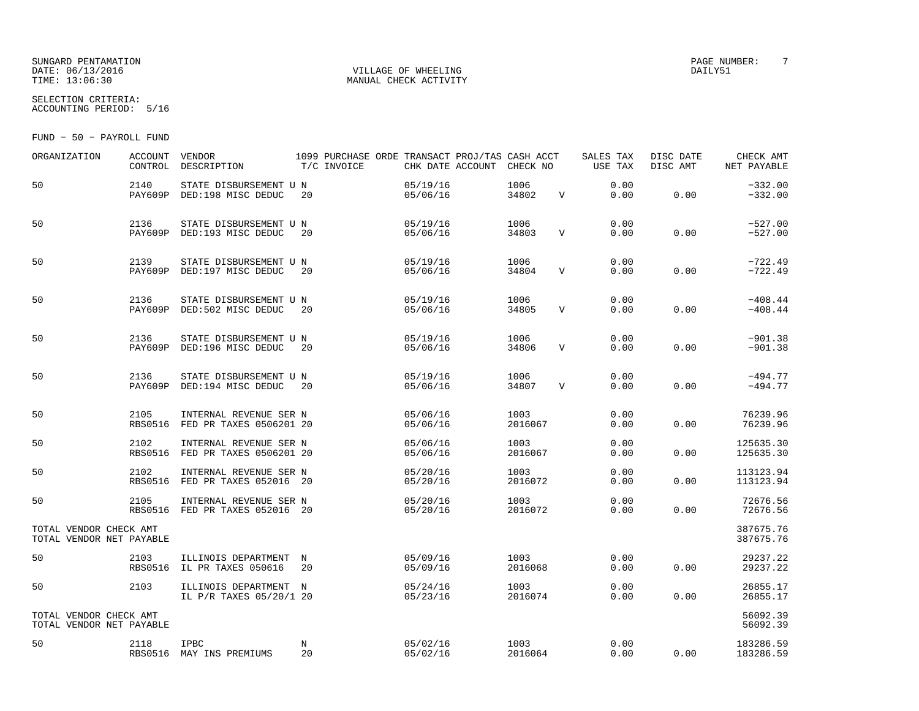# SUNGARD PENTAMATION PAGE NUMBER: T DATE: 06/13/2016 VILLAGE OF WHEELING DAILY51

SELECTION CRITERIA:

MANUAL CHECK ACTIVITY

ACCOUNTING PERIOD: 5/16

FUND − 50 − PAYROLL FUND

| ORGANIZATION                                       | <b>ACCOUNT</b><br>CONTROL | VENDOR<br>DESCRIPTION                                     | T/C INVOICE      |  | 1099 PURCHASE ORDE TRANSACT PROJ/TAS CASH ACCT<br>CHK DATE ACCOUNT | CHECK NO        |              | SALES TAX<br>USE TAX | DISC DATE<br>DISC AMT | CHECK AMT<br>NET PAYABLE |
|----------------------------------------------------|---------------------------|-----------------------------------------------------------|------------------|--|--------------------------------------------------------------------|-----------------|--------------|----------------------|-----------------------|--------------------------|
| 50                                                 | 2140<br>PAY609P           | STATE DISBURSEMENT U N<br>DED:198 MISC DEDUC              | 20               |  | 05/19/16<br>05/06/16                                               | 1006<br>34802   | $\mathbf V$  | 0.00<br>0.00         | 0.00                  | $-332.00$<br>$-332.00$   |
| 50                                                 | 2136<br>PAY609P           | STATE DISBURSEMENT U N<br>DED:193 MISC DEDUC              | 20               |  | 05/19/16<br>05/06/16                                               | 1006<br>34803   | $\mathbf{V}$ | 0.00<br>0.00         | 0.00                  | $-527.00$<br>$-527.00$   |
| 50                                                 | 2139                      | STATE DISBURSEMENT U N<br>PAY609P DED:197 MISC DEDUC      | 20               |  | 05/19/16<br>05/06/16                                               | 1006<br>34804   | $\mathbf V$  | 0.00<br>0.00         | 0.00                  | $-722.49$<br>$-722.49$   |
| 50                                                 | 2136<br>PAY609P           | STATE DISBURSEMENT U N<br>DED:502 MISC DEDUC              | 20               |  | 05/19/16<br>05/06/16                                               | 1006<br>34805   | $\mathbf{V}$ | 0.00<br>0.00         | 0.00                  | $-408.44$<br>$-408.44$   |
| 50                                                 | 2136                      | STATE DISBURSEMENT U N<br>PAY609P DED:196 MISC DEDUC      | 20               |  | 05/19/16<br>05/06/16                                               | 1006<br>34806   | $\mathbf v$  | 0.00<br>0.00         | 0.00                  | $-901.38$<br>$-901.38$   |
| 50                                                 | 2136<br>PAY609P           | STATE DISBURSEMENT U N<br>DED:194 MISC DEDUC              | 20               |  | 05/19/16<br>05/06/16                                               | 1006<br>34807   | $\mathbf v$  | 0.00<br>0.00         | 0.00                  | $-494.77$<br>$-494.77$   |
| 50                                                 | 2105<br><b>RBS0516</b>    | INTERNAL REVENUE SER N<br>FED PR TAXES 0506201 20         |                  |  | 05/06/16<br>05/06/16                                               | 1003<br>2016067 |              | 0.00<br>0.00         | 0.00                  | 76239.96<br>76239.96     |
| 50                                                 | 2102                      | INTERNAL REVENUE SER N<br>RBS0516 FED PR TAXES 0506201 20 |                  |  | 05/06/16<br>05/06/16                                               | 1003<br>2016067 |              | 0.00<br>0.00         | 0.00                  | 125635.30<br>125635.30   |
| 50                                                 | 2102<br><b>RBS0516</b>    | INTERNAL REVENUE SER N<br>FED PR TAXES 052016             | 20               |  | 05/20/16<br>05/20/16                                               | 1003<br>2016072 |              | 0.00<br>0.00         | 0.00                  | 113123.94<br>113123.94   |
| 50                                                 | 2105                      | INTERNAL REVENUE SER N<br>RBS0516 FED PR TAXES 052016 20  |                  |  | 05/20/16<br>05/20/16                                               | 1003<br>2016072 |              | 0.00<br>0.00         | 0.00                  | 72676.56<br>72676.56     |
| TOTAL VENDOR CHECK AMT<br>TOTAL VENDOR NET PAYABLE |                           |                                                           |                  |  |                                                                    |                 |              |                      |                       | 387675.76<br>387675.76   |
| 50                                                 | 2103<br><b>RBS0516</b>    | ILLINOIS DEPARTMENT<br>IL PR TAXES 050616                 | $_{\rm N}$<br>20 |  | 05/09/16<br>05/09/16                                               | 1003<br>2016068 |              | 0.00<br>0.00         | 0.00                  | 29237.22<br>29237.22     |
| 50                                                 | 2103                      | ILLINOIS DEPARTMENT N<br>IL P/R TAXES 05/20/1 20          |                  |  | 05/24/16<br>05/23/16                                               | 1003<br>2016074 |              | 0.00<br>0.00         | 0.00                  | 26855.17<br>26855.17     |
| TOTAL VENDOR CHECK AMT<br>TOTAL VENDOR NET PAYABLE |                           |                                                           |                  |  |                                                                    |                 |              |                      |                       | 56092.39<br>56092.39     |
| 50                                                 | 2118                      | <b>IPBC</b><br>RBS0516 MAY INS PREMIUMS                   | N<br>20          |  | 05/02/16<br>05/02/16                                               | 1003<br>2016064 |              | 0.00<br>0.00         | 0.00                  | 183286.59<br>183286.59   |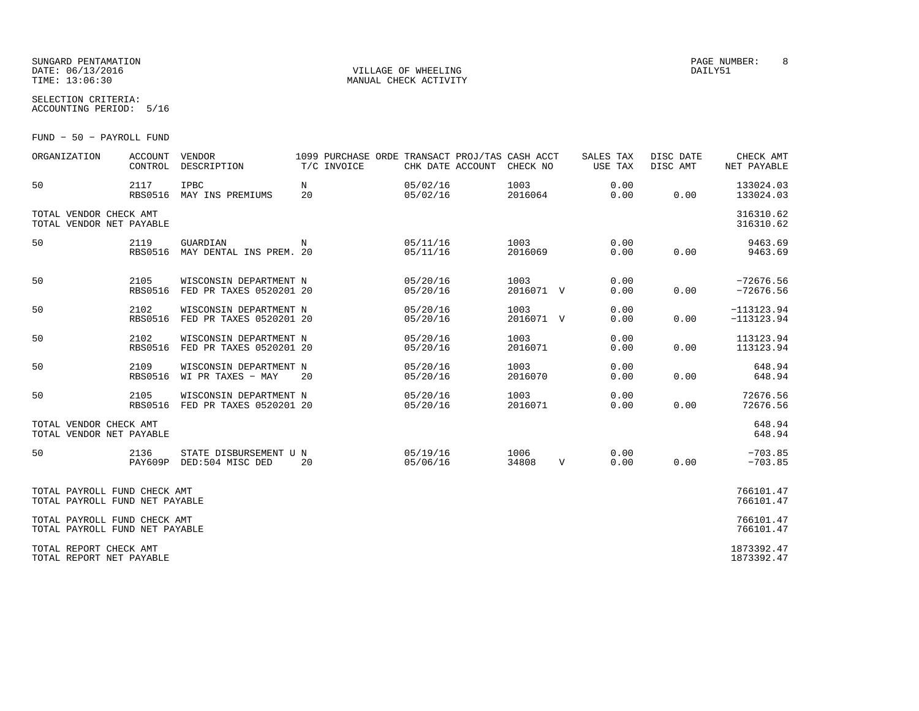# SUNGARD PENTAMATION PAGE NUMBER: 8DATE: 06/13/2016 VILLAGE OF WHEELING DAILY51

MANUAL CHECK ACTIVITY

SELECTION CRITERIA:ACCOUNTING PERIOD: 5/16

FUND − 50 − PAYROLL FUND

| ORGANIZATION                                                   | ACCOUNT                | VENDOR<br>CONTROL DESCRIPTION                               | 1099 PURCHASE ORDE TRANSACT PROJ/TAS CASH ACCT<br>T/C INVOICE |          |                      | CHK DATE ACCOUNT CHECK NO |                                         | SALES TAX<br>USE TAX | DISC DATE<br>DISC AMT | CHECK AMT<br>NET PAYABLE     |
|----------------------------------------------------------------|------------------------|-------------------------------------------------------------|---------------------------------------------------------------|----------|----------------------|---------------------------|-----------------------------------------|----------------------|-----------------------|------------------------------|
| 50                                                             | 2117                   | <b>IPBC</b><br>RBS0516 MAY INS PREMIUMS                     | $\mathbf N$<br>20                                             |          | 05/02/16             | 05/02/16                  | 1003<br>2016064                         | 0.00<br>0.00         | 0.00                  | 133024.03<br>133024.03       |
| TOTAL VENDOR CHECK AMT<br>TOTAL VENDOR NET PAYABLE             |                        |                                                             |                                                               |          |                      |                           |                                         |                      |                       | 316310.62<br>316310.62       |
| 50                                                             | 2119<br><b>RBS0516</b> | GUARDIAN<br>$\mathbb N$<br>MAY DENTAL INS PREM. 20          | 05/11/16                                                      |          | 05/11/16             |                           | 1003 and the state of $\sim$<br>2016069 | 0.00<br>0.00         | 0.00                  | 9463.69<br>9463.69           |
| 50                                                             | 2105<br><b>RBS0516</b> | WISCONSIN DEPARTMENT N<br>FED PR TAXES 0520201 20           |                                                               |          | 05/20/16<br>05/20/16 |                           | 1003<br>2016071 V                       | 0.00<br>0.00         | 0.00                  | $-72676.56$<br>$-72676.56$   |
| 50                                                             | 2102<br><b>RBS0516</b> | WISCONSIN DEPARTMENT N<br>FED PR TAXES 0520201 20           |                                                               |          | 05/20/16<br>05/20/16 |                           | 1003<br>2016071 V                       | 0.00<br>0.00         | 0.00                  | $-113123.94$<br>$-113123.94$ |
| 50                                                             | 2102<br><b>RBS0516</b> | WISCONSIN DEPARTMENT N<br>FED PR TAXES 0520201 20           |                                                               |          | 05/20/16<br>05/20/16 |                           | 1003<br>2016071                         | 0.00<br>0.00         | 0.00                  | 113123.94<br>113123.94       |
| 50                                                             | 2109<br><b>RBS0516</b> | WISCONSIN DEPARTMENT N<br>WI PR TAXES - MAY                 | 20                                                            |          | 05/20/16<br>05/20/16 |                           | 1003<br>2016070                         | 0.00<br>0.00         | 0.00                  | 648.94<br>648.94             |
| 50                                                             | 2105                   | WISCONSIN DEPARTMENT N<br>RBS0516 FED PR TAXES 0520201 20   |                                                               |          | 05/20/16<br>05/20/16 |                           | 1003<br>2016071                         | 0.00<br>0.00         | 0.00                  | 72676.56<br>72676.56         |
| TOTAL VENDOR CHECK AMT<br>TOTAL VENDOR NET PAYABLE             |                        |                                                             |                                                               |          |                      |                           |                                         |                      |                       | 648.94<br>648.94             |
| 50                                                             | 2136                   | STATE DISBURSEMENT U N 05/19/16<br>PAY609P DED:504 MISC DED | 20                                                            | 05/06/16 |                      | 1006<br>34808             |                                         | 0.00<br>V<br>0.00    | 0.00                  | $-703.85$<br>$-703.85$       |
| TOTAL PAYROLL FUND CHECK AMT<br>TOTAL PAYROLL FUND NET PAYABLE |                        |                                                             |                                                               |          |                      |                           |                                         |                      |                       | 766101.47<br>766101.47       |
| TOTAL PAYROLL FUND CHECK AMT<br>TOTAL PAYROLL FUND NET PAYABLE |                        |                                                             |                                                               |          |                      |                           |                                         |                      |                       | 766101.47<br>766101.47       |
| TOTAL REPORT CHECK AMT<br>TOTAL REPORT NET PAYABLE             |                        |                                                             |                                                               |          |                      |                           |                                         |                      |                       | 1873392.47<br>1873392.47     |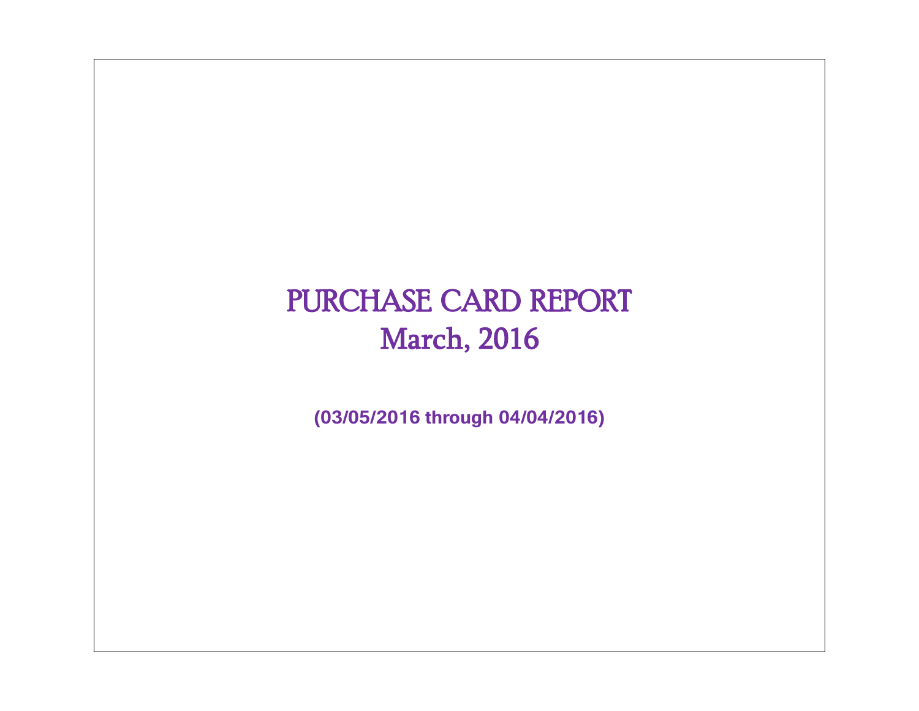# PURCHASE CARD REPORT March, 2016

**(03/05/2016 through 04/04/2016)**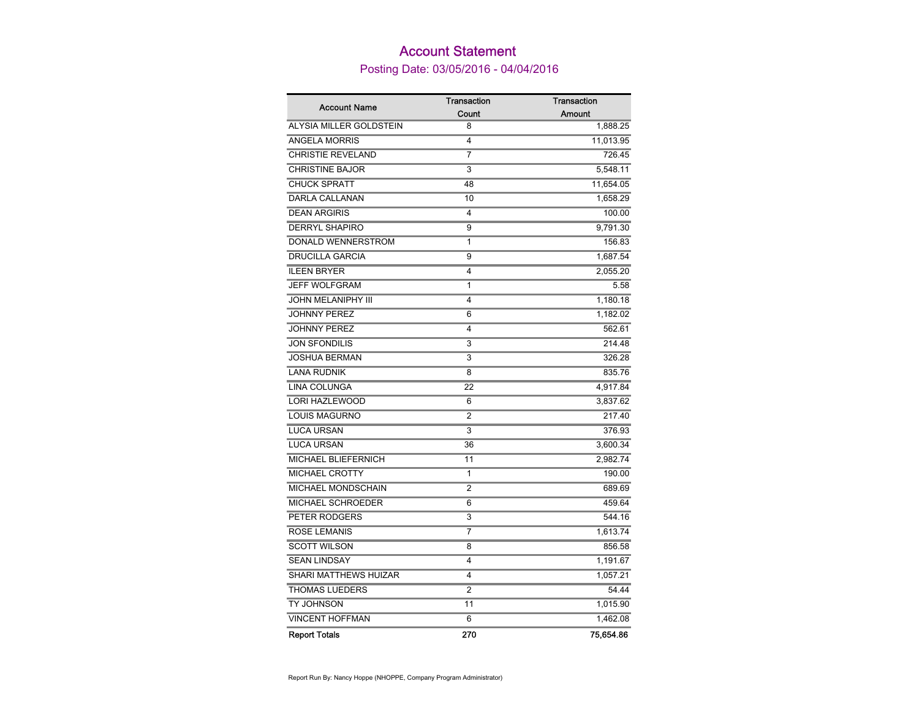# Account Statement

Posting Date: 03/05/2016 - 04/04/2016

| <b>Account Name</b>       | <b>Transaction</b>      | <b>Transaction</b> |
|---------------------------|-------------------------|--------------------|
|                           | Count                   | Amount             |
| ALYSIA MILLER GOLDSTEIN   | 8                       | 1,888.25           |
| <b>ANGELA MORRIS</b>      | 4                       | 11,013.95          |
| <b>CHRISTIE REVELAND</b>  | 7                       | 726.45             |
| <b>CHRISTINE BAJOR</b>    | 3                       | 5,548.11           |
| <b>CHUCK SPRATT</b>       | 48                      | 11,654.05          |
| <b>DARLA CALLANAN</b>     | 10                      | 1,658.29           |
| <b>DEAN ARGIRIS</b>       | 4                       | 100.00             |
| <b>DERRYL SHAPIRO</b>     | 9                       | 9,791.30           |
| DONALD WENNERSTROM        | 1                       | 156.83             |
| <b>DRUCILLA GARCIA</b>    | 9                       | 1,687.54           |
| <b>ILEEN BRYER</b>        | 4                       | 2,055.20           |
| <b>JEFF WOLFGRAM</b>      | 1                       | 5.58               |
| <b>JOHN MELANIPHY III</b> | 4                       | 1,180.18           |
| <b>JOHNNY PEREZ</b>       | 6                       | 1,182.02           |
| <b>JOHNNY PEREZ</b>       | $\overline{\mathbf{4}}$ | 562.61             |
| <b>JON SFONDILIS</b>      | 3                       | 214.48             |
| <b>JOSHUA BERMAN</b>      | 3                       | 326.28             |
| <b>LANA RUDNIK</b>        | 8                       | 835.76             |
| <b>LINA COLUNGA</b>       | 22                      | 4,917.84           |
| LORI HAZLEWOOD            | 6                       | 3,837.62           |
| <b>LOUIS MAGURNO</b>      | $\overline{2}$          | 217.40             |
| <b>LUCA URSAN</b>         | 3                       | 376.93             |
| <b>LUCA URSAN</b>         | 36                      | 3,600.34           |
| MICHAEL BLIEFERNICH       | 11                      | 2,982.74           |
| MICHAEL CROTTY            | 1                       | 190.00             |
| <b>MICHAEL MONDSCHAIN</b> | 2                       | 689.69             |
| MICHAEL SCHROEDER         | 6                       | 459.64             |
| PETER RODGERS             | 3                       | 544.16             |
| <b>ROSE LEMANIS</b>       | 7                       | 1,613.74           |
| <b>SCOTT WILSON</b>       | 8                       | 856.58             |
| <b>SEAN LINDSAY</b>       | 4                       | 1,191.67           |
| SHARI MATTHEWS HUIZAR     | 4                       | 1,057.21           |
| <b>THOMAS LUEDERS</b>     | 2                       | 54.44              |
| TY JOHNSON                | 11                      | 1,015.90           |
| <b>VINCENT HOFFMAN</b>    | 6                       | 1,462.08           |
| <b>Report Totals</b>      | 270                     | 75,654.86          |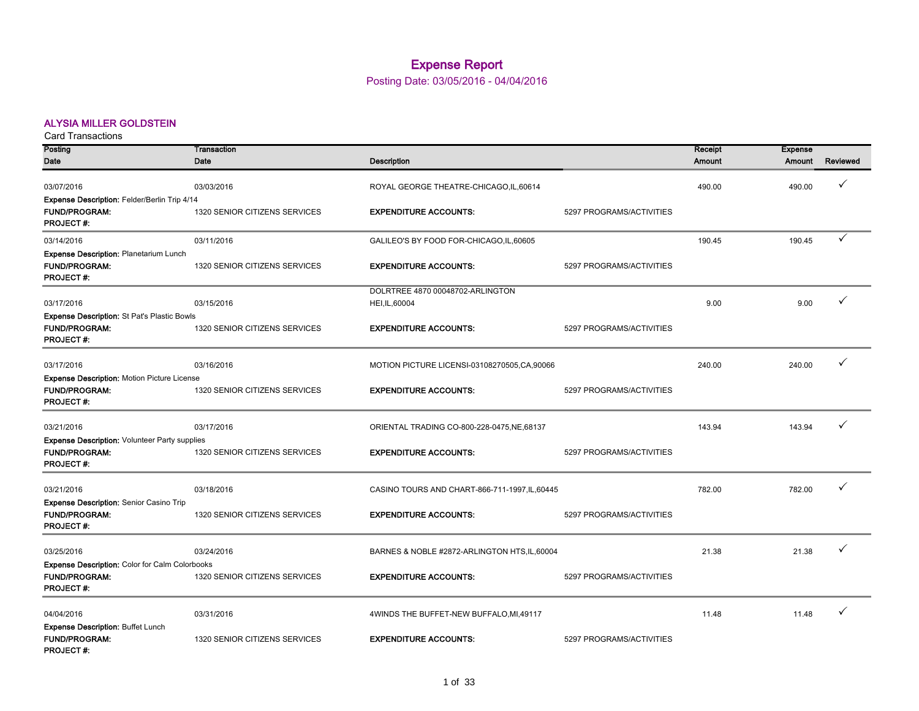# Expense Report

Posting Date: 03/05/2016 - 04/04/2016

# ALYSIA MILLER GOLDSTEIN

| <b>Card Transactions</b>                                                                       |                               |                                                    |                          |                   |                          |          |
|------------------------------------------------------------------------------------------------|-------------------------------|----------------------------------------------------|--------------------------|-------------------|--------------------------|----------|
| Posting<br>Date                                                                                | Transaction<br>Date           | <b>Description</b>                                 |                          | Receipt<br>Amount | <b>Expense</b><br>Amount | Reviewed |
| 03/07/2016                                                                                     | 03/03/2016                    | ROYAL GEORGE THEATRE-CHICAGO,IL,60614              |                          | 490.00            | 490.00                   | ✓        |
| Expense Description: Felder/Berlin Trip 4/14<br><b>FUND/PROGRAM:</b><br><b>PROJECT#:</b>       | 1320 SENIOR CITIZENS SERVICES | <b>EXPENDITURE ACCOUNTS:</b>                       | 5297 PROGRAMS/ACTIVITIES |                   |                          |          |
| 03/14/2016                                                                                     | 03/11/2016                    | GALILEO'S BY FOOD FOR-CHICAGO, IL, 60605           |                          | 190.45            | 190.45                   | ✓        |
| <b>Expense Description: Planetarium Lunch</b><br>FUND/PROGRAM:<br><b>PROJECT#:</b>             | 1320 SENIOR CITIZENS SERVICES | <b>EXPENDITURE ACCOUNTS:</b>                       | 5297 PROGRAMS/ACTIVITIES |                   |                          |          |
| 03/17/2016                                                                                     | 03/15/2016                    | DOLRTREE 4870 00048702-ARLINGTON<br>HEI, IL, 60004 |                          | 9.00              | 9.00                     | ✓        |
| <b>Expense Description: St Pat's Plastic Bowls</b><br><b>FUND/PROGRAM:</b><br><b>PROJECT#:</b> | 1320 SENIOR CITIZENS SERVICES | <b>EXPENDITURE ACCOUNTS:</b>                       | 5297 PROGRAMS/ACTIVITIES |                   |                          |          |
| 03/17/2016                                                                                     | 03/16/2016                    | MOTION PICTURE LICENSI-03108270505,CA,90066        |                          | 240.00            | 240.00                   | ✓        |
| <b>Expense Description: Motion Picture License</b><br><b>FUND/PROGRAM:</b><br><b>PROJECT#:</b> | 1320 SENIOR CITIZENS SERVICES | <b>EXPENDITURE ACCOUNTS:</b>                       | 5297 PROGRAMS/ACTIVITIES |                   |                          |          |
| 03/21/2016                                                                                     | 03/17/2016                    | ORIENTAL TRADING CO-800-228-0475, NE, 68137        |                          | 143.94            | 143.94                   | ✓        |
| <b>Expense Description: Volunteer Party supplies</b><br><b>FUND/PROGRAM:</b>                   | 1320 SENIOR CITIZENS SERVICES | <b>EXPENDITURE ACCOUNTS:</b>                       | 5297 PROGRAMS/ACTIVITIES |                   |                          |          |
| <b>PROJECT#:</b>                                                                               |                               |                                                    |                          |                   |                          |          |
| 03/21/2016                                                                                     | 03/18/2016                    | CASINO TOURS AND CHART-866-711-1997, IL, 60445     |                          | 782.00            | 782.00                   | ✓        |
| Expense Description: Senior Casino Trip<br>FUND/PROGRAM:<br><b>PROJECT#:</b>                   | 1320 SENIOR CITIZENS SERVICES | <b>EXPENDITURE ACCOUNTS:</b>                       | 5297 PROGRAMS/ACTIVITIES |                   |                          |          |
| 03/25/2016                                                                                     | 03/24/2016                    | BARNES & NOBLE #2872-ARLINGTON HTS, IL, 60004      |                          | 21.38             | 21.38                    | ✓        |
| <b>Expense Description: Color for Calm Colorbooks</b>                                          |                               |                                                    |                          |                   |                          |          |
| <b>FUND/PROGRAM:</b><br><b>PROJECT#:</b>                                                       | 1320 SENIOR CITIZENS SERVICES | <b>EXPENDITURE ACCOUNTS:</b>                       | 5297 PROGRAMS/ACTIVITIES |                   |                          |          |
| 04/04/2016                                                                                     | 03/31/2016                    | 4WINDS THE BUFFET-NEW BUFFALO, MI, 49117           |                          | 11.48             | 11.48                    | ✓        |
| <b>Expense Description: Buffet Lunch</b><br><b>FUND/PROGRAM:</b><br><b>PROJECT#:</b>           | 1320 SENIOR CITIZENS SERVICES | <b>EXPENDITURE ACCOUNTS:</b>                       | 5297 PROGRAMS/ACTIVITIES |                   |                          |          |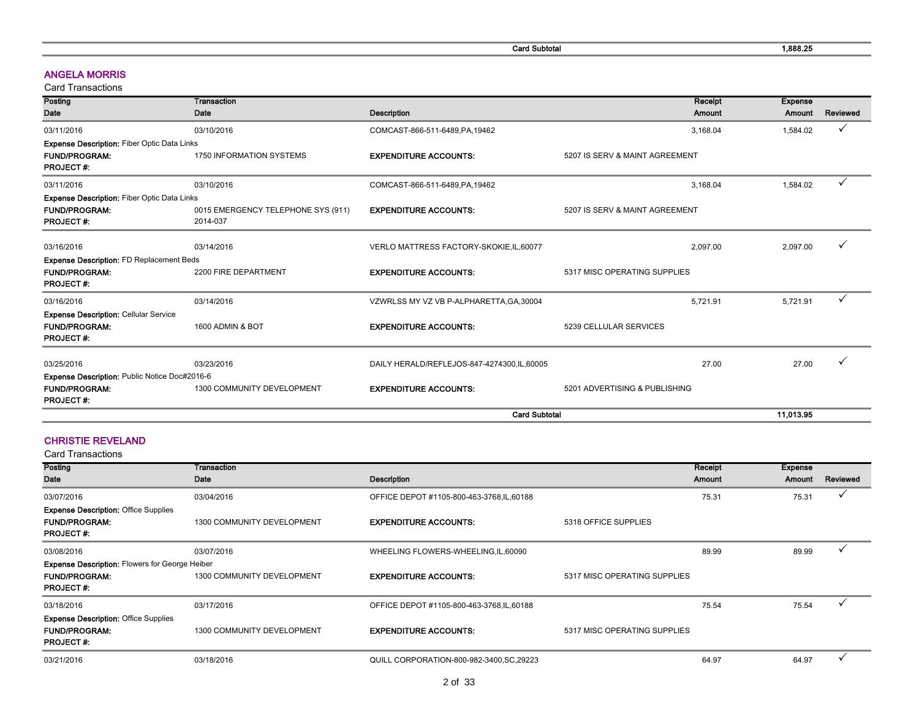Card Subtotal 2001 2012 1,888.25

#### ANGELA MORRIS

Card Transactions

| Posting                                            | Transaction                                    |                                            | Receipt                        | <b>Expense</b> |              |
|----------------------------------------------------|------------------------------------------------|--------------------------------------------|--------------------------------|----------------|--------------|
| Date                                               | Date                                           | <b>Description</b>                         | Amount                         | Amount         | Reviewed     |
| 03/11/2016                                         | 03/10/2016                                     | COMCAST-866-511-6489, PA, 19462            | 3,168.04                       | 1,584.02       | ✓            |
| <b>Expense Description: Fiber Optic Data Links</b> |                                                |                                            |                                |                |              |
| <b>FUND/PROGRAM:</b><br><b>PROJECT#:</b>           | 1750 INFORMATION SYSTEMS                       | <b>EXPENDITURE ACCOUNTS:</b>               | 5207 IS SERV & MAINT AGREEMENT |                |              |
| 03/11/2016                                         | 03/10/2016                                     | COMCAST-866-511-6489, PA, 19462            | 3,168.04                       | 1,584.02       | ✓            |
| <b>Expense Description: Fiber Optic Data Links</b> |                                                |                                            |                                |                |              |
| <b>FUND/PROGRAM:</b><br><b>PROJECT#:</b>           | 0015 EMERGENCY TELEPHONE SYS (911)<br>2014-037 | <b>EXPENDITURE ACCOUNTS:</b>               | 5207 IS SERV & MAINT AGREEMENT |                |              |
| 03/16/2016                                         | 03/14/2016                                     | VERLO MATTRESS FACTORY-SKOKIE, IL, 60077   | 2,097.00                       | 2,097.00       | ✓            |
| <b>Expense Description: FD Replacement Beds</b>    |                                                |                                            |                                |                |              |
| <b>FUND/PROGRAM:</b><br><b>PROJECT#:</b>           | 2200 FIRE DEPARTMENT                           | <b>EXPENDITURE ACCOUNTS:</b>               | 5317 MISC OPERATING SUPPLIES   |                |              |
| 03/16/2016                                         | 03/14/2016                                     | VZWRLSS MY VZ VB P-ALPHARETTA, GA, 30004   | 5.721.91                       | 5,721.91       | $\checkmark$ |
| <b>Expense Description: Cellular Service</b>       |                                                |                                            |                                |                |              |
| <b>FUND/PROGRAM:</b><br><b>PROJECT#:</b>           | 1600 ADMIN & BOT                               | <b>EXPENDITURE ACCOUNTS:</b>               | 5239 CELLULAR SERVICES         |                |              |
| 03/25/2016                                         | 03/23/2016                                     | DAILY HERALD/REFLEJOS-847-4274300,IL,60005 | 27.00                          | 27.00          | ν            |
| Expense Description: Public Notice Doc#2016-6      |                                                |                                            |                                |                |              |
| <b>FUND/PROGRAM:</b><br><b>PROJECT#:</b>           | 1300 COMMUNITY DEVELOPMENT                     | <b>EXPENDITURE ACCOUNTS:</b>               | 5201 ADVERTISING & PUBLISHING  |                |              |
|                                                    |                                                | <b>Card Subtotal</b>                       | 11,013.95                      |                |              |

#### CHRISTIE REVELAND

| Posting                                                                                 | Transaction                |                                            |                              | Receipt | <b>Expense</b> |              |
|-----------------------------------------------------------------------------------------|----------------------------|--------------------------------------------|------------------------------|---------|----------------|--------------|
| Date                                                                                    | Date                       | <b>Description</b>                         |                              | Amount  | Amount         | Reviewed     |
| 03/07/2016                                                                              | 03/04/2016                 | OFFICE DEPOT #1105-800-463-3768, IL, 60188 |                              | 75.31   | 75.31          | $\checkmark$ |
| <b>Expense Description: Office Supplies</b><br><b>FUND/PROGRAM:</b><br><b>PROJECT#:</b> | 1300 COMMUNITY DEVELOPMENT | <b>EXPENDITURE ACCOUNTS:</b>               | 5318 OFFICE SUPPLIES         |         |                |              |
| 03/08/2016                                                                              | 03/07/2016                 | WHEELING FLOWERS-WHEELING,IL,60090         |                              | 89.99   | 89.99          |              |
| <b>Expense Description: Flowers for George Heiber</b>                                   |                            |                                            |                              |         |                |              |
| <b>FUND/PROGRAM:</b><br><b>PROJECT#:</b>                                                | 1300 COMMUNITY DEVELOPMENT | <b>EXPENDITURE ACCOUNTS:</b>               | 5317 MISC OPERATING SUPPLIES |         |                |              |
| 03/18/2016                                                                              | 03/17/2016                 | OFFICE DEPOT #1105-800-463-3768, IL, 60188 |                              | 75.54   | 75.54          | $\checkmark$ |
| <b>Expense Description: Office Supplies</b><br><b>FUND/PROGRAM:</b><br><b>PROJECT#:</b> | 1300 COMMUNITY DEVELOPMENT | <b>EXPENDITURE ACCOUNTS:</b>               | 5317 MISC OPERATING SUPPLIES |         |                |              |
| 03/21/2016                                                                              | 03/18/2016                 | QUILL CORPORATION-800-982-3400, SC, 29223  |                              | 64.97   | 64.97          | v            |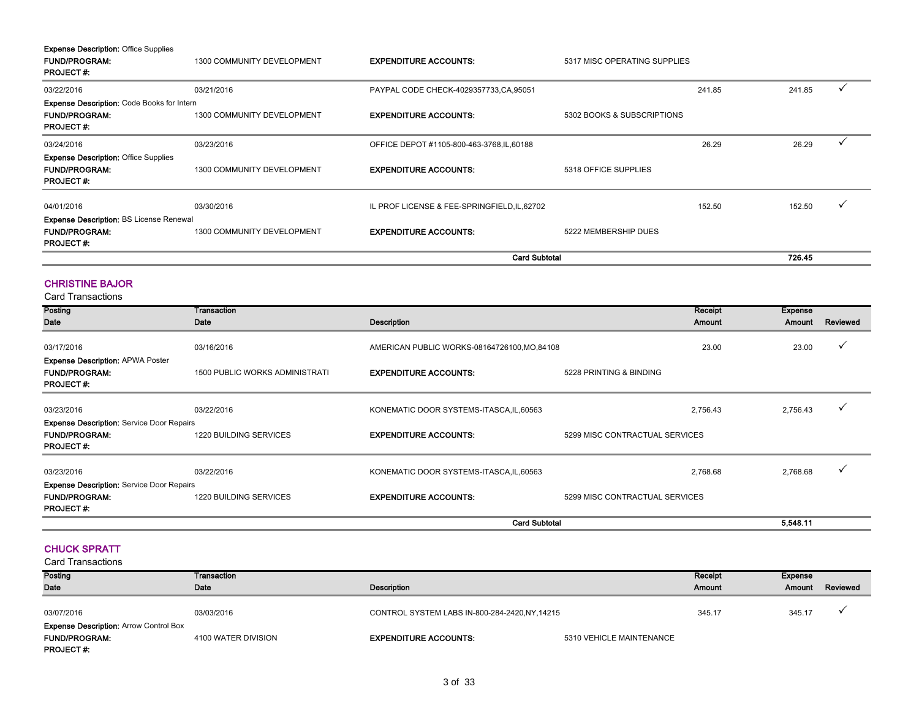| <b>Expense Description: Office Supplies</b>       |                            |                                            |                              |        |        |              |
|---------------------------------------------------|----------------------------|--------------------------------------------|------------------------------|--------|--------|--------------|
| <b>FUND/PROGRAM:</b>                              | 1300 COMMUNITY DEVELOPMENT | <b>EXPENDITURE ACCOUNTS:</b>               | 5317 MISC OPERATING SUPPLIES |        |        |              |
| <b>PROJECT#:</b>                                  |                            |                                            |                              |        |        |              |
| 03/22/2016                                        | 03/21/2016                 | PAYPAL CODE CHECK-4029357733, CA, 95051    |                              | 241.85 | 241.85 |              |
| <b>Expense Description: Code Books for Intern</b> |                            |                                            |                              |        |        |              |
| <b>FUND/PROGRAM:</b><br><b>PROJECT#:</b>          | 1300 COMMUNITY DEVELOPMENT | <b>EXPENDITURE ACCOUNTS:</b>               | 5302 BOOKS & SUBSCRIPTIONS   |        |        |              |
| 03/24/2016                                        | 03/23/2016                 | OFFICE DEPOT #1105-800-463-3768, IL, 60188 |                              | 26.29  | 26.29  | $\checkmark$ |
| <b>Expense Description: Office Supplies</b>       |                            |                                            |                              |        |        |              |
| <b>FUND/PROGRAM:</b><br><b>PROJECT#:</b>          | 1300 COMMUNITY DEVELOPMENT | <b>EXPENDITURE ACCOUNTS:</b>               | 5318 OFFICE SUPPLIES         |        |        |              |
| 04/01/2016                                        | 03/30/2016                 | PROF LICENSE & FEE-SPRINGFIELD, IL, 62702  |                              | 152.50 | 152.50 | ✓            |
| <b>Expense Description: BS License Renewal</b>    |                            |                                            |                              |        |        |              |
| <b>FUND/PROGRAM:</b><br><b>PROJECT#:</b>          | 1300 COMMUNITY DEVELOPMENT | <b>EXPENDITURE ACCOUNTS:</b>               | 5222 MEMBERSHIP DUES         |        |        |              |
|                                                   |                            | <b>Card Subtotal</b>                       |                              | 726.45 |        |              |

#### CHRISTINE BAJOR

Card Transactions

| Posting                                          | Transaction                           |                                              |                                | Receipt  | Expense  |              |
|--------------------------------------------------|---------------------------------------|----------------------------------------------|--------------------------------|----------|----------|--------------|
| Date                                             | Date                                  | <b>Description</b>                           |                                | Amount   |          | Reviewed     |
|                                                  |                                       |                                              |                                |          | Amount   |              |
|                                                  |                                       |                                              |                                |          |          |              |
| 03/17/2016                                       | 03/16/2016                            | AMERICAN PUBLIC WORKS-08164726100, MO, 84108 |                                | 23.00    | 23.00    | $\checkmark$ |
| <b>Expense Description: APWA Poster</b>          |                                       |                                              |                                |          |          |              |
| <b>FUND/PROGRAM:</b>                             | <b>1500 PUBLIC WORKS ADMINISTRATI</b> | <b>EXPENDITURE ACCOUNTS:</b>                 | 5228 PRINTING & BINDING        |          |          |              |
| <b>PROJECT#:</b>                                 |                                       |                                              |                                |          |          |              |
|                                                  |                                       |                                              |                                |          |          |              |
| 03/23/2016                                       | 03/22/2016                            | KONEMATIC DOOR SYSTEMS-ITASCA, IL, 60563     |                                | 2,756.43 | 2,756.43 | $\checkmark$ |
| <b>Expense Description: Service Door Repairs</b> |                                       |                                              |                                |          |          |              |
| <b>FUND/PROGRAM:</b>                             | <b>1220 BUILDING SERVICES</b>         | <b>EXPENDITURE ACCOUNTS:</b>                 | 5299 MISC CONTRACTUAL SERVICES |          |          |              |
| <b>PROJECT#:</b>                                 |                                       |                                              |                                |          |          |              |
|                                                  |                                       |                                              |                                |          |          |              |
| 03/23/2016                                       | 03/22/2016                            | KONEMATIC DOOR SYSTEMS-ITASCA, IL, 60563     |                                | 2,768.68 | 2,768.68 | $\checkmark$ |
|                                                  |                                       |                                              |                                |          |          |              |
| <b>Expense Description: Service Door Repairs</b> |                                       |                                              |                                |          |          |              |
| <b>FUND/PROGRAM:</b>                             | <b>1220 BUILDING SERVICES</b>         | <b>EXPENDITURE ACCOUNTS:</b>                 | 5299 MISC CONTRACTUAL SERVICES |          |          |              |
| <b>PROJECT#:</b>                                 |                                       |                                              |                                |          |          |              |
|                                                  |                                       | <b>Card Subtotal</b>                         |                                |          | 5,548.11 |              |

#### CHUCK SPRATT

Posting Date Transaction Date **Date Description** Receipt Amount Expense Amount Reviewed 03/07/2016 03/03/2016 03/03/2016 03/03/2016 CONTROL SYSTEM LABS IN-800-284-2420,NY,14215 345.17 345.17 345.17 → FUND/PROGRAM: 4100 WATER DIVISION EXPENDITURE ACCOUNTS: 5310 VEHICLE MAINTENANCE PROJECT #: Card Transactions Expense Description: Arrow Control Box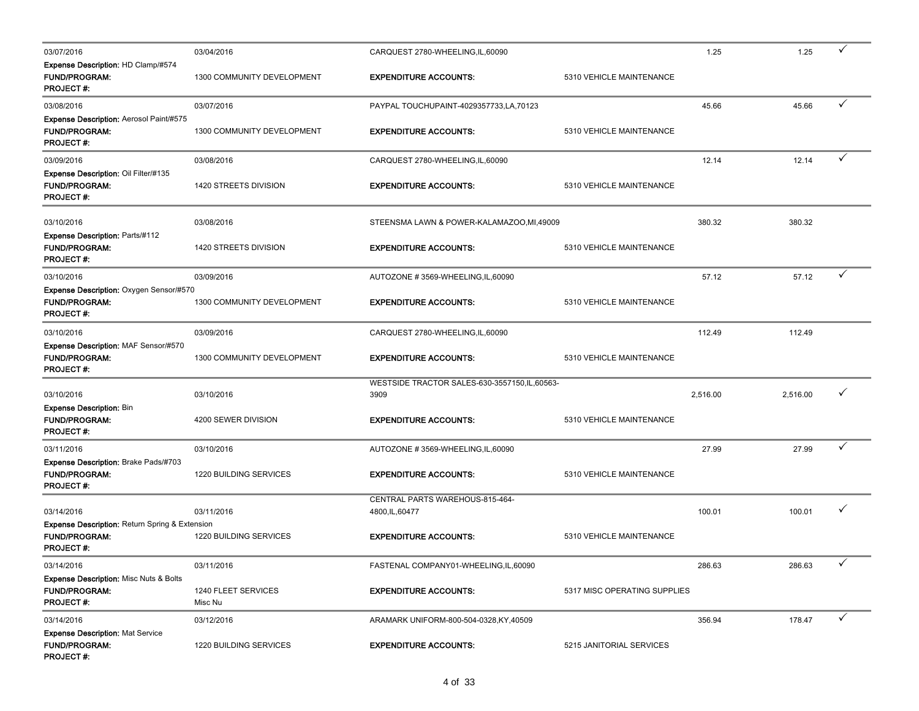| 03/07/2016                                                                                             | 03/04/2016                     | CARQUEST 2780-WHEELING, IL, 60090                    |                              | 1.25     | 1.25     | ✓            |
|--------------------------------------------------------------------------------------------------------|--------------------------------|------------------------------------------------------|------------------------------|----------|----------|--------------|
| <b>Expense Description: HD Clamp/#574</b><br><b>FUND/PROGRAM:</b><br><b>PROJECT#:</b>                  | 1300 COMMUNITY DEVELOPMENT     | <b>EXPENDITURE ACCOUNTS:</b>                         | 5310 VEHICLE MAINTENANCE     |          |          |              |
| 03/08/2016                                                                                             | 03/07/2016                     | PAYPAL TOUCHUPAINT-4029357733,LA,70123               |                              | 45.66    | 45.66    | ✓            |
| Expense Description: Aerosol Paint/#575<br><b>FUND/PROGRAM:</b><br><b>PROJECT#:</b>                    | 1300 COMMUNITY DEVELOPMENT     | <b>EXPENDITURE ACCOUNTS:</b>                         | 5310 VEHICLE MAINTENANCE     |          |          |              |
| 03/09/2016                                                                                             | 03/08/2016                     | CARQUEST 2780-WHEELING,IL,60090                      |                              | 12.14    | 12.14    | ✓            |
| Expense Description: Oil Filter/#135<br><b>FUND/PROGRAM:</b><br><b>PROJECT #:</b>                      | 1420 STREETS DIVISION          | <b>EXPENDITURE ACCOUNTS:</b>                         | 5310 VEHICLE MAINTENANCE     |          |          |              |
| 03/10/2016                                                                                             | 03/08/2016                     | STEENSMA LAWN & POWER-KALAMAZOO,MI,49009             |                              | 380.32   | 380.32   |              |
| Expense Description: Parts/#112<br><b>FUND/PROGRAM:</b><br><b>PROJECT#:</b>                            | 1420 STREETS DIVISION          | <b>EXPENDITURE ACCOUNTS:</b>                         | 5310 VEHICLE MAINTENANCE     |          |          |              |
| 03/10/2016                                                                                             | 03/09/2016                     | AUTOZONE #3569-WHEELING,IL,60090                     |                              | 57.12    | 57.12    |              |
| Expense Description: Oxygen Sensor/#570<br><b>FUND/PROGRAM:</b><br><b>PROJECT#:</b>                    | 1300 COMMUNITY DEVELOPMENT     | <b>EXPENDITURE ACCOUNTS:</b>                         | 5310 VEHICLE MAINTENANCE     |          |          |              |
| 03/10/2016                                                                                             | 03/09/2016                     | CARQUEST 2780-WHEELING,IL,60090                      |                              | 112.49   | 112.49   |              |
| Expense Description: MAF Sensor/#570<br><b>FUND/PROGRAM:</b><br><b>PROJECT#:</b>                       | 1300 COMMUNITY DEVELOPMENT     | <b>EXPENDITURE ACCOUNTS:</b>                         | 5310 VEHICLE MAINTENANCE     |          |          |              |
| 03/10/2016                                                                                             | 03/10/2016                     | WESTSIDE TRACTOR SALES-630-3557150,IL,60563-<br>3909 |                              | 2,516.00 | 2,516.00 | ✓            |
| <b>Expense Description: Bin</b><br><b>FUND/PROGRAM:</b><br><b>PROJECT#:</b>                            | 4200 SEWER DIVISION            | <b>EXPENDITURE ACCOUNTS:</b>                         | 5310 VEHICLE MAINTENANCE     |          |          |              |
| 03/11/2016                                                                                             | 03/10/2016                     | AUTOZONE #3569-WHEELING,IL,60090                     |                              | 27.99    | 27.99    | ✓            |
| Expense Description: Brake Pads/#703<br><b>FUND/PROGRAM:</b><br>PROJECT #:                             | 1220 BUILDING SERVICES         | <b>EXPENDITURE ACCOUNTS:</b>                         | 5310 VEHICLE MAINTENANCE     |          |          |              |
| 03/14/2016                                                                                             | 03/11/2016                     | CENTRAL PARTS WAREHOUS-815-464-<br>4800, IL, 60477   |                              | 100.01   | 100.01   | $\checkmark$ |
| <b>Expense Description: Return Spring &amp; Extension</b><br><b>FUND/PROGRAM:</b><br><b>PROJECT #:</b> | 1220 BUILDING SERVICES         | <b>EXPENDITURE ACCOUNTS:</b>                         | 5310 VEHICLE MAINTENANCE     |          |          |              |
| 03/14/2016                                                                                             | 03/11/2016                     | FASTENAL COMPANY01-WHEELING, IL, 60090               |                              | 286.63   | 286.63   | $\checkmark$ |
| <b>Expense Description: Misc Nuts &amp; Bolts</b><br>FUND/PROGRAM:<br>PROJECT#:                        | 1240 FLEET SERVICES<br>Misc Nu | <b>EXPENDITURE ACCOUNTS:</b>                         | 5317 MISC OPERATING SUPPLIES |          |          |              |
| 03/14/2016                                                                                             | 03/12/2016                     | ARAMARK UNIFORM-800-504-0328, KY, 40509              |                              | 356.94   | 178.47   | ✓            |
| <b>Expense Description: Mat Service</b><br><b>FUND/PROGRAM:</b><br><b>PROJECT#:</b>                    | 1220 BUILDING SERVICES         | <b>EXPENDITURE ACCOUNTS:</b>                         | 5215 JANITORIAL SERVICES     |          |          |              |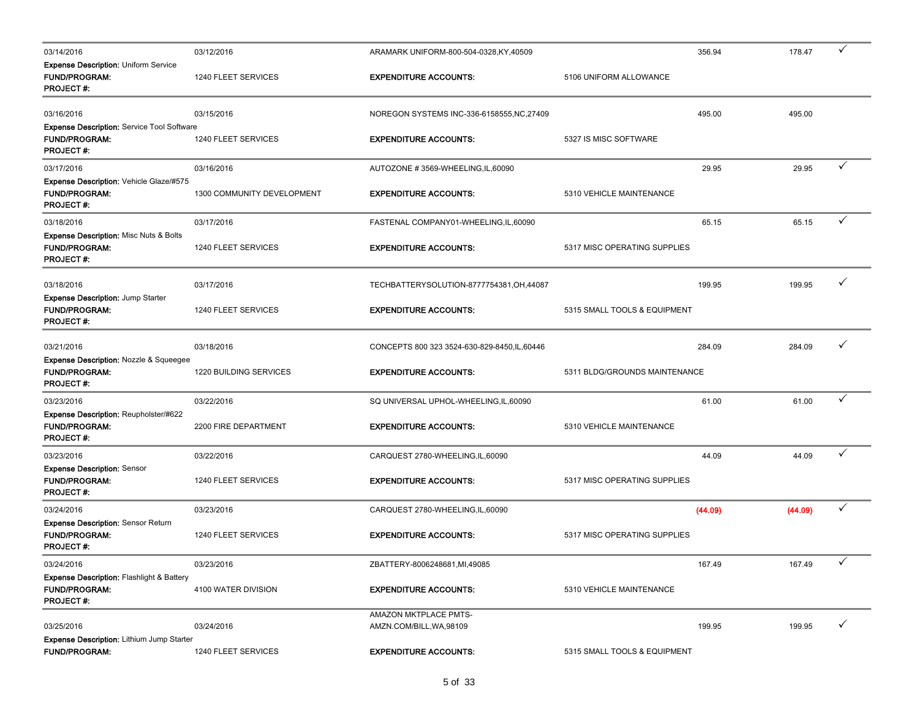| 03/14/2016                                                                                       | 03/12/2016                    | ARAMARK UNIFORM-800-504-0328, KY, 40509           |                               | 356.94  | 178.47  | ✓            |
|--------------------------------------------------------------------------------------------------|-------------------------------|---------------------------------------------------|-------------------------------|---------|---------|--------------|
| <b>Expense Description: Uniform Service</b><br><b>FUND/PROGRAM:</b><br><b>PROJECT#:</b>          | 1240 FLEET SERVICES           | <b>EXPENDITURE ACCOUNTS:</b>                      | 5106 UNIFORM ALLOWANCE        |         |         |              |
| 03/16/2016                                                                                       | 03/15/2016                    | NOREGON SYSTEMS INC-336-6158555, NC, 27409        |                               | 495.00  | 495.00  |              |
| Expense Description: Service Tool Software<br><b>FUND/PROGRAM:</b><br><b>PROJECT#:</b>           | 1240 FLEET SERVICES           | <b>EXPENDITURE ACCOUNTS:</b>                      | 5327 IS MISC SOFTWARE         |         |         |              |
| 03/17/2016                                                                                       | 03/16/2016                    | AUTOZONE #3569-WHEELING, IL, 60090                |                               | 29.95   | 29.95   | ✓            |
| <b>Expense Description: Vehicle Glaze/#575</b><br><b>FUND/PROGRAM:</b><br><b>PROJECT#:</b>       | 1300 COMMUNITY DEVELOPMENT    | <b>EXPENDITURE ACCOUNTS:</b>                      | 5310 VEHICLE MAINTENANCE      |         |         |              |
| 03/18/2016                                                                                       | 03/17/2016                    | FASTENAL COMPANY01-WHEELING, IL, 60090            |                               | 65.15   | 65.15   | ✓            |
| <b>Expense Description: Misc Nuts &amp; Bolts</b><br><b>FUND/PROGRAM:</b><br><b>PROJECT#:</b>    | 1240 FLEET SERVICES           | <b>EXPENDITURE ACCOUNTS:</b>                      | 5317 MISC OPERATING SUPPLIES  |         |         |              |
| 03/18/2016                                                                                       | 03/17/2016                    | TECHBATTERYSOLUTION-8777754381,OH,44087           |                               | 199.95  | 199.95  | $\checkmark$ |
| Expense Description: Jump Starter<br><b>FUND/PROGRAM:</b><br><b>PROJECT#:</b>                    | 1240 FLEET SERVICES           | <b>EXPENDITURE ACCOUNTS:</b>                      | 5315 SMALL TOOLS & EQUIPMENT  |         |         |              |
| 03/21/2016                                                                                       | 03/18/2016                    | CONCEPTS 800 323 3524-630-829-8450, IL, 60446     |                               | 284.09  | 284.09  | ✓            |
| <b>Expense Description: Nozzle &amp; Squeegee</b><br><b>FUND/PROGRAM:</b><br><b>PROJECT#:</b>    | <b>1220 BUILDING SERVICES</b> | <b>EXPENDITURE ACCOUNTS:</b>                      | 5311 BLDG/GROUNDS MAINTENANCE |         |         |              |
| 03/23/2016                                                                                       | 03/22/2016                    | SQ UNIVERSAL UPHOL-WHEELING, IL, 60090            |                               | 61.00   | 61.00   | ✓            |
| Expense Description: Reupholster/#622<br><b>FUND/PROGRAM:</b><br><b>PROJECT#:</b>                | 2200 FIRE DEPARTMENT          | <b>EXPENDITURE ACCOUNTS:</b>                      | 5310 VEHICLE MAINTENANCE      |         |         |              |
| 03/23/2016                                                                                       | 03/22/2016                    | CARQUEST 2780-WHEELING, IL, 60090                 |                               | 44.09   | 44.09   | ✓            |
| <b>Expense Description: Sensor</b><br><b>FUND/PROGRAM:</b><br><b>PROJECT#:</b>                   | 1240 FLEET SERVICES           | <b>EXPENDITURE ACCOUNTS:</b>                      | 5317 MISC OPERATING SUPPLIES  |         |         |              |
| 03/24/2016                                                                                       | 03/23/2016                    | CARQUEST 2780-WHEELING, IL, 60090                 |                               | (44.09) | (44.09) | ✓            |
| <b>Expense Description: Sensor Return</b><br><b>FUND/PROGRAM:</b><br><b>PROJECT#:</b>            | 1240 FLEET SERVICES           | <b>EXPENDITURE ACCOUNTS:</b>                      | 5317 MISC OPERATING SUPPLIES  |         |         |              |
| 03/24/2016                                                                                       | 03/23/2016                    | ZBATTERY-8006248681,MI,49085                      |                               | 167.49  | 167.49  | $\checkmark$ |
| <b>Expense Description: Flashlight &amp; Battery</b><br><b>FUND/PROGRAM:</b><br><b>PROJECT#:</b> | 4100 WATER DIVISION           | <b>EXPENDITURE ACCOUNTS:</b>                      | 5310 VEHICLE MAINTENANCE      |         |         |              |
| 03/25/2016                                                                                       | 03/24/2016                    | AMAZON MKTPLACE PMTS-<br>AMZN.COM/BILL, WA, 98109 |                               | 199.95  | 199.95  | $\checkmark$ |
| Expense Description: Lithium Jump Starter<br><b>FUND/PROGRAM:</b>                                | 1240 FLEET SERVICES           | <b>EXPENDITURE ACCOUNTS:</b>                      | 5315 SMALL TOOLS & EQUIPMENT  |         |         |              |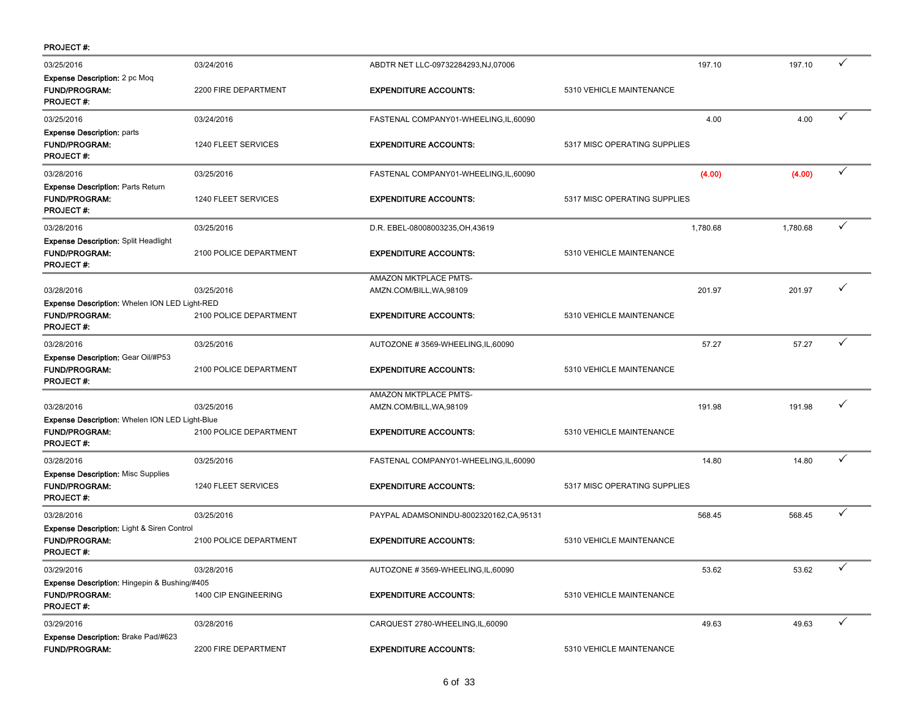| <b>PROJECT#:</b>                                                                                  |                        |                                                   |                              |          |              |
|---------------------------------------------------------------------------------------------------|------------------------|---------------------------------------------------|------------------------------|----------|--------------|
| 03/25/2016                                                                                        | 03/24/2016             | ABDTR NET LLC-09732284293,NJ,07006                | 197.10                       | 197.10   | ✓            |
| <b>Expense Description:</b> 2 pc Moq<br><b>FUND/PROGRAM:</b><br><b>PROJECT#:</b>                  | 2200 FIRE DEPARTMENT   | <b>EXPENDITURE ACCOUNTS:</b>                      | 5310 VEHICLE MAINTENANCE     |          |              |
| 03/25/2016                                                                                        | 03/24/2016             | FASTENAL COMPANY01-WHEELING,IL,60090              | 4.00                         | 4.00     | ✓            |
| <b>Expense Description: parts</b><br><b>FUND/PROGRAM:</b><br><b>PROJECT#:</b>                     | 1240 FLEET SERVICES    | <b>EXPENDITURE ACCOUNTS:</b>                      | 5317 MISC OPERATING SUPPLIES |          |              |
| 03/28/2016                                                                                        | 03/25/2016             | FASTENAL COMPANY01-WHEELING,IL,60090              | (4.00)                       | (4.00)   | ✓            |
| <b>Expense Description: Parts Return</b><br><b>FUND/PROGRAM:</b><br><b>PROJECT#:</b>              | 1240 FLEET SERVICES    | <b>EXPENDITURE ACCOUNTS:</b>                      | 5317 MISC OPERATING SUPPLIES |          |              |
| 03/28/2016                                                                                        | 03/25/2016             | D.R. EBEL-08008003235, OH, 43619                  | 1,780.68                     | 1,780.68 | ✓            |
| <b>Expense Description: Split Headlight</b><br><b>FUND/PROGRAM:</b><br><b>PROJECT#:</b>           | 2100 POLICE DEPARTMENT | <b>EXPENDITURE ACCOUNTS:</b>                      | 5310 VEHICLE MAINTENANCE     |          |              |
| 03/28/2016                                                                                        | 03/25/2016             | AMAZON MKTPLACE PMTS-<br>AMZN.COM/BILL, WA, 98109 | 201.97                       | 201.97   | ✓            |
| <b>Expense Description: Whelen ION LED Light-RED</b><br><b>FUND/PROGRAM:</b><br><b>PROJECT#:</b>  | 2100 POLICE DEPARTMENT | <b>EXPENDITURE ACCOUNTS:</b>                      | 5310 VEHICLE MAINTENANCE     |          |              |
| 03/28/2016                                                                                        | 03/25/2016             | AUTOZONE #3569-WHEELING,IL,60090                  | 57.27                        | 57.27    | $\checkmark$ |
| <b>Expense Description: Gear Oil/#P53</b><br><b>FUND/PROGRAM:</b><br><b>PROJECT#:</b>             | 2100 POLICE DEPARTMENT | <b>EXPENDITURE ACCOUNTS:</b>                      | 5310 VEHICLE MAINTENANCE     |          |              |
|                                                                                                   |                        | AMAZON MKTPLACE PMTS-                             |                              |          |              |
| 03/28/2016<br><b>Expense Description: Whelen ION LED Light-Blue</b>                               | 03/25/2016             | AMZN.COM/BILL, WA, 98109                          | 191.98                       | 191.98   |              |
| <b>FUND/PROGRAM:</b><br><b>PROJECT#:</b>                                                          | 2100 POLICE DEPARTMENT | <b>EXPENDITURE ACCOUNTS:</b>                      | 5310 VEHICLE MAINTENANCE     |          |              |
| 03/28/2016                                                                                        | 03/25/2016             | FASTENAL COMPANY01-WHEELING,IL,60090              | 14.80                        | 14.80    | ✓            |
| <b>Expense Description: Misc Supplies</b><br><b>FUND/PROGRAM:</b><br><b>PROJECT#:</b>             | 1240 FLEET SERVICES    | <b>EXPENDITURE ACCOUNTS:</b>                      | 5317 MISC OPERATING SUPPLIES |          |              |
| 03/28/2016                                                                                        | 03/25/2016             | PAYPAL ADAMSONINDU-8002320162,CA,95131            | 568.45                       | 568.45   |              |
| <b>Expense Description: Light &amp; Siren Control</b><br><b>FUND/PROGRAM:</b><br><b>PROJECT#:</b> | 2100 POLICE DEPARTMENT | <b>EXPENDITURE ACCOUNTS:</b>                      | 5310 VEHICLE MAINTENANCE     |          |              |
| 03/29/2016                                                                                        | 03/28/2016             | AUTOZONE #3569-WHEELING,IL,60090                  | 53.62                        | 53.62    |              |
| Expense Description: Hingepin & Bushing/#405<br><b>FUND/PROGRAM:</b><br><b>PROJECT#:</b>          | 1400 CIP ENGINEERING   | <b>EXPENDITURE ACCOUNTS:</b>                      | 5310 VEHICLE MAINTENANCE     |          |              |
| 03/29/2016                                                                                        | 03/28/2016             | CARQUEST 2780-WHEELING,IL,60090                   | 49.63                        | 49.63    | ✓            |
| Expense Description: Brake Pad/#623<br>FUND/PROGRAM:                                              | 2200 FIRE DEPARTMENT   | <b>EXPENDITURE ACCOUNTS:</b>                      | 5310 VEHICLE MAINTENANCE     |          |              |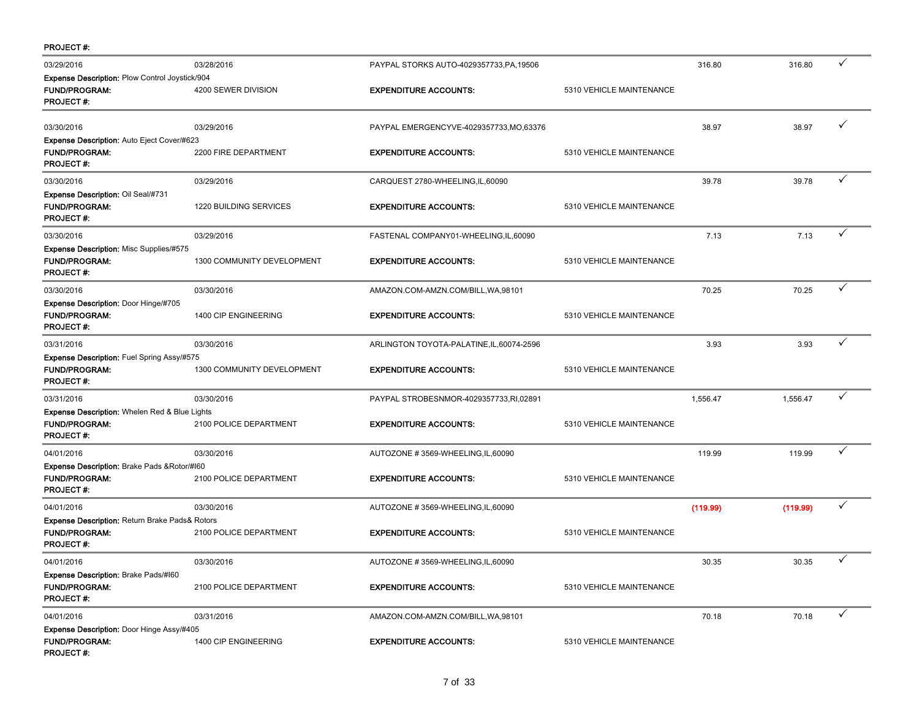| <b>PROJECT#:</b>                                                                                    |                               |                                           |                          |          |          |              |
|-----------------------------------------------------------------------------------------------------|-------------------------------|-------------------------------------------|--------------------------|----------|----------|--------------|
| 03/29/2016                                                                                          | 03/28/2016                    | PAYPAL STORKS AUTO-4029357733, PA, 19506  |                          | 316.80   | 316.80   | ✓            |
| <b>Expense Description: Plow Control Joystick/904</b><br><b>FUND/PROGRAM:</b><br><b>PROJECT#:</b>   | 4200 SEWER DIVISION           | <b>EXPENDITURE ACCOUNTS:</b>              | 5310 VEHICLE MAINTENANCE |          |          |              |
| 03/30/2016                                                                                          | 03/29/2016                    | PAYPAL EMERGENCYVE-4029357733, MO, 63376  |                          | 38.97    | 38.97    |              |
| <b>Expense Description: Auto Eject Cover/#623</b><br><b>FUND/PROGRAM:</b><br><b>PROJECT#:</b>       | 2200 FIRE DEPARTMENT          | <b>EXPENDITURE ACCOUNTS:</b>              | 5310 VEHICLE MAINTENANCE |          |          |              |
| 03/30/2016                                                                                          | 03/29/2016                    | CARQUEST 2780-WHEELING,IL,60090           |                          | 39.78    | 39.78    | ✓            |
| Expense Description: Oil Seal/#731<br><b>FUND/PROGRAM:</b><br><b>PROJECT#:</b>                      | <b>1220 BUILDING SERVICES</b> | <b>EXPENDITURE ACCOUNTS:</b>              | 5310 VEHICLE MAINTENANCE |          |          |              |
| 03/30/2016                                                                                          | 03/29/2016                    | FASTENAL COMPANY01-WHEELING,IL,60090      |                          | 7.13     | 7.13     | ✓            |
| <b>Expense Description: Misc Supplies/#575</b><br><b>FUND/PROGRAM:</b><br><b>PROJECT#:</b>          | 1300 COMMUNITY DEVELOPMENT    | <b>EXPENDITURE ACCOUNTS:</b>              | 5310 VEHICLE MAINTENANCE |          |          |              |
| 03/30/2016                                                                                          | 03/30/2016                    | AMAZON.COM-AMZN.COM/BILL, WA, 98101       |                          | 70.25    | 70.25    | $\checkmark$ |
| Expense Description: Door Hinge/#705<br><b>FUND/PROGRAM:</b><br><b>PROJECT#:</b>                    | 1400 CIP ENGINEERING          | <b>EXPENDITURE ACCOUNTS:</b>              | 5310 VEHICLE MAINTENANCE |          |          |              |
| 03/31/2016                                                                                          | 03/30/2016                    | ARLINGTON TOYOTA-PALATINE, IL, 60074-2596 |                          | 3.93     | 3.93     |              |
| Expense Description: Fuel Spring Assy/#575<br><b>FUND/PROGRAM:</b><br>PROJECT#:                     | 1300 COMMUNITY DEVELOPMENT    | <b>EXPENDITURE ACCOUNTS:</b>              | 5310 VEHICLE MAINTENANCE |          |          |              |
| 03/31/2016                                                                                          | 03/30/2016                    | PAYPAL STROBESNMOR-4029357733,RI,02891    |                          | 1,556.47 | 1,556.47 |              |
| <b>Expense Description:</b> Whelen Red & Blue Lights<br><b>FUND/PROGRAM:</b><br><b>PROJECT#:</b>    | 2100 POLICE DEPARTMENT        | <b>EXPENDITURE ACCOUNTS:</b>              | 5310 VEHICLE MAINTENANCE |          |          |              |
| 04/01/2016                                                                                          | 03/30/2016                    | AUTOZONE #3569-WHEELING, IL, 60090        |                          | 119.99   | 119.99   | ✓            |
| <b>Expense Description: Brake Pads &amp; Rotor/#160</b><br><b>FUND/PROGRAM:</b><br><b>PROJECT#:</b> | 2100 POLICE DEPARTMENT        | <b>EXPENDITURE ACCOUNTS:</b>              | 5310 VEHICLE MAINTENANCE |          |          |              |
| 04/01/2016                                                                                          | 03/30/2016                    | AUTOZONE #3569-WHEELING,IL,60090          |                          | (119.99) | (119.99) | ✓            |
| Expense Description: Return Brake Pads& Rotors<br><b>FUND/PROGRAM:</b><br><b>PROJECT#:</b>          | 2100 POLICE DEPARTMENT        | <b>EXPENDITURE ACCOUNTS:</b>              | 5310 VEHICLE MAINTENANCE |          |          |              |
| 04/01/2016                                                                                          | 03/30/2016                    | AUTOZONE #3569-WHEELING,IL,60090          |                          | 30.35    | 30.35    | ✓            |
| <b>Expense Description: Brake Pads/#160</b><br><b>FUND/PROGRAM:</b><br><b>PROJECT#:</b>             | 2100 POLICE DEPARTMENT        | <b>EXPENDITURE ACCOUNTS:</b>              | 5310 VEHICLE MAINTENANCE |          |          |              |
| 04/01/2016                                                                                          | 03/31/2016                    | AMAZON.COM-AMZN.COM/BILL, WA, 98101       |                          | 70.18    | 70.18    | $\checkmark$ |
| Expense Description: Door Hinge Assy/#405<br><b>FUND/PROGRAM:</b><br><b>PROJECT#:</b>               | 1400 CIP ENGINEERING          | <b>EXPENDITURE ACCOUNTS:</b>              | 5310 VEHICLE MAINTENANCE |          |          |              |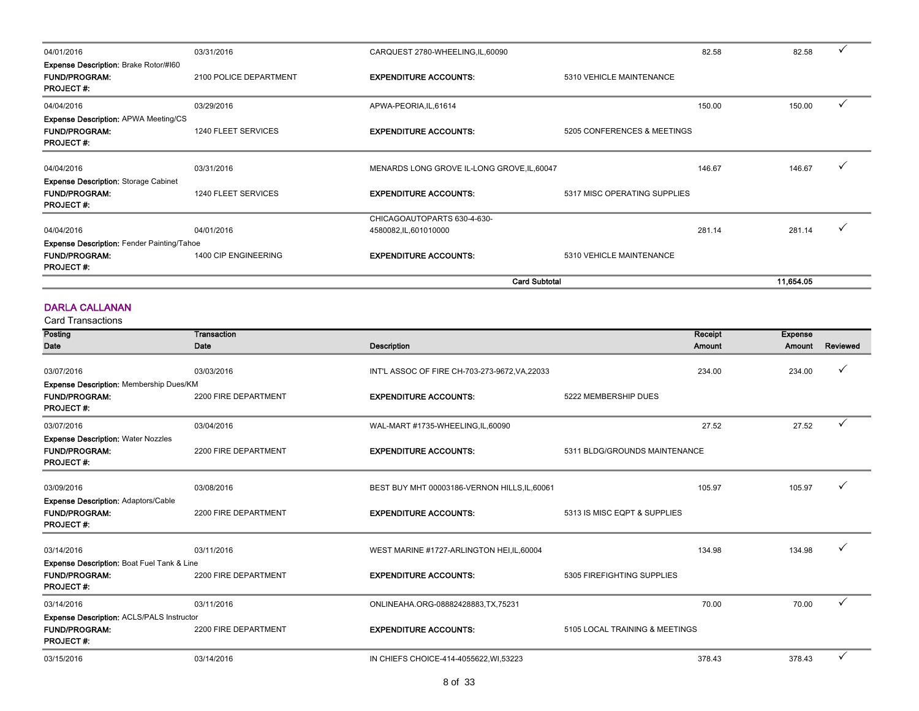| 04/01/2016                                                                               | 03/31/2016             | CARQUEST 2780-WHEELING,IL,60090             |                              | 82.58  | 82.58     |  |
|------------------------------------------------------------------------------------------|------------------------|---------------------------------------------|------------------------------|--------|-----------|--|
| <b>Expense Description: Brake Rotor/#160</b><br><b>FUND/PROGRAM:</b><br><b>PROJECT#:</b> | 2100 POLICE DEPARTMENT | <b>EXPENDITURE ACCOUNTS:</b>                | 5310 VEHICLE MAINTENANCE     |        |           |  |
| 04/04/2016                                                                               | 03/29/2016             | APWA-PEORIA, IL, 61614                      |                              | 150.00 | 150.00    |  |
| <b>Expense Description: APWA Meeting/CS</b><br><b>FUND/PROGRAM:</b><br><b>PROJECT#:</b>  | 1240 FLEET SERVICES    | <b>EXPENDITURE ACCOUNTS:</b>                | 5205 CONFERENCES & MEETINGS  |        |           |  |
| 04/04/2016                                                                               | 03/31/2016             | MENARDS LONG GROVE IL-LONG GROVE, IL, 60047 |                              | 146.67 | 146.67    |  |
| <b>Expense Description: Storage Cabinet</b><br><b>FUND/PROGRAM:</b><br><b>PROJECT#:</b>  | 1240 FLEET SERVICES    | <b>EXPENDITURE ACCOUNTS:</b>                | 5317 MISC OPERATING SUPPLIES |        |           |  |
|                                                                                          |                        | CHICAGOAUTOPARTS 630-4-630-                 |                              |        |           |  |
| 04/04/2016                                                                               | 04/01/2016             | 4580082,IL,601010000                        |                              | 281.14 | 281.14    |  |
| <b>Expense Description: Fender Painting/Tahoe</b>                                        |                        |                                             |                              |        |           |  |
| <b>FUND/PROGRAM:</b><br><b>PROJECT#:</b>                                                 | 1400 CIP ENGINEERING   | <b>EXPENDITURE ACCOUNTS:</b>                | 5310 VEHICLE MAINTENANCE     |        |           |  |
|                                                                                          |                        | <b>Card Subtotal</b>                        |                              |        | 11.654.05 |  |

#### DARLA CALLANAN

| Posting                                                                                           | Transaction          |                                                | Receipt                        | <b>Expense</b> |              |
|---------------------------------------------------------------------------------------------------|----------------------|------------------------------------------------|--------------------------------|----------------|--------------|
| Date                                                                                              | Date                 | <b>Description</b>                             | Amount                         | Amount         | Reviewed     |
| 03/07/2016                                                                                        | 03/03/2016           | INT'L ASSOC OF FIRE CH-703-273-9672, VA, 22033 | 234.00                         | 234.00         |              |
| Expense Description: Membership Dues/KM<br><b>FUND/PROGRAM:</b><br><b>PROJECT#:</b>               | 2200 FIRE DEPARTMENT | <b>EXPENDITURE ACCOUNTS:</b>                   | 5222 MEMBERSHIP DUES           |                |              |
| 03/07/2016                                                                                        | 03/04/2016           | WAL-MART #1735-WHEELING,IL,60090               | 27.52                          | 27.52          | $\checkmark$ |
| <b>Expense Description: Water Nozzles</b><br><b>FUND/PROGRAM:</b><br><b>PROJECT#:</b>             | 2200 FIRE DEPARTMENT | <b>EXPENDITURE ACCOUNTS:</b>                   | 5311 BLDG/GROUNDS MAINTENANCE  |                |              |
| 03/09/2016<br><b>Expense Description: Adaptors/Cable</b>                                          | 03/08/2016           | BEST BUY MHT 00003186-VERNON HILLS, IL, 60061  | 105.97                         | 105.97         |              |
| <b>FUND/PROGRAM:</b><br><b>PROJECT#:</b>                                                          | 2200 FIRE DEPARTMENT | <b>EXPENDITURE ACCOUNTS:</b>                   | 5313 IS MISC EQPT & SUPPLIES   |                |              |
| 03/14/2016                                                                                        | 03/11/2016           | WEST MARINE #1727-ARLINGTON HEI, IL, 60004     | 134.98                         | 134.98         | $\checkmark$ |
| <b>Expense Description: Boat Fuel Tank &amp; Line</b><br><b>FUND/PROGRAM:</b><br><b>PROJECT#:</b> | 2200 FIRE DEPARTMENT | <b>EXPENDITURE ACCOUNTS:</b>                   | 5305 FIREFIGHTING SUPPLIES     |                |              |
| 03/14/2016                                                                                        | 03/11/2016           | ONLINEAHA.ORG-08882428883,TX,75231             | 70.00                          | 70.00          | $\checkmark$ |
| <b>Expense Description: ACLS/PALS Instructor</b><br><b>FUND/PROGRAM:</b><br><b>PROJECT#:</b>      | 2200 FIRE DEPARTMENT | <b>EXPENDITURE ACCOUNTS:</b>                   | 5105 LOCAL TRAINING & MEETINGS |                |              |
| 03/15/2016                                                                                        | 03/14/2016           | IN CHIEFS CHOICE-414-4055622, WI,53223         | 378.43                         | 378.43         | $\checkmark$ |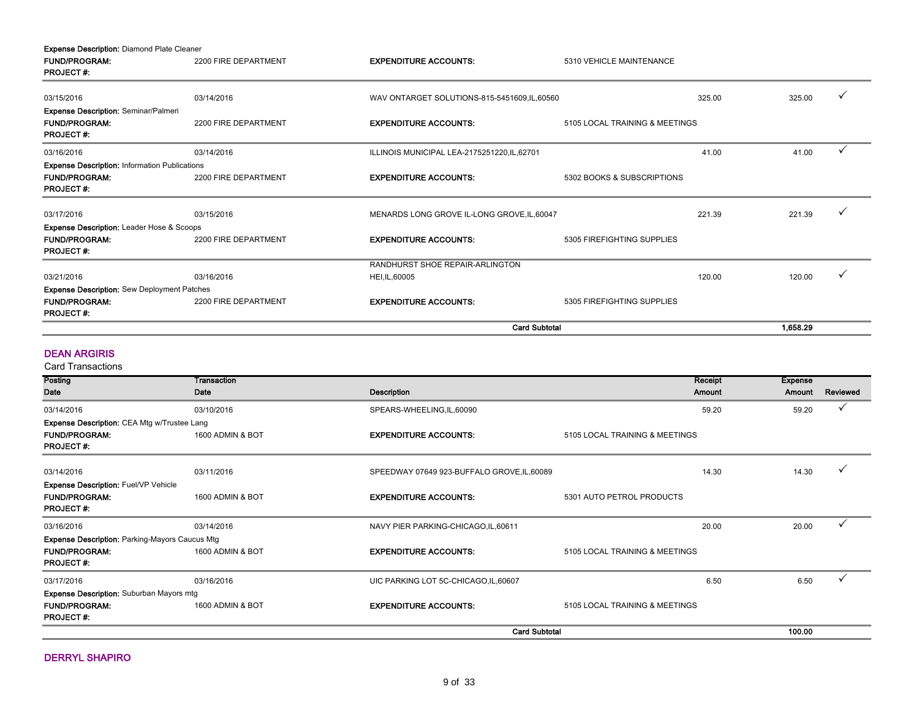| <b>Expense Description: Diamond Plate Cleaner</b>    |                      |                                               |                                |          |   |
|------------------------------------------------------|----------------------|-----------------------------------------------|--------------------------------|----------|---|
| <b>FUND/PROGRAM:</b>                                 | 2200 FIRE DEPARTMENT | <b>EXPENDITURE ACCOUNTS:</b>                  | 5310 VEHICLE MAINTENANCE       |          |   |
| <b>PROJECT#:</b>                                     |                      |                                               |                                |          |   |
| 03/15/2016                                           | 03/14/2016           | WAV ONTARGET SOLUTIONS-815-5451609, IL, 60560 | 325.00                         | 325.00   |   |
| <b>Expense Description: Seminar/Palmeri</b>          |                      |                                               |                                |          |   |
| <b>FUND/PROGRAM:</b>                                 | 2200 FIRE DEPARTMENT | <b>EXPENDITURE ACCOUNTS:</b>                  | 5105 LOCAL TRAINING & MEETINGS |          |   |
| <b>PROJECT#:</b>                                     |                      |                                               |                                |          |   |
| 03/16/2016                                           | 03/14/2016           | ILLINOIS MUNICIPAL LEA-2175251220, IL, 62701  | 41.00                          | 41.00    |   |
| <b>Expense Description: Information Publications</b> |                      |                                               |                                |          |   |
| <b>FUND/PROGRAM:</b>                                 | 2200 FIRE DEPARTMENT | <b>EXPENDITURE ACCOUNTS:</b>                  | 5302 BOOKS & SUBSCRIPTIONS     |          |   |
| <b>PROJECT#:</b>                                     |                      |                                               |                                |          |   |
| 03/17/2016                                           | 03/15/2016           | MENARDS LONG GROVE IL-LONG GROVE, IL, 60047   | 221.39                         | 221.39   |   |
| <b>Expense Description: Leader Hose &amp; Scoops</b> |                      |                                               |                                |          |   |
| <b>FUND/PROGRAM:</b>                                 | 2200 FIRE DEPARTMENT | <b>EXPENDITURE ACCOUNTS:</b>                  | 5305 FIREFIGHTING SUPPLIES     |          |   |
| <b>PROJECT#:</b>                                     |                      |                                               |                                |          |   |
|                                                      |                      | RANDHURST SHOE REPAIR-ARLINGTON               |                                |          |   |
| 03/21/2016                                           | 03/16/2016           | HEI, IL, 60005                                | 120.00                         | 120.00   | ✓ |
| <b>Expense Description:</b> Sew Deployment Patches   |                      |                                               |                                |          |   |
| <b>FUND/PROGRAM:</b>                                 | 2200 FIRE DEPARTMENT | <b>EXPENDITURE ACCOUNTS:</b>                  | 5305 FIREFIGHTING SUPPLIES     |          |   |
| <b>PROJECT#:</b>                                     |                      |                                               |                                |          |   |
|                                                      |                      |                                               | <b>Card Subtotal</b>           | 1,658.29 |   |

#### DEAN ARGIRIS

| Posting                                               | Transaction      |                                             | Receipt                        | <b>Expense</b> |          |
|-------------------------------------------------------|------------------|---------------------------------------------|--------------------------------|----------------|----------|
| <b>Date</b>                                           | Date             | Description                                 | <b>Amount</b>                  | Amount         | Reviewed |
| 03/14/2016                                            | 03/10/2016       | SPEARS-WHEELING, IL, 60090                  | 59.20                          | 59.20          |          |
| Expense Description: CEA Mtg w/Trustee Lang           |                  |                                             |                                |                |          |
| <b>FUND/PROGRAM:</b><br><b>PROJECT#:</b>              | 1600 ADMIN & BOT | <b>EXPENDITURE ACCOUNTS:</b>                | 5105 LOCAL TRAINING & MEETINGS |                |          |
|                                                       |                  |                                             |                                |                |          |
| 03/14/2016                                            | 03/11/2016       | SPEEDWAY 07649 923-BUFFALO GROVE, IL, 60089 | 14.30                          | 14.30          |          |
| <b>Expense Description: Fuel/VP Vehicle</b>           |                  |                                             |                                |                |          |
| <b>FUND/PROGRAM:</b>                                  | 1600 ADMIN & BOT | <b>EXPENDITURE ACCOUNTS:</b>                | 5301 AUTO PETROL PRODUCTS      |                |          |
| <b>PROJECT#:</b>                                      |                  |                                             |                                |                |          |
| 03/16/2016                                            | 03/14/2016       | NAVY PIER PARKING-CHICAGO, IL, 60611        | 20.00                          | 20.00          |          |
| <b>Expense Description: Parking-Mayors Caucus Mtg</b> |                  |                                             |                                |                |          |
| <b>FUND/PROGRAM:</b><br><b>PROJECT#:</b>              | 1600 ADMIN & BOT | <b>EXPENDITURE ACCOUNTS:</b>                | 5105 LOCAL TRAINING & MEETINGS |                |          |
| 03/17/2016                                            | 03/16/2016       | UIC PARKING LOT 5C-CHICAGO, IL, 60607       | 6.50                           | 6.50           |          |
| <b>Expense Description:</b> Suburban Mayors mtg       |                  |                                             |                                |                |          |
| <b>FUND/PROGRAM:</b>                                  | 1600 ADMIN & BOT | <b>EXPENDITURE ACCOUNTS:</b>                | 5105 LOCAL TRAINING & MEETINGS |                |          |
| <b>PROJECT#:</b>                                      |                  |                                             |                                |                |          |
|                                                       |                  | <b>Card Subtotal</b>                        |                                | 100.00         |          |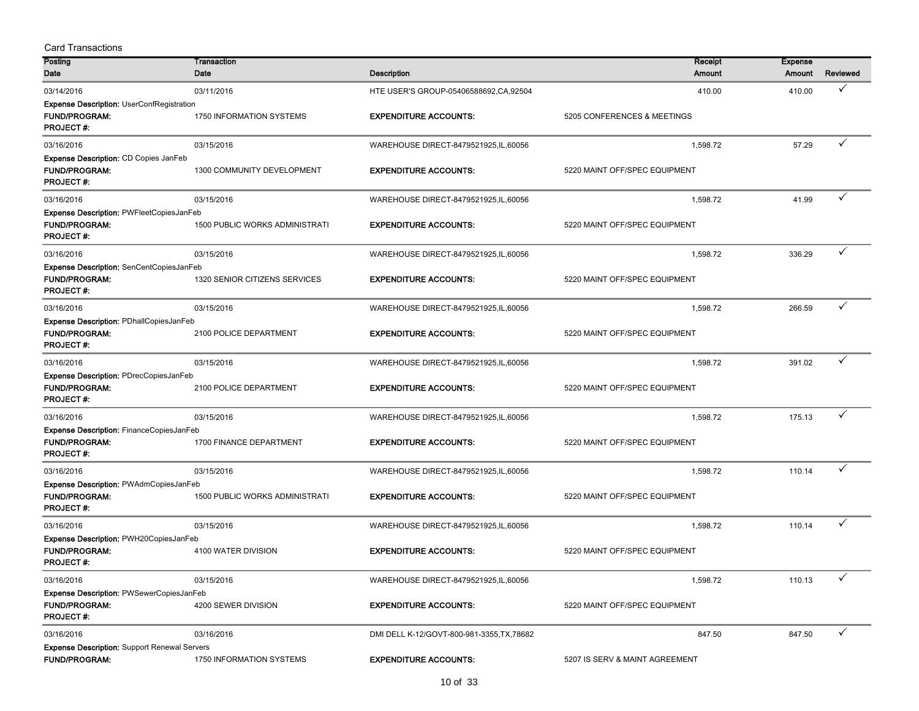| <b>Card Transactions</b>                                                                     |                                       |                                            |                                |                          |              |
|----------------------------------------------------------------------------------------------|---------------------------------------|--------------------------------------------|--------------------------------|--------------------------|--------------|
| Posting<br>Date                                                                              | Transaction<br>Date                   | <b>Description</b>                         | Receipt<br>Amount              | <b>Expense</b><br>Amount | Reviewed     |
| 03/14/2016                                                                                   | 03/11/2016                            | HTE USER'S GROUP-05406588692, CA, 92504    | 410.00                         | 410.00                   | ✓            |
| <b>Expense Description: UserConfRegistration</b><br><b>FUND/PROGRAM:</b><br><b>PROJECT#:</b> | 1750 INFORMATION SYSTEMS              | <b>EXPENDITURE ACCOUNTS:</b>               | 5205 CONFERENCES & MEETINGS    |                          |              |
| 03/16/2016                                                                                   | 03/15/2016                            | WAREHOUSE DIRECT-8479521925, IL, 60056     | 1,598.72                       | 57.29                    | ✓            |
| Expense Description: CD Copies JanFeb<br><b>FUND/PROGRAM:</b><br><b>PROJECT#:</b>            | 1300 COMMUNITY DEVELOPMENT            | <b>EXPENDITURE ACCOUNTS:</b>               | 5220 MAINT OFF/SPEC EQUIPMENT  |                          |              |
| 03/16/2016                                                                                   | 03/15/2016                            | WAREHOUSE DIRECT-8479521925, IL, 60056     | 1,598.72                       | 41.99                    | ✓            |
| Expense Description: PWFleetCopiesJanFeb<br><b>FUND/PROGRAM:</b><br>PROJECT#:                | <b>1500 PUBLIC WORKS ADMINISTRATI</b> | <b>EXPENDITURE ACCOUNTS:</b>               | 5220 MAINT OFF/SPEC EQUIPMENT  |                          |              |
| 03/16/2016                                                                                   | 03/15/2016                            | WAREHOUSE DIRECT-8479521925, IL, 60056     | 1,598.72                       | 336.29                   | ✓            |
| Expense Description: SenCentCopiesJanFeb<br><b>FUND/PROGRAM:</b><br><b>PROJECT#:</b>         | 1320 SENIOR CITIZENS SERVICES         | <b>EXPENDITURE ACCOUNTS:</b>               | 5220 MAINT OFF/SPEC EQUIPMENT  |                          |              |
| 03/16/2016                                                                                   | 03/15/2016                            | WAREHOUSE DIRECT-8479521925, IL, 60056     | 1,598.72                       | 266.59                   | ✓            |
| Expense Description: PDhallCopiesJanFeb<br><b>FUND/PROGRAM:</b><br><b>PROJECT#:</b>          | 2100 POLICE DEPARTMENT                | <b>EXPENDITURE ACCOUNTS:</b>               | 5220 MAINT OFF/SPEC EQUIPMENT  |                          |              |
| 03/16/2016                                                                                   | 03/15/2016                            | WAREHOUSE DIRECT-8479521925, IL, 60056     | 1,598.72                       | 391.02                   | ✓            |
| Expense Description: PDrecCopiesJanFeb<br><b>FUND/PROGRAM:</b><br><b>PROJECT#:</b>           | 2100 POLICE DEPARTMENT                | <b>EXPENDITURE ACCOUNTS:</b>               | 5220 MAINT OFF/SPEC EQUIPMENT  |                          |              |
| 03/16/2016                                                                                   | 03/15/2016                            | WAREHOUSE DIRECT-8479521925, IL, 60056     | 1,598.72                       | 175.13                   | ✓            |
| Expense Description: FinanceCopiesJanFeb<br><b>FUND/PROGRAM:</b><br><b>PROJECT#:</b>         | 1700 FINANCE DEPARTMENT               | <b>EXPENDITURE ACCOUNTS:</b>               | 5220 MAINT OFF/SPEC EQUIPMENT  |                          |              |
| 03/16/2016                                                                                   | 03/15/2016                            | WAREHOUSE DIRECT-8479521925, IL, 60056     | 1,598.72                       | 110.14                   | $\checkmark$ |
| Expense Description: PWAdmCopiesJanFeb<br><b>FUND/PROGRAM:</b><br><b>PROJECT#:</b>           | <b>1500 PUBLIC WORKS ADMINISTRATI</b> | <b>EXPENDITURE ACCOUNTS:</b>               | 5220 MAINT OFF/SPEC EQUIPMENT  |                          |              |
| 03/16/2016                                                                                   | 03/15/2016                            | WAREHOUSE DIRECT-8479521925, IL, 60056     | 1,598.72                       | 110.14                   | ✓            |
| Expense Description: PWH20CopiesJanFeb<br><b>FUND/PROGRAM:</b><br>PROJECT#:                  | 4100 WATER DIVISION                   | <b>EXPENDITURE ACCOUNTS:</b>               | 5220 MAINT OFF/SPEC EQUIPMENT  |                          |              |
| 03/16/2016                                                                                   | 03/15/2016                            | WAREHOUSE DIRECT-8479521925, IL, 60056     | 1,598.72                       | 110.13                   | ✓            |
| Expense Description: PWSewerCopiesJanFeb<br><b>FUND/PROGRAM:</b><br><b>PROJECT#:</b>         | 4200 SEWER DIVISION                   | <b>EXPENDITURE ACCOUNTS:</b>               | 5220 MAINT OFF/SPEC EQUIPMENT  |                          |              |
| 03/16/2016                                                                                   | 03/16/2016                            | DMI DELL K-12/GOVT-800-981-3355, TX, 78682 | 847.50                         | 847.50                   | ✓            |
| <b>Expense Description: Support Renewal Servers</b><br><b>FUND/PROGRAM:</b>                  | 1750 INFORMATION SYSTEMS              | <b>EXPENDITURE ACCOUNTS:</b>               | 5207 IS SERV & MAINT AGREEMENT |                          |              |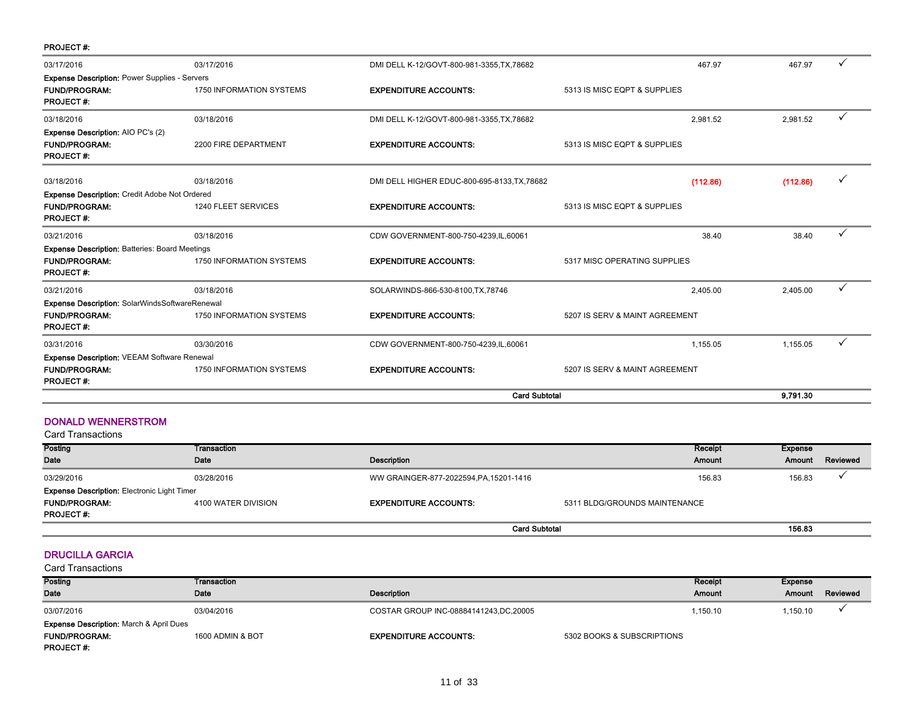| <b>PROJECT#:</b>                                      |                                 |                                              |                                |          |              |
|-------------------------------------------------------|---------------------------------|----------------------------------------------|--------------------------------|----------|--------------|
| 03/17/2016                                            | 03/17/2016                      | DMI DELL K-12/GOVT-800-981-3355, TX, 78682   | 467.97                         | 467.97   |              |
| <b>Expense Description: Power Supplies - Servers</b>  |                                 |                                              |                                |          |              |
| <b>FUND/PROGRAM:</b><br><b>PROJECT#:</b>              | <b>1750 INFORMATION SYSTEMS</b> | <b>EXPENDITURE ACCOUNTS:</b>                 | 5313 IS MISC EQPT & SUPPLIES   |          |              |
| 03/18/2016                                            | 03/18/2016                      | DMI DELL K-12/GOVT-800-981-3355, TX, 78682   | 2,981.52                       | 2,981.52 | ✓            |
| <b>Expense Description: AIO PC's (2)</b>              |                                 |                                              |                                |          |              |
| <b>FUND/PROGRAM:</b><br><b>PROJECT#:</b>              | 2200 FIRE DEPARTMENT            | <b>EXPENDITURE ACCOUNTS:</b>                 | 5313 IS MISC EQPT & SUPPLIES   |          |              |
| 03/18/2016                                            | 03/18/2016                      | DMI DELL HIGHER EDUC-800-695-8133, TX, 78682 | (112.86)                       | (112.86) |              |
| <b>Expense Description: Credit Adobe Not Ordered</b>  |                                 |                                              |                                |          |              |
| <b>FUND/PROGRAM:</b><br><b>PROJECT#:</b>              | 1240 FLEET SERVICES             | <b>EXPENDITURE ACCOUNTS:</b>                 | 5313 IS MISC EQPT & SUPPLIES   |          |              |
| 03/21/2016                                            | 03/18/2016                      | CDW GOVERNMENT-800-750-4239, IL, 60061       | 38.40                          | 38.40    | $\checkmark$ |
| <b>Expense Description: Batteries: Board Meetings</b> |                                 |                                              |                                |          |              |
| <b>FUND/PROGRAM:</b><br><b>PROJECT#:</b>              | <b>1750 INFORMATION SYSTEMS</b> | <b>EXPENDITURE ACCOUNTS:</b>                 | 5317 MISC OPERATING SUPPLIES   |          |              |
| 03/21/2016                                            | 03/18/2016                      | SOLARWINDS-866-530-8100, TX, 78746           | 2.405.00                       | 2,405.00 |              |
| <b>Expense Description: SolarWindsSoftwareRenewal</b> |                                 |                                              |                                |          |              |
| <b>FUND/PROGRAM:</b><br><b>PROJECT#:</b>              | <b>1750 INFORMATION SYSTEMS</b> | <b>EXPENDITURE ACCOUNTS:</b>                 | 5207 IS SERV & MAINT AGREEMENT |          |              |
| 03/31/2016                                            | 03/30/2016                      | CDW GOVERNMENT-800-750-4239, IL, 60061       | 1.155.05                       | 1.155.05 | ✓            |
| <b>Expense Description: VEEAM Software Renewal</b>    |                                 |                                              |                                |          |              |
| <b>FUND/PROGRAM:</b><br><b>PROJECT#:</b>              | <b>1750 INFORMATION SYSTEMS</b> | <b>EXPENDITURE ACCOUNTS:</b>                 | 5207 IS SERV & MAINT AGREEMENT |          |              |
|                                                       |                                 | <b>Card Subtotal</b>                         |                                | 9,791.30 |              |

#### DONALD WENNERSTROM

|  | <b>Card Transactions</b> |
|--|--------------------------|
|--|--------------------------|

| Posting                                            | Transaction         |                                         | Receipt                       | Expense |          |
|----------------------------------------------------|---------------------|-----------------------------------------|-------------------------------|---------|----------|
| Date                                               | Date                | Description                             | Amount                        | Amount  | Reviewed |
| 03/29/2016                                         | 03/28/2016          | WW GRAINGER-877-2022594, PA, 15201-1416 | 156.83                        | 156.83  |          |
| <b>Expense Description: Electronic Light Timer</b> |                     |                                         |                               |         |          |
| <b>FUND/PROGRAM:</b>                               | 4100 WATER DIVISION | <b>EXPENDITURE ACCOUNTS:</b>            | 5311 BLDG/GROUNDS MAINTENANCE |         |          |
| <b>PROJECT#:</b>                                   |                     |                                         |                               |         |          |
|                                                    |                     |                                         | <b>Card Subtotal</b>          |         |          |

#### DRUCILLA GARCIA

| Posting                                            | Transaction      |                                         |                            | Receipt  | Expense  |          |
|----------------------------------------------------|------------------|-----------------------------------------|----------------------------|----------|----------|----------|
| Date                                               | Date             | <b>Description</b>                      |                            | Amount   | Amount   | Reviewed |
| 03/07/2016                                         | 03/04/2016       | COSTAR GROUP INC-08884141243, DC, 20005 |                            | 1.150.10 | 1,150.10 |          |
| <b>Expense Description: March &amp; April Dues</b> |                  |                                         |                            |          |          |          |
| <b>FUND/PROGRAM:</b>                               | 1600 ADMIN & BOT | <b>EXPENDITURE ACCOUNTS:</b>            | 5302 BOOKS & SUBSCRIPTIONS |          |          |          |
| <b>PROJECT#:</b>                                   |                  |                                         |                            |          |          |          |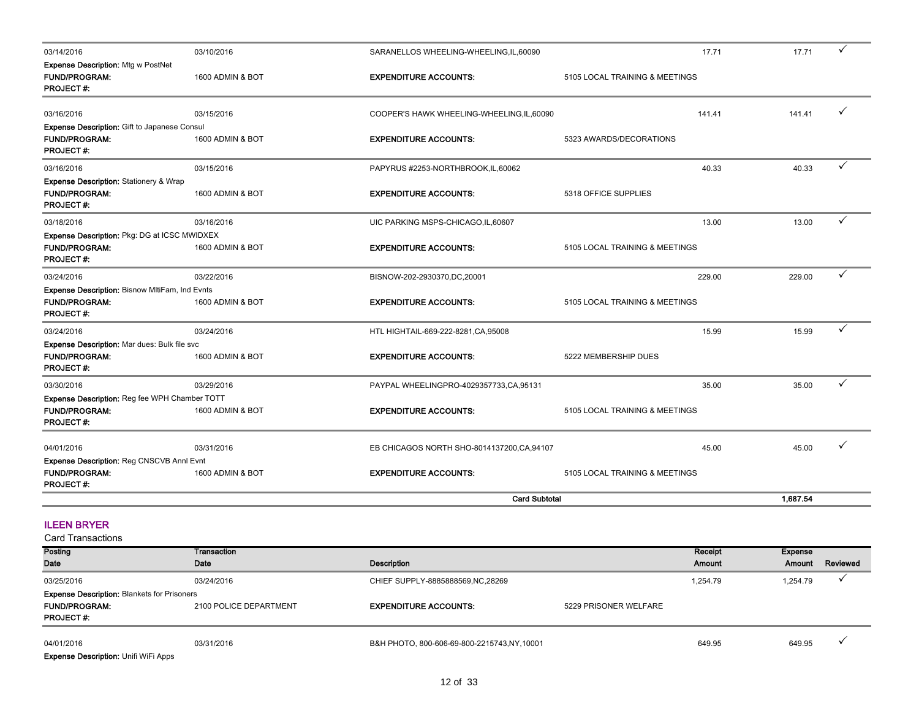| 03/14/2016                                                                                 | 03/10/2016       | SARANELLOS WHEELING-WHEELING,IL,60090       | 17.71                          | 17.71    | $\checkmark$ |
|--------------------------------------------------------------------------------------------|------------------|---------------------------------------------|--------------------------------|----------|--------------|
| Expense Description: Mtg w PostNet<br><b>FUND/PROGRAM:</b><br><b>PROJECT#:</b>             | 1600 ADMIN & BOT | <b>EXPENDITURE ACCOUNTS:</b>                | 5105 LOCAL TRAINING & MEETINGS |          |              |
| 03/16/2016                                                                                 | 03/15/2016       | COOPER'S HAWK WHEELING-WHEELING, IL, 60090  | 141.41                         | 141.41   | ✓            |
| Expense Description: Gift to Japanese Consul<br><b>FUND/PROGRAM:</b><br><b>PROJECT#:</b>   | 1600 ADMIN & BOT | <b>EXPENDITURE ACCOUNTS:</b>                | 5323 AWARDS/DECORATIONS        |          |              |
| 03/16/2016                                                                                 | 03/15/2016       | PAPYRUS #2253-NORTHBROOK, IL, 60062         | 40.33                          | 40.33    | ✓            |
| Expense Description: Stationery & Wrap<br><b>FUND/PROGRAM:</b><br>PROJECT#:                | 1600 ADMIN & BOT | <b>EXPENDITURE ACCOUNTS:</b>                | 5318 OFFICE SUPPLIES           |          |              |
| 03/18/2016                                                                                 | 03/16/2016       | UIC PARKING MSPS-CHICAGO, IL, 60607         | 13.00                          | 13.00    | ✓            |
| Expense Description: Pkg: DG at ICSC MWIDXEX<br><b>FUND/PROGRAM:</b><br><b>PROJECT#:</b>   | 1600 ADMIN & BOT | <b>EXPENDITURE ACCOUNTS:</b>                | 5105 LOCAL TRAINING & MEETINGS |          |              |
| 03/24/2016                                                                                 | 03/22/2016       | BISNOW-202-2930370,DC,20001                 | 229.00                         | 229.00   | ✓            |
| Expense Description: Bisnow MItiFam, Ind Evnts<br><b>FUND/PROGRAM:</b><br><b>PROJECT#:</b> | 1600 ADMIN & BOT | <b>EXPENDITURE ACCOUNTS:</b>                | 5105 LOCAL TRAINING & MEETINGS |          |              |
| 03/24/2016                                                                                 | 03/24/2016       | HTL HIGHTAIL-669-222-8281, CA, 95008        | 15.99                          | 15.99    | ✓            |
| Expense Description: Mar dues: Bulk file svc<br><b>FUND/PROGRAM:</b><br><b>PROJECT#:</b>   | 1600 ADMIN & BOT | <b>EXPENDITURE ACCOUNTS:</b>                | 5222 MEMBERSHIP DUES           |          |              |
| 03/30/2016                                                                                 | 03/29/2016       | PAYPAL WHEELINGPRO-4029357733,CA,95131      | 35.00                          | 35.00    | ✓            |
| Expense Description: Reg fee WPH Chamber TOTT<br><b>FUND/PROGRAM:</b><br><b>PROJECT#:</b>  | 1600 ADMIN & BOT | <b>EXPENDITURE ACCOUNTS:</b>                | 5105 LOCAL TRAINING & MEETINGS |          |              |
| 04/01/2016                                                                                 | 03/31/2016       | EB CHICAGOS NORTH SHO-8014137200, CA, 94107 | 45.00                          | 45.00    |              |
| Expense Description: Reg CNSCVB Annl Evnt                                                  |                  |                                             |                                |          |              |
| <b>FUND/PROGRAM:</b><br><b>PROJECT#:</b>                                                   | 1600 ADMIN & BOT | <b>EXPENDITURE ACCOUNTS:</b>                | 5105 LOCAL TRAINING & MEETINGS |          |              |
|                                                                                            |                  | <b>Card Subtotal</b>                        |                                | 1,687.54 |              |

# ILEEN BRYER

Card Transactions

| Posting                                            | Transaction            |                                            |                       | Receipt  | Expense  |          |
|----------------------------------------------------|------------------------|--------------------------------------------|-----------------------|----------|----------|----------|
| Date                                               | Date                   | Description                                |                       | Amount   | Amount   | Reviewed |
| 03/25/2016                                         | 03/24/2016             | CHIEF SUPPLY-8885888569, NC, 28269         |                       | 1.254.79 | 1,254.79 |          |
| <b>Expense Description: Blankets for Prisoners</b> |                        |                                            |                       |          |          |          |
| <b>FUND/PROGRAM:</b>                               | 2100 POLICE DEPARTMENT | <b>EXPENDITURE ACCOUNTS:</b>               | 5229 PRISONER WELFARE |          |          |          |
| <b>PROJECT#:</b>                                   |                        |                                            |                       |          |          |          |
|                                                    |                        |                                            |                       |          |          |          |
| 04/01/2016                                         | 03/31/2016             | B&H PHOTO, 800-606-69-800-2215743,NY,10001 |                       | 649.95   | 649.95   |          |

Expense Description: Unifi WiFi Apps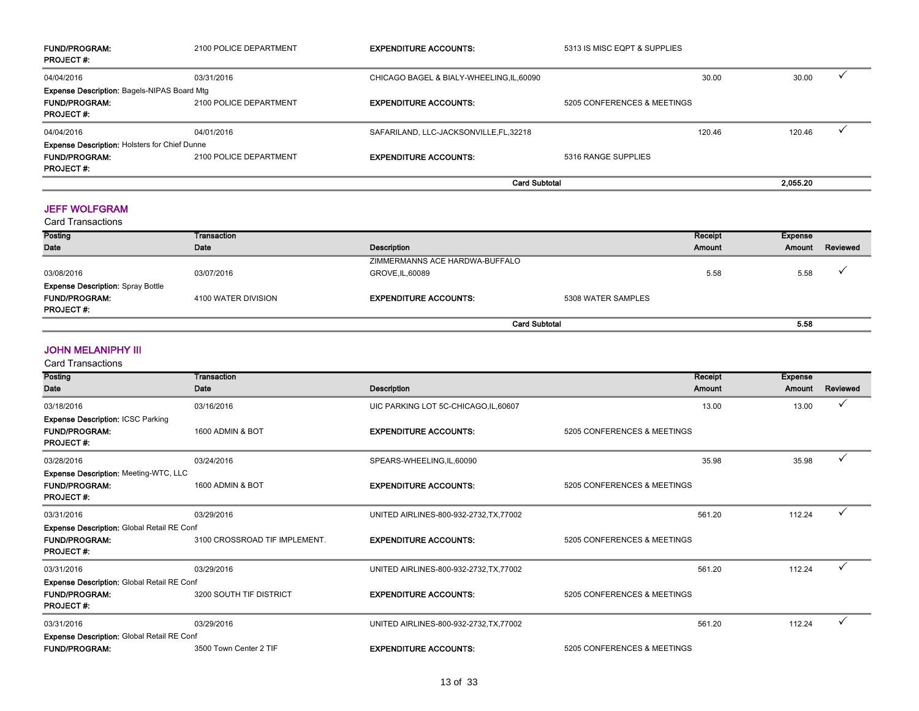| <b>FUND/PROGRAM:</b><br><b>PROJECT#:</b>             | 2100 POLICE DEPARTMENT | <b>EXPENDITURE ACCOUNTS:</b>            | 5313 IS MISC EQPT & SUPPLIES |        |          |  |
|------------------------------------------------------|------------------------|-----------------------------------------|------------------------------|--------|----------|--|
| 04/04/2016                                           | 03/31/2016             | CHICAGO BAGEL & BIALY-WHEELING.IL.60090 |                              | 30.00  | 30.00    |  |
| <b>Expense Description: Bagels-NIPAS Board Mtg</b>   |                        |                                         |                              |        |          |  |
| <b>FUND/PROGRAM:</b>                                 | 2100 POLICE DEPARTMENT | <b>EXPENDITURE ACCOUNTS:</b>            | 5205 CONFERENCES & MEETINGS  |        |          |  |
| <b>PROJECT#:</b>                                     |                        |                                         |                              |        |          |  |
| 04/04/2016                                           | 04/01/2016             | SAFARILAND, LLC-JACKSONVILLE, FL, 32218 |                              | 120.46 | 120.46   |  |
| <b>Expense Description: Holsters for Chief Dunne</b> |                        |                                         |                              |        |          |  |
| <b>FUND/PROGRAM:</b>                                 | 2100 POLICE DEPARTMENT | <b>EXPENDITURE ACCOUNTS:</b>            | 5316 RANGE SUPPLIES          |        |          |  |
| <b>PROJECT#:</b>                                     |                        |                                         |                              |        |          |  |
|                                                      |                        | <b>Card Subtotal</b>                    |                              |        | 2.055.20 |  |

#### JEFF WOLFGRAM

| Card Transactions                        |                     |                                |                      |         |         |          |
|------------------------------------------|---------------------|--------------------------------|----------------------|---------|---------|----------|
| Posting                                  | Transaction         |                                |                      | Receipt | Expense |          |
| Date                                     | Date                | Description                    |                      | Amount  | Amount  | Reviewed |
|                                          |                     | ZIMMERMANNS ACE HARDWA-BUFFALO |                      |         |         |          |
| 03/08/2016                               | 03/07/2016          | GROVE, IL, 60089               |                      | 5.58    | 5.58    |          |
| <b>Expense Description: Spray Bottle</b> |                     |                                |                      |         |         |          |
| <b>FUND/PROGRAM:</b>                     | 4100 WATER DIVISION | <b>EXPENDITURE ACCOUNTS:</b>   | 5308 WATER SAMPLES   |         |         |          |
| <b>PROJECT#:</b>                         |                     |                                |                      |         |         |          |
|                                          |                     |                                | <b>Card Subtotal</b> |         | 5.58    |          |

#### JOHN MELANIPHY III

| Posting                                                                                       | Transaction                   |                                         | Receipt                     | <b>Expense</b> |              |
|-----------------------------------------------------------------------------------------------|-------------------------------|-----------------------------------------|-----------------------------|----------------|--------------|
| <b>Date</b>                                                                                   | Date                          | Description                             | Amount                      | Amount         | Reviewed     |
| 03/18/2016                                                                                    | 03/16/2016                    | UIC PARKING LOT 5C-CHICAGO,IL,60607     | 13.00                       | 13.00          | V            |
| <b>Expense Description: ICSC Parking</b><br><b>FUND/PROGRAM:</b><br><b>PROJECT#:</b>          | 1600 ADMIN & BOT              | <b>EXPENDITURE ACCOUNTS:</b>            | 5205 CONFERENCES & MEETINGS |                |              |
| 03/28/2016                                                                                    | 03/24/2016                    | SPEARS-WHEELING,IL,60090                | 35.98                       | 35.98          | $\checkmark$ |
| <b>Expense Description: Meeting-WTC, LLC</b><br><b>FUND/PROGRAM:</b><br><b>PROJECT#:</b>      | 1600 ADMIN & BOT              | <b>EXPENDITURE ACCOUNTS:</b>            | 5205 CONFERENCES & MEETINGS |                |              |
| 03/31/2016                                                                                    | 03/29/2016                    | UNITED AIRLINES-800-932-2732, TX, 77002 | 561.20                      | 112.24         | $\checkmark$ |
| <b>Expense Description: Global Retail RE Conf</b><br><b>FUND/PROGRAM:</b><br><b>PROJECT#:</b> | 3100 CROSSROAD TIF IMPLEMENT. | <b>EXPENDITURE ACCOUNTS:</b>            | 5205 CONFERENCES & MEETINGS |                |              |
| 03/31/2016                                                                                    | 03/29/2016                    | UNITED AIRLINES-800-932-2732.TX.77002   | 561.20                      | 112.24         | $\checkmark$ |
| Expense Description: Global Retail RE Conf<br><b>FUND/PROGRAM:</b><br><b>PROJECT#:</b>        | 3200 SOUTH TIF DISTRICT       | <b>EXPENDITURE ACCOUNTS:</b>            | 5205 CONFERENCES & MEETINGS |                |              |
| 03/31/2016                                                                                    | 03/29/2016                    | UNITED AIRLINES-800-932-2732, TX, 77002 | 561.20                      | 112.24         | $\checkmark$ |
| Expense Description: Global Retail RE Conf                                                    |                               |                                         |                             |                |              |
| <b>FUND/PROGRAM:</b>                                                                          | 3500 Town Center 2 TIF        | <b>EXPENDITURE ACCOUNTS:</b>            | 5205 CONFERENCES & MEETINGS |                |              |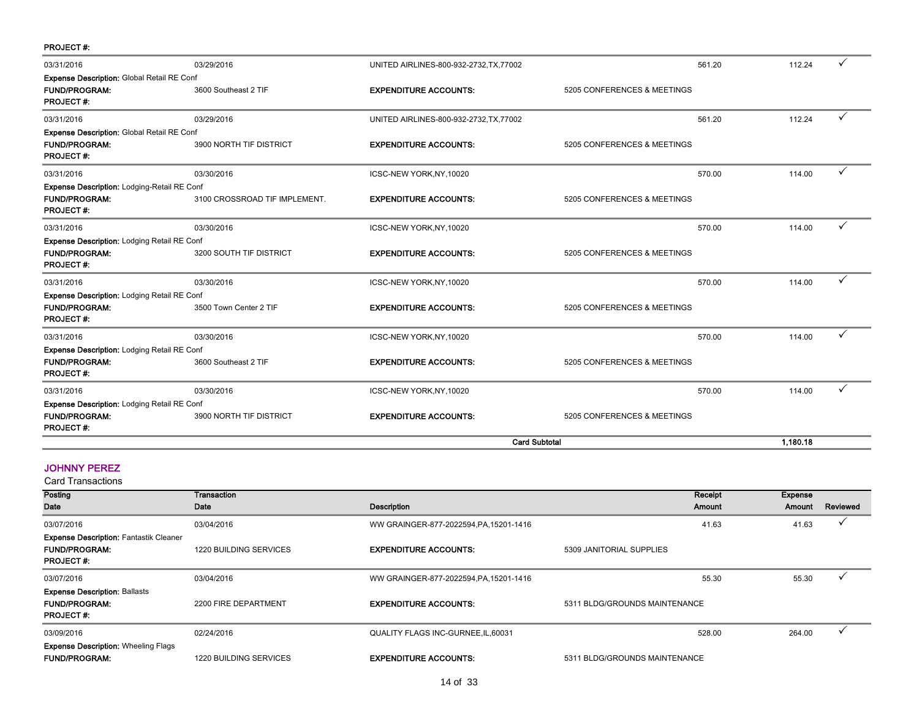| <b>PROJECT#:</b>                                                                               |                               |                                         |                             |          |   |
|------------------------------------------------------------------------------------------------|-------------------------------|-----------------------------------------|-----------------------------|----------|---|
| 03/31/2016                                                                                     | 03/29/2016                    | UNITED AIRLINES-800-932-2732, TX, 77002 | 561.20                      | 112.24   |   |
| <b>Expense Description: Global Retail RE Conf</b>                                              |                               |                                         |                             |          |   |
| <b>FUND/PROGRAM:</b><br><b>PROJECT#:</b>                                                       | 3600 Southeast 2 TIF          | <b>EXPENDITURE ACCOUNTS:</b>            | 5205 CONFERENCES & MEETINGS |          |   |
| 03/31/2016                                                                                     | 03/29/2016                    | UNITED AIRLINES-800-932-2732, TX, 77002 | 561.20                      | 112.24   | ✓ |
| Expense Description: Global Retail RE Conf                                                     |                               |                                         |                             |          |   |
| <b>FUND/PROGRAM:</b><br><b>PROJECT#:</b>                                                       | 3900 NORTH TIF DISTRICT       | <b>EXPENDITURE ACCOUNTS:</b>            | 5205 CONFERENCES & MEETINGS |          |   |
| 03/31/2016                                                                                     | 03/30/2016                    | ICSC-NEW YORK, NY, 10020                | 570.00                      | 114.00   | ✓ |
| <b>Expense Description: Lodging-Retail RE Conf</b><br><b>FUND/PROGRAM:</b><br><b>PROJECT#:</b> | 3100 CROSSROAD TIF IMPLEMENT. | <b>EXPENDITURE ACCOUNTS:</b>            | 5205 CONFERENCES & MEETINGS |          |   |
| 03/31/2016                                                                                     | 03/30/2016                    | ICSC-NEW YORK, NY, 10020                | 570.00                      | 114.00   | ✓ |
| Expense Description: Lodging Retail RE Conf                                                    |                               |                                         |                             |          |   |
| <b>FUND/PROGRAM:</b><br><b>PROJECT#:</b>                                                       | 3200 SOUTH TIF DISTRICT       | <b>EXPENDITURE ACCOUNTS:</b>            | 5205 CONFERENCES & MEETINGS |          |   |
| 03/31/2016                                                                                     | 03/30/2016                    | ICSC-NEW YORK, NY, 10020                | 570.00                      | 114.00   | ✓ |
| Expense Description: Lodging Retail RE Conf                                                    |                               |                                         |                             |          |   |
| <b>FUND/PROGRAM:</b><br><b>PROJECT#:</b>                                                       | 3500 Town Center 2 TIF        | <b>EXPENDITURE ACCOUNTS:</b>            | 5205 CONFERENCES & MEETINGS |          |   |
| 03/31/2016                                                                                     | 03/30/2016                    | ICSC-NEW YORK, NY, 10020                | 570.00                      | 114.00   | ✓ |
| <b>Expense Description: Lodging Retail RE Conf</b>                                             |                               |                                         |                             |          |   |
| <b>FUND/PROGRAM:</b><br><b>PROJECT#:</b>                                                       | 3600 Southeast 2 TIF          | <b>EXPENDITURE ACCOUNTS:</b>            | 5205 CONFERENCES & MEETINGS |          |   |
| 03/31/2016                                                                                     | 03/30/2016                    | ICSC-NEW YORK, NY, 10020                | 570.00                      | 114.00   | ✓ |
| <b>Expense Description: Lodging Retail RE Conf</b>                                             |                               |                                         |                             |          |   |
| <b>FUND/PROGRAM:</b><br><b>PROJECT#:</b>                                                       | 3900 NORTH TIF DISTRICT       | <b>EXPENDITURE ACCOUNTS:</b>            | 5205 CONFERENCES & MEETINGS |          |   |
|                                                                                                |                               | <b>Card Subtotal</b>                    |                             | 1,180.18 |   |

# JOHNNY PEREZ

| Posting                                                                                   | <b>Transaction</b>            |                                         | Receipt                       | Expense |          |
|-------------------------------------------------------------------------------------------|-------------------------------|-----------------------------------------|-------------------------------|---------|----------|
| Date                                                                                      | Date                          | Description                             | Amount                        | Amount  | Reviewed |
| 03/07/2016                                                                                | 03/04/2016                    | WW GRAINGER-877-2022594, PA, 15201-1416 | 41.63                         | 41.63   |          |
| <b>Expense Description: Fantastik Cleaner</b><br><b>FUND/PROGRAM:</b><br><b>PROJECT#:</b> | <b>1220 BUILDING SERVICES</b> | <b>EXPENDITURE ACCOUNTS:</b>            | 5309 JANITORIAL SUPPLIES      |         |          |
| 03/07/2016                                                                                | 03/04/2016                    | WW GRAINGER-877-2022594, PA, 15201-1416 | 55.30                         | 55.30   |          |
| <b>Expense Description: Ballasts</b><br><b>FUND/PROGRAM:</b><br><b>PROJECT#:</b>          | 2200 FIRE DEPARTMENT          | <b>EXPENDITURE ACCOUNTS:</b>            | 5311 BLDG/GROUNDS MAINTENANCE |         |          |
| 03/09/2016                                                                                | 02/24/2016                    | QUALITY FLAGS INC-GURNEE, IL, 60031     | 528.00                        | 264.00  |          |
| <b>Expense Description: Wheeling Flags</b><br><b>FUND/PROGRAM:</b>                        | <b>1220 BUILDING SERVICES</b> | <b>EXPENDITURE ACCOUNTS:</b>            | 5311 BLDG/GROUNDS MAINTENANCE |         |          |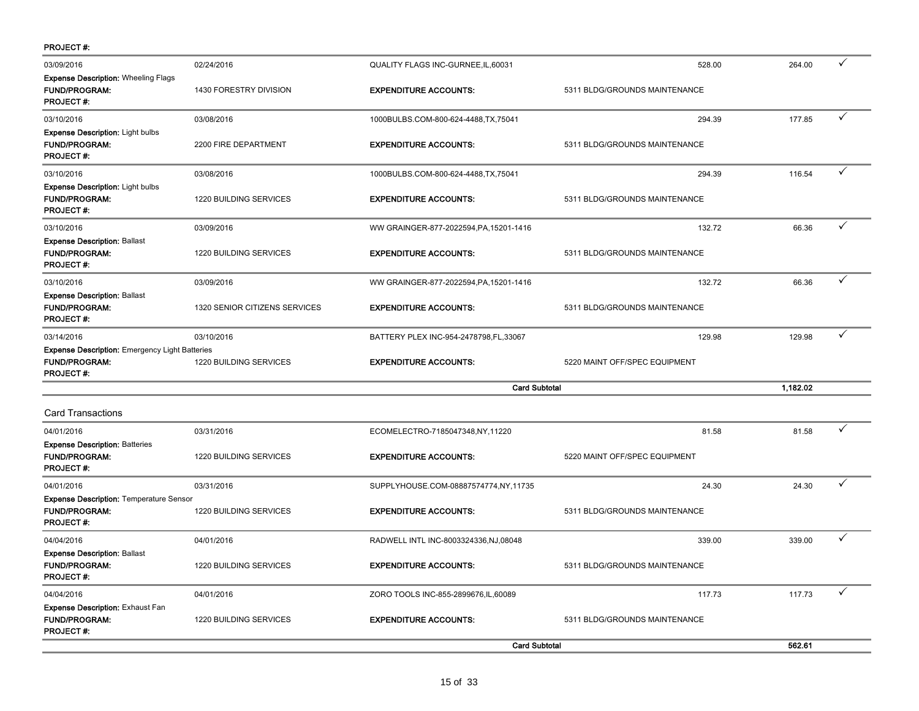| <b>PROJECT#:</b>                                                                                  |                               |                                         |                               |          |              |
|---------------------------------------------------------------------------------------------------|-------------------------------|-----------------------------------------|-------------------------------|----------|--------------|
| 03/09/2016                                                                                        | 02/24/2016                    | QUALITY FLAGS INC-GURNEE, IL, 60031     | 528.00                        | 264.00   | ✓            |
| <b>Expense Description: Wheeling Flags</b><br><b>FUND/PROGRAM:</b><br><b>PROJECT#:</b>            | 1430 FORESTRY DIVISION        | <b>EXPENDITURE ACCOUNTS:</b>            | 5311 BLDG/GROUNDS MAINTENANCE |          |              |
| 03/10/2016                                                                                        | 03/08/2016                    | 1000BULBS.COM-800-624-4488,TX,75041     | 294.39                        | 177.85   | $\checkmark$ |
| <b>Expense Description: Light bulbs</b><br><b>FUND/PROGRAM:</b><br><b>PROJECT#:</b>               | 2200 FIRE DEPARTMENT          | <b>EXPENDITURE ACCOUNTS:</b>            | 5311 BLDG/GROUNDS MAINTENANCE |          |              |
| 03/10/2016                                                                                        | 03/08/2016                    | 1000BULBS.COM-800-624-4488,TX,75041     | 294.39                        | 116.54   | ✓            |
| <b>Expense Description: Light bulbs</b><br><b>FUND/PROGRAM:</b><br><b>PROJECT#:</b>               | 1220 BUILDING SERVICES        | <b>EXPENDITURE ACCOUNTS:</b>            | 5311 BLDG/GROUNDS MAINTENANCE |          |              |
| 03/10/2016                                                                                        | 03/09/2016                    | WW GRAINGER-877-2022594, PA, 15201-1416 | 132.72                        | 66.36    | ✓            |
| <b>Expense Description: Ballast</b><br><b>FUND/PROGRAM:</b><br><b>PROJECT#:</b>                   | 1220 BUILDING SERVICES        | <b>EXPENDITURE ACCOUNTS:</b>            | 5311 BLDG/GROUNDS MAINTENANCE |          |              |
| 03/10/2016                                                                                        | 03/09/2016                    | WW GRAINGER-877-2022594, PA, 15201-1416 | 132.72                        | 66.36    | ✓            |
| <b>Expense Description: Ballast</b><br><b>FUND/PROGRAM:</b><br><b>PROJECT#:</b>                   | 1320 SENIOR CITIZENS SERVICES | <b>EXPENDITURE ACCOUNTS:</b>            | 5311 BLDG/GROUNDS MAINTENANCE |          |              |
| 03/14/2016                                                                                        | 03/10/2016                    | BATTERY PLEX INC-954-2478798,FL,33067   | 129.98                        | 129.98   | ✓            |
| <b>Expense Description: Emergency Light Batteries</b><br><b>FUND/PROGRAM:</b><br><b>PROJECT#:</b> | 1220 BUILDING SERVICES        | <b>EXPENDITURE ACCOUNTS:</b>            | 5220 MAINT OFF/SPEC EQUIPMENT |          |              |
|                                                                                                   |                               | <b>Card Subtotal</b>                    |                               | 1,182.02 |              |
| <b>Card Transactions</b>                                                                          |                               |                                         |                               |          |              |
| 04/01/2016                                                                                        | 03/31/2016                    | ECOMELECTRO-7185047348,NY,11220         | 81.58                         | 81.58    | ✓            |
| <b>Expense Description: Batteries</b><br><b>FUND/PROGRAM:</b><br><b>PROJECT#:</b>                 | 1220 BUILDING SERVICES        | <b>EXPENDITURE ACCOUNTS:</b>            | 5220 MAINT OFF/SPEC EQUIPMENT |          |              |
| 04/01/2016                                                                                        | 03/31/2016                    | SUPPLYHOUSE.COM-08887574774,NY,11735    | 24.30                         | 24.30    | ✓            |
| <b>Expense Description: Temperature Sensor</b><br><b>FUND/PROGRAM:</b><br><b>PROJECT#:</b>        | 1220 BUILDING SERVICES        | <b>EXPENDITURE ACCOUNTS:</b>            | 5311 BLDG/GROUNDS MAINTENANCE |          |              |
| 04/04/2016                                                                                        | 04/01/2016                    | RADWELL INTL INC-8003324336, NJ, 08048  | 339.00                        | 339.00   | ✓            |
| <b>Expense Description: Ballast</b><br><b>FUND/PROGRAM:</b><br><b>PROJECT#:</b>                   | 1220 BUILDING SERVICES        | <b>EXPENDITURE ACCOUNTS:</b>            | 5311 BLDG/GROUNDS MAINTENANCE |          |              |
| 04/04/2016                                                                                        | 04/01/2016                    | ZORO TOOLS INC-855-2899676, IL, 60089   | 117.73                        | 117.73   | ✓            |
| <b>Expense Description: Exhaust Fan</b><br><b>FUND/PROGRAM:</b><br><b>PROJECT#:</b>               | 1220 BUILDING SERVICES        | <b>EXPENDITURE ACCOUNTS:</b>            | 5311 BLDG/GROUNDS MAINTENANCE |          |              |
|                                                                                                   |                               | <b>Card Subtotal</b>                    |                               | 562.61   |              |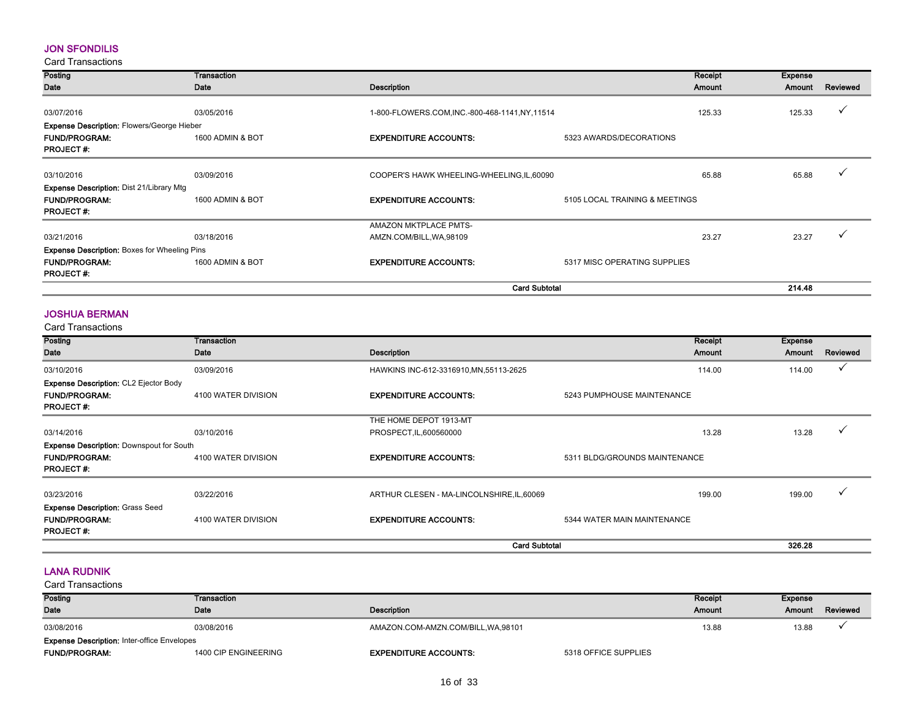#### JON SFONDILIS

Card Transactions

| Posting                                             | Transaction      |                                              |                                | Receipt | <b>Expense</b> |          |
|-----------------------------------------------------|------------------|----------------------------------------------|--------------------------------|---------|----------------|----------|
| Date                                                | Date             | Description                                  |                                | Amount  | Amount         | Reviewed |
|                                                     |                  |                                              |                                |         |                |          |
| 03/07/2016                                          | 03/05/2016       | 1-800-FLOWERS.COM.INC.-800-468-1141.NY.11514 |                                | 125.33  | 125.33         |          |
| <b>Expense Description: Flowers/George Hieber</b>   |                  |                                              |                                |         |                |          |
| <b>FUND/PROGRAM:</b>                                | 1600 ADMIN & BOT | <b>EXPENDITURE ACCOUNTS:</b>                 | 5323 AWARDS/DECORATIONS        |         |                |          |
| <b>PROJECT#:</b>                                    |                  |                                              |                                |         |                |          |
|                                                     |                  |                                              |                                |         |                |          |
| 03/10/2016                                          | 03/09/2016       | COOPER'S HAWK WHEELING-WHEELING, IL, 60090   |                                | 65.88   | 65.88          |          |
| <b>Expense Description: Dist 21/Library Mtg</b>     |                  |                                              |                                |         |                |          |
| <b>FUND/PROGRAM:</b>                                | 1600 ADMIN & BOT | <b>EXPENDITURE ACCOUNTS:</b>                 | 5105 LOCAL TRAINING & MEETINGS |         |                |          |
| <b>PROJECT#:</b>                                    |                  |                                              |                                |         |                |          |
|                                                     |                  | <b>AMAZON MKTPLACE PMTS-</b>                 |                                |         |                |          |
| 03/21/2016                                          | 03/18/2016       | AMZN.COM/BILL, WA, 98109                     |                                | 23.27   | 23.27          |          |
| <b>Expense Description: Boxes for Wheeling Pins</b> |                  |                                              |                                |         |                |          |
| <b>FUND/PROGRAM:</b>                                | 1600 ADMIN & BOT | <b>EXPENDITURE ACCOUNTS:</b>                 | 5317 MISC OPERATING SUPPLIES   |         |                |          |
| <b>PROJECT#:</b>                                    |                  |                                              |                                |         |                |          |
|                                                     |                  |                                              | <b>Card Subtotal</b>           |         | 214.48         |          |

#### JOSHUA BERMAN

Card Transactions

| Posting                                         | Transaction         |                                            | Receipt                       | Expense |              |
|-------------------------------------------------|---------------------|--------------------------------------------|-------------------------------|---------|--------------|
| Date                                            | Date                | Description                                | Amount                        | Amount  | Reviewed     |
| 03/10/2016                                      | 03/09/2016          | HAWKINS INC-612-3316910, MN, 55113-2625    | 114.00                        | 114.00  | $\checkmark$ |
| <b>Expense Description: CL2 Ejector Body</b>    |                     |                                            |                               |         |              |
| <b>FUND/PROGRAM:</b>                            | 4100 WATER DIVISION | <b>EXPENDITURE ACCOUNTS:</b>               | 5243 PUMPHOUSE MAINTENANCE    |         |              |
| <b>PROJECT#:</b>                                |                     |                                            |                               |         |              |
|                                                 |                     | THE HOME DEPOT 1913-MT                     |                               |         |              |
| 03/14/2016                                      | 03/10/2016          | PROSPECT, IL, 600560000                    | 13.28                         | 13.28   |              |
| <b>Expense Description: Downspout for South</b> |                     |                                            |                               |         |              |
| <b>FUND/PROGRAM:</b>                            | 4100 WATER DIVISION | <b>EXPENDITURE ACCOUNTS:</b>               | 5311 BLDG/GROUNDS MAINTENANCE |         |              |
| <b>PROJECT#:</b>                                |                     |                                            |                               |         |              |
|                                                 |                     |                                            |                               |         |              |
| 03/23/2016                                      | 03/22/2016          | ARTHUR CLESEN - MA-LINCOLNSHIRE, IL, 60069 | 199.00                        | 199.00  | $\checkmark$ |
| <b>Expense Description: Grass Seed</b>          |                     |                                            |                               |         |              |
| <b>FUND/PROGRAM:</b>                            | 4100 WATER DIVISION | <b>EXPENDITURE ACCOUNTS:</b>               | 5344 WATER MAIN MAINTENANCE   |         |              |
| <b>PROJECT#:</b>                                |                     |                                            |                               |         |              |
|                                                 |                     | <b>Card Subtotal</b>                       |                               | 326.28  |              |

#### LANA RUDNIK

| Posting                                            | Transaction          |                                     |                      | Receipt | <b>Expense</b> |          |
|----------------------------------------------------|----------------------|-------------------------------------|----------------------|---------|----------------|----------|
| <b>Date</b>                                        | Date                 | Description                         |                      | Amount  | Amount         | Reviewed |
| 03/08/2016                                         | 03/08/2016           | AMAZON.COM-AMZN.COM/BILL, WA, 98101 |                      | 13.88   | 13.88          |          |
| <b>Expense Description: Inter-office Envelopes</b> |                      |                                     |                      |         |                |          |
| <b>FUND/PROGRAM:</b>                               | 1400 CIP ENGINEERING | <b>EXPENDITURE ACCOUNTS:</b>        | 5318 OFFICE SUPPLIES |         |                |          |
|                                                    |                      |                                     |                      |         |                |          |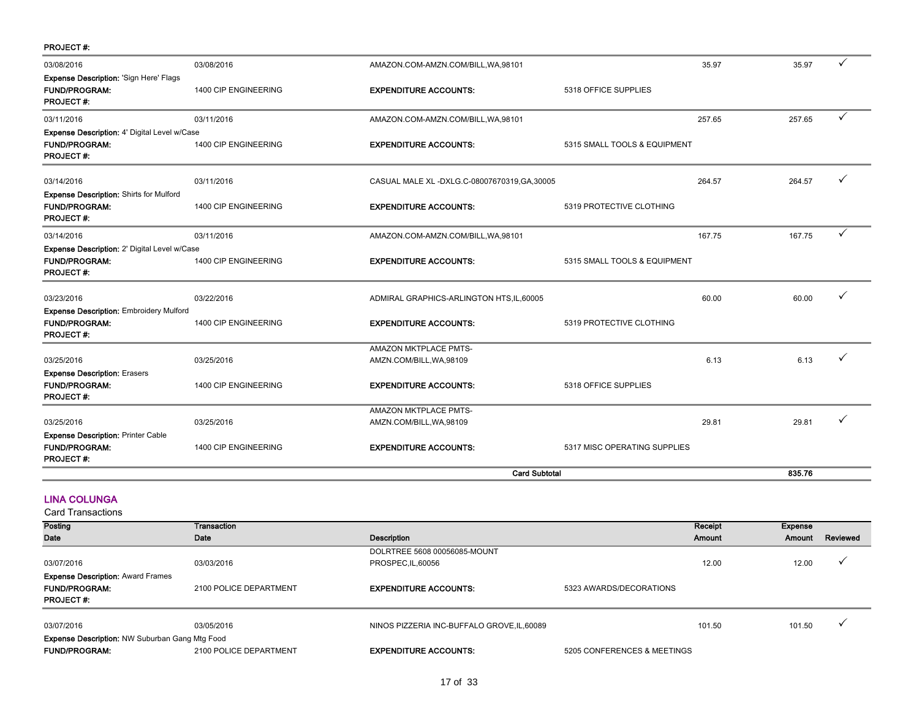| <b>PROJECT#:</b>                                                                              |                                    |                                                          |                              |        |              |
|-----------------------------------------------------------------------------------------------|------------------------------------|----------------------------------------------------------|------------------------------|--------|--------------|
| 03/08/2016                                                                                    | 03/08/2016                         | AMAZON.COM-AMZN.COM/BILL, WA, 98101                      | 35.97                        | 35.97  | $\checkmark$ |
| <b>Expense Description: 'Sign Here' Flags</b><br><b>FUND/PROGRAM:</b><br><b>PROJECT#:</b>     | 1400 CIP ENGINEERING               | <b>EXPENDITURE ACCOUNTS:</b>                             | 5318 OFFICE SUPPLIES         |        |              |
| 03/11/2016                                                                                    | 03/11/2016                         | AMAZON.COM-AMZN.COM/BILL, WA, 98101                      | 257.65                       | 257.65 | $\checkmark$ |
| Expense Description: 4' Digital Level w/Case<br><b>FUND/PROGRAM:</b><br><b>PROJECT#:</b>      | 1400 CIP ENGINEERING               | <b>EXPENDITURE ACCOUNTS:</b>                             | 5315 SMALL TOOLS & EQUIPMENT |        |              |
| 03/14/2016                                                                                    | 03/11/2016                         | CASUAL MALE XL -DXLG.C-08007670319, GA, 30005            | 264.57                       | 264.57 |              |
| <b>Expense Description: Shirts for Mulford</b><br><b>FUND/PROGRAM:</b><br><b>PROJECT#:</b>    | 1400 CIP ENGINEERING               | <b>EXPENDITURE ACCOUNTS:</b>                             | 5319 PROTECTIVE CLOTHING     |        |              |
| 03/14/2016                                                                                    | 03/11/2016                         | AMAZON.COM-AMZN.COM/BILL, WA, 98101                      | 167.75                       | 167.75 | ✓            |
| Expense Description: 2' Digital Level w/Case<br><b>FUND/PROGRAM:</b><br><b>PROJECT#:</b>      | 1400 CIP ENGINEERING               | <b>EXPENDITURE ACCOUNTS:</b>                             | 5315 SMALL TOOLS & EQUIPMENT |        |              |
| 03/23/2016                                                                                    | 03/22/2016                         | ADMIRAL GRAPHICS-ARLINGTON HTS, IL, 60005                | 60.00                        | 60.00  |              |
| <b>Expense Description: Embroidery Mulford</b><br><b>FUND/PROGRAM:</b><br><b>PROJECT#:</b>    | 1400 CIP ENGINEERING               | <b>EXPENDITURE ACCOUNTS:</b>                             | 5319 PROTECTIVE CLOTHING     |        |              |
|                                                                                               |                                    | <b>AMAZON MKTPLACE PMTS-</b>                             |                              |        | ✓            |
| 03/25/2016<br><b>Expense Description: Erasers</b><br><b>FUND/PROGRAM:</b><br><b>PROJECT#:</b> | 03/25/2016<br>1400 CIP ENGINEERING | AMZN.COM/BILL, WA, 98109<br><b>EXPENDITURE ACCOUNTS:</b> | 6.13<br>5318 OFFICE SUPPLIES | 6.13   |              |
|                                                                                               |                                    | <b>AMAZON MKTPLACE PMTS-</b>                             |                              |        |              |
| 03/25/2016                                                                                    | 03/25/2016                         | AMZN.COM/BILL, WA, 98109                                 | 29.81                        | 29.81  |              |
| <b>Expense Description: Printer Cable</b><br><b>FUND/PROGRAM:</b><br><b>PROJECT#:</b>         | 1400 CIP ENGINEERING               | <b>EXPENDITURE ACCOUNTS:</b>                             | 5317 MISC OPERATING SUPPLIES |        |              |
|                                                                                               |                                    |                                                          | <b>Card Subtotal</b>         | 835.76 |              |

#### LINA COLUNGA

| Posting                                               | Transaction            |                                             |                             | Receipt       | Expense |                          |
|-------------------------------------------------------|------------------------|---------------------------------------------|-----------------------------|---------------|---------|--------------------------|
| Date                                                  | Date                   | Description                                 |                             | <b>Amount</b> | Amount  | Reviewed                 |
|                                                       |                        | DOLRTREE 5608 00056085-MOUNT                |                             |               |         |                          |
| 03/07/2016                                            | 03/03/2016             | PROSPEC, IL, 60056                          |                             | 12.00         | 12.00   | $\check{ }$              |
| <b>Expense Description: Award Frames</b>              |                        |                                             |                             |               |         |                          |
| <b>FUND/PROGRAM:</b>                                  | 2100 POLICE DEPARTMENT | <b>EXPENDITURE ACCOUNTS:</b>                | 5323 AWARDS/DECORATIONS     |               |         |                          |
| <b>PROJECT#:</b>                                      |                        |                                             |                             |               |         |                          |
|                                                       |                        |                                             |                             |               |         | $\overline{\phantom{a}}$ |
| 03/07/2016                                            | 03/05/2016             | NINOS PIZZERIA INC-BUFFALO GROVE, IL, 60089 |                             | 101.50        | 101.50  |                          |
| <b>Expense Description: NW Suburban Gang Mtg Food</b> |                        |                                             |                             |               |         |                          |
| <b>FUND/PROGRAM:</b>                                  | 2100 POLICE DEPARTMENT | <b>EXPENDITURE ACCOUNTS:</b>                | 5205 CONFERENCES & MEETINGS |               |         |                          |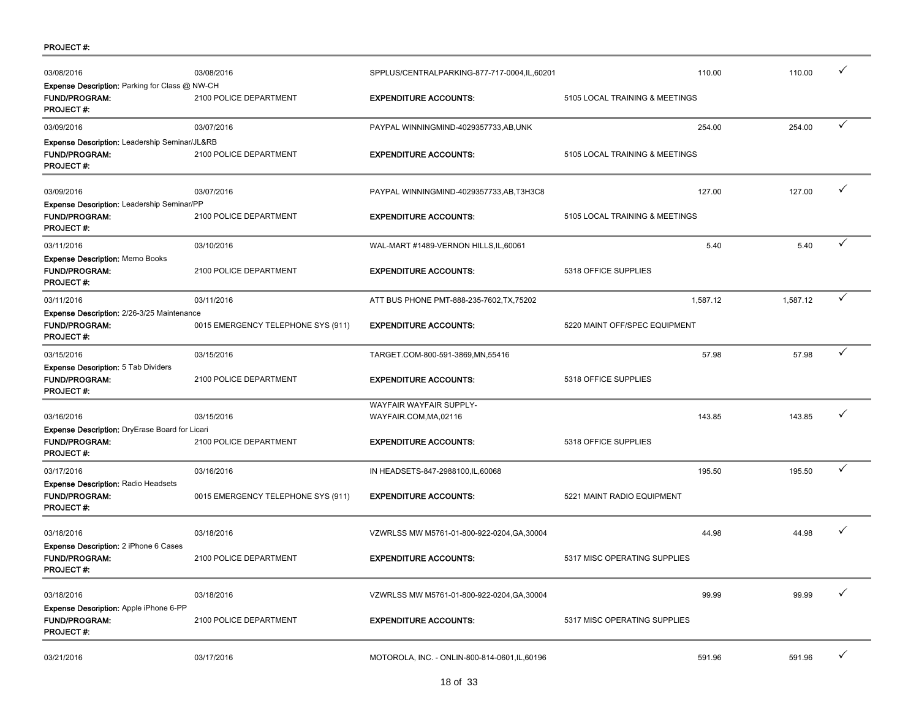| <b>PROJECT#:</b> |  |
|------------------|--|
|------------------|--|

| 03/08/2016                                                                                | 03/08/2016                         | SPPLUS/CENTRALPARKING-877-717-0004,IL,60201       | 110.00                         | 110.00   | ✓            |
|-------------------------------------------------------------------------------------------|------------------------------------|---------------------------------------------------|--------------------------------|----------|--------------|
| Expense Description: Parking for Class @ NW-CH<br>FUND/PROGRAM:<br><b>PROJECT#:</b>       | 2100 POLICE DEPARTMENT             | <b>EXPENDITURE ACCOUNTS:</b>                      | 5105 LOCAL TRAINING & MEETINGS |          |              |
| 03/09/2016                                                                                | 03/07/2016                         | PAYPAL WINNINGMIND-4029357733,AB,UNK              | 254.00                         | 254.00   | ✓            |
| Expense Description: Leadership Seminar/JL&RB<br><b>FUND/PROGRAM:</b><br><b>PROJECT#:</b> | 2100 POLICE DEPARTMENT             | <b>EXPENDITURE ACCOUNTS:</b>                      | 5105 LOCAL TRAINING & MEETINGS |          |              |
| 03/09/2016                                                                                | 03/07/2016                         | PAYPAL WINNINGMIND-4029357733,AB,T3H3C8           | 127.00                         | 127.00   | ✓            |
| Expense Description: Leadership Seminar/PP<br><b>FUND/PROGRAM:</b><br><b>PROJECT#:</b>    | 2100 POLICE DEPARTMENT             | <b>EXPENDITURE ACCOUNTS:</b>                      | 5105 LOCAL TRAINING & MEETINGS |          |              |
| 03/11/2016                                                                                | 03/10/2016                         | WAL-MART #1489-VERNON HILLS, IL, 60061            | 5.40                           | 5.40     | ✓            |
| <b>Expense Description: Memo Books</b><br><b>FUND/PROGRAM:</b><br><b>PROJECT#:</b>        | 2100 POLICE DEPARTMENT             | <b>EXPENDITURE ACCOUNTS:</b>                      | 5318 OFFICE SUPPLIES           |          |              |
| 03/11/2016                                                                                | 03/11/2016                         | ATT BUS PHONE PMT-888-235-7602, TX, 75202         | 1,587.12                       | 1,587.12 | $\checkmark$ |
| Expense Description: 2/26-3/25 Maintenance<br><b>FUND/PROGRAM:</b><br><b>PROJECT#:</b>    | 0015 EMERGENCY TELEPHONE SYS (911) | <b>EXPENDITURE ACCOUNTS:</b>                      | 5220 MAINT OFF/SPEC EQUIPMENT  |          |              |
| 03/15/2016                                                                                | 03/15/2016                         | TARGET.COM-800-591-3869,MN,55416                  | 57.98                          | 57.98    | ✓            |
| Expense Description: 5 Tab Dividers<br><b>FUND/PROGRAM:</b><br><b>PROJECT#:</b>           | 2100 POLICE DEPARTMENT             | <b>EXPENDITURE ACCOUNTS:</b>                      | 5318 OFFICE SUPPLIES           |          |              |
| 03/16/2016<br>Expense Description: DryErase Board for Licari                              | 03/15/2016                         | WAYFAIR WAYFAIR SUPPLY-<br>WAYFAIR.COM, MA, 02116 | 143.85                         | 143.85   | ✓            |
| <b>FUND/PROGRAM:</b><br><b>PROJECT#:</b>                                                  | 2100 POLICE DEPARTMENT             | <b>EXPENDITURE ACCOUNTS:</b>                      | 5318 OFFICE SUPPLIES           |          |              |
| 03/17/2016                                                                                | 03/16/2016                         | IN HEADSETS-847-2988100,IL,60068                  | 195.50                         | 195.50   | ✓            |
| <b>Expense Description: Radio Headsets</b><br><b>FUND/PROGRAM:</b><br><b>PROJECT#:</b>    | 0015 EMERGENCY TELEPHONE SYS (911) | <b>EXPENDITURE ACCOUNTS:</b>                      | 5221 MAINT RADIO EQUIPMENT     |          |              |
| 03/18/2016                                                                                | 03/18/2016                         | VZWRLSS MW M5761-01-800-922-0204, GA, 30004       | 44.98                          | 44.98    | ✓            |
| <b>Expense Description: 2 iPhone 6 Cases</b><br><b>FUND/PROGRAM:</b><br><b>PROJECT#:</b>  | 2100 POLICE DEPARTMENT             | <b>EXPENDITURE ACCOUNTS:</b>                      | 5317 MISC OPERATING SUPPLIES   |          |              |
| 03/18/2016                                                                                | 03/18/2016                         | VZWRLSS MW M5761-01-800-922-0204, GA, 30004       | 99.99                          | 99.99    | ✓            |
| Expense Description: Apple iPhone 6-PP<br>FUND/PROGRAM:<br><b>PROJECT#:</b>               | 2100 POLICE DEPARTMENT             | <b>EXPENDITURE ACCOUNTS:</b>                      | 5317 MISC OPERATING SUPPLIES   |          |              |
| 03/21/2016                                                                                | 03/17/2016                         | MOTOROLA, INC. - ONLIN-800-814-0601, IL, 60196    | 591.96                         | 591.96   | ✓            |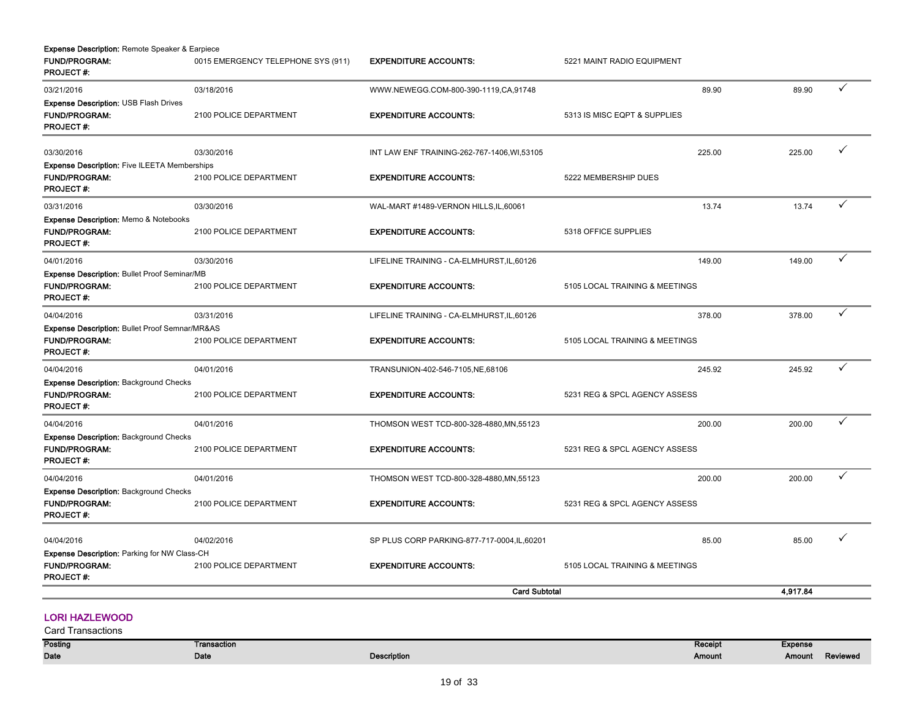| <b>Expense Description: Remote Speaker &amp; Earpiece</b><br><b>FUND/PROGRAM:</b><br><b>PROJECT#:</b> | 0015 EMERGENCY TELEPHONE SYS (911) | <b>EXPENDITURE ACCOUNTS:</b>                 | 5221 MAINT RADIO EQUIPMENT     |          |              |
|-------------------------------------------------------------------------------------------------------|------------------------------------|----------------------------------------------|--------------------------------|----------|--------------|
| 03/21/2016                                                                                            | 03/18/2016                         | WWW.NEWEGG.COM-800-390-1119,CA,91748         | 89.90                          | 89.90    | $\checkmark$ |
| <b>Expense Description: USB Flash Drives</b><br><b>FUND/PROGRAM:</b><br><b>PROJECT#:</b>              | 2100 POLICE DEPARTMENT             | <b>EXPENDITURE ACCOUNTS:</b>                 | 5313 IS MISC EQPT & SUPPLIES   |          |              |
| 03/30/2016                                                                                            | 03/30/2016                         | INT LAW ENF TRAINING-262-767-1406, WI, 53105 | 225.00                         | 225.00   | ✓            |
| <b>Expense Description: Five ILEETA Memberships</b>                                                   |                                    |                                              |                                |          |              |
| <b>FUND/PROGRAM:</b><br><b>PROJECT#:</b>                                                              | 2100 POLICE DEPARTMENT             | <b>EXPENDITURE ACCOUNTS:</b>                 | 5222 MEMBERSHIP DUES           |          |              |
| 03/31/2016                                                                                            | 03/30/2016                         | WAL-MART #1489-VERNON HILLS, IL, 60061       | 13.74                          | 13.74    | ✓            |
| <b>Expense Description: Memo &amp; Notebooks</b><br><b>FUND/PROGRAM:</b><br><b>PROJECT#:</b>          | 2100 POLICE DEPARTMENT             | <b>EXPENDITURE ACCOUNTS:</b>                 | 5318 OFFICE SUPPLIES           |          |              |
| 04/01/2016                                                                                            | 03/30/2016                         | LIFELINE TRAINING - CA-ELMHURST, IL, 60126   | 149.00                         | 149.00   | ✓            |
| <b>Expense Description: Bullet Proof Seminar/MB</b><br>FUND/PROGRAM:<br><b>PROJECT#:</b>              | 2100 POLICE DEPARTMENT             | <b>EXPENDITURE ACCOUNTS:</b>                 | 5105 LOCAL TRAINING & MEETINGS |          |              |
| 04/04/2016                                                                                            | 03/31/2016                         | LIFELINE TRAINING - CA-ELMHURST, IL, 60126   | 378.00                         | 378.00   | ✓            |
| Expense Description: Bullet Proof Semnar/MR&AS<br><b>FUND/PROGRAM:</b><br><b>PROJECT#:</b>            | 2100 POLICE DEPARTMENT             | <b>EXPENDITURE ACCOUNTS:</b>                 | 5105 LOCAL TRAINING & MEETINGS |          |              |
| 04/04/2016                                                                                            | 04/01/2016                         | TRANSUNION-402-546-7105, NE, 68106           | 245.92                         | 245.92   | ✓            |
| <b>Expense Description: Background Checks</b><br><b>FUND/PROGRAM:</b><br><b>PROJECT#:</b>             | 2100 POLICE DEPARTMENT             | <b>EXPENDITURE ACCOUNTS:</b>                 | 5231 REG & SPCL AGENCY ASSESS  |          |              |
| 04/04/2016                                                                                            | 04/01/2016                         | THOMSON WEST TCD-800-328-4880, MN, 55123     | 200.00                         | 200.00   | ✓            |
| <b>Expense Description: Background Checks</b><br><b>FUND/PROGRAM:</b><br><b>PROJECT#:</b>             | 2100 POLICE DEPARTMENT             | <b>EXPENDITURE ACCOUNTS:</b>                 | 5231 REG & SPCL AGENCY ASSESS  |          |              |
| 04/04/2016                                                                                            | 04/01/2016                         | THOMSON WEST TCD-800-328-4880, MN, 55123     | 200.00                         | 200.00   | $\checkmark$ |
| <b>Expense Description: Background Checks</b><br><b>FUND/PROGRAM:</b><br><b>PROJECT#:</b>             | 2100 POLICE DEPARTMENT             | <b>EXPENDITURE ACCOUNTS:</b>                 | 5231 REG & SPCL AGENCY ASSESS  |          |              |
| 04/04/2016                                                                                            | 04/02/2016                         | SP PLUS CORP PARKING-877-717-0004, IL, 60201 | 85.00                          | 85.00    | ✓            |
| Expense Description: Parking for NW Class-CH<br><b>FUND/PROGRAM:</b><br><b>PROJECT#:</b>              | 2100 POLICE DEPARTMENT             | <b>EXPENDITURE ACCOUNTS:</b>                 | 5105 LOCAL TRAINING & MEETINGS |          |              |
|                                                                                                       |                                    | <b>Card Subtotal</b>                         |                                | 4,917.84 |              |

# LORI HAZLEWOOD

| <b>Posting</b> | Transaction |                    | Receipt | <b>Expense</b> |          |
|----------------|-------------|--------------------|---------|----------------|----------|
| <b>Date</b>    | Date        | <b>Description</b> | Amount  | Amount         | Reviewed |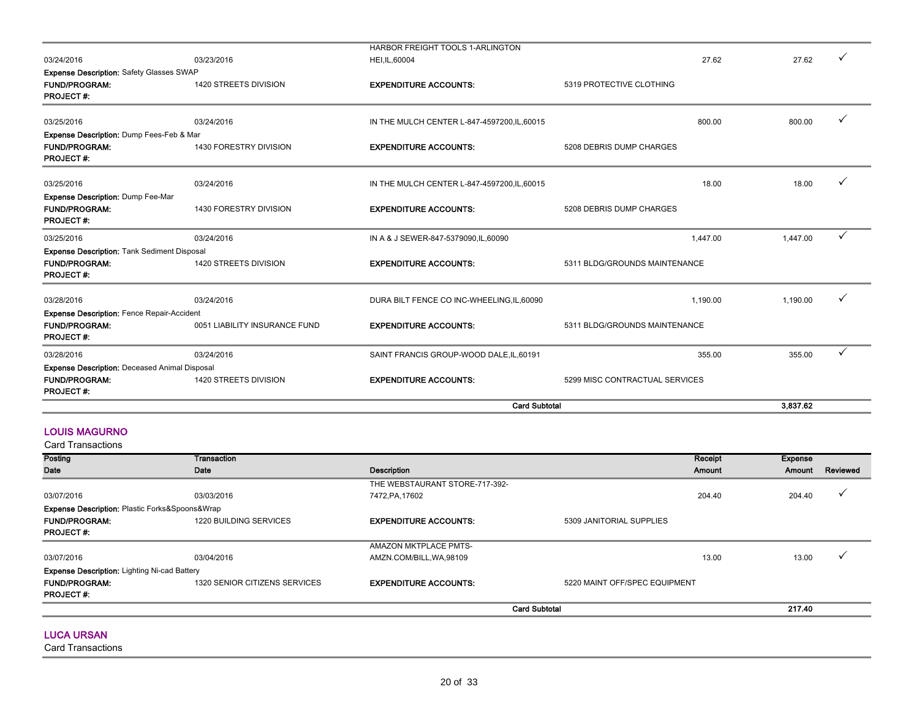| 03/24/2016<br>0051 LIABILITY INSURANCE FUND<br>03/24/2016<br>1420 STREETS DIVISION | DURA BILT FENCE CO INC-WHEELING, IL, 60090<br><b>EXPENDITURE ACCOUNTS:</b><br>SAINT FRANCIS GROUP-WOOD DALE, IL, 60191<br><b>EXPENDITURE ACCOUNTS:</b> | 5311 BLDG/GROUNDS MAINTENANCE<br>5299 MISC CONTRACTUAL SERVICES | 1.190.00<br>355.00 | 1.190.00<br>355.00                        | $\checkmark$<br>$\checkmark$ |
|------------------------------------------------------------------------------------|--------------------------------------------------------------------------------------------------------------------------------------------------------|-----------------------------------------------------------------|--------------------|-------------------------------------------|------------------------------|
|                                                                                    |                                                                                                                                                        |                                                                 |                    |                                           |                              |
|                                                                                    |                                                                                                                                                        |                                                                 |                    |                                           |                              |
|                                                                                    |                                                                                                                                                        |                                                                 |                    |                                           |                              |
|                                                                                    |                                                                                                                                                        |                                                                 |                    |                                           |                              |
| 1420 STREETS DIVISION                                                              | <b>EXPENDITURE ACCOUNTS:</b>                                                                                                                           | 5311 BLDG/GROUNDS MAINTENANCE                                   |                    |                                           |                              |
| 03/24/2016                                                                         | IN A & J SEWER-847-5379090,IL,60090                                                                                                                    |                                                                 | 1,447.00           | 1,447.00                                  | $\checkmark$                 |
| 1430 FORESTRY DIVISION                                                             | <b>EXPENDITURE ACCOUNTS:</b>                                                                                                                           | 5208 DEBRIS DUMP CHARGES                                        |                    |                                           |                              |
| 03/24/2016                                                                         | IN THE MULCH CENTER L-847-4597200, IL, 60015                                                                                                           |                                                                 | 18.00              | 18.00                                     |                              |
| 1430 FORESTRY DIVISION                                                             | <b>EXPENDITURE ACCOUNTS:</b>                                                                                                                           | 5208 DEBRIS DUMP CHARGES                                        |                    |                                           |                              |
| 03/24/2016                                                                         | IN THE MULCH CENTER L-847-4597200, IL, 60015                                                                                                           |                                                                 | 800.00             | 800.00                                    |                              |
| 1420 STREETS DIVISION                                                              | <b>EXPENDITURE ACCOUNTS:</b>                                                                                                                           | 5319 PROTECTIVE CLOTHING                                        |                    |                                           |                              |
|                                                                                    |                                                                                                                                                        |                                                                 |                    |                                           |                              |
|                                                                                    |                                                                                                                                                        |                                                                 |                    |                                           | ✓                            |
|                                                                                    | 03/23/2016                                                                                                                                             | HEI, IL, 60004                                                  |                    | HARBOR FREIGHT TOOLS 1-ARLINGTON<br>27.62 | 27.62                        |

#### LOUIS MAGURNO

Posting Date Transaction Date **Date Description** Receipt Amount Expense Amount Reviewed 03/07/2016 03/03/2016 THE WEBSTAURANT STORE-717-392-  $7472, \text{PA}, 17602$  204.40  $\sqrt{ }$ FUND/PROGRAM: 1220 BUILDING SERVICES **EXPENDITURE ACCOUNTS:** 5309 JANITORIAL SUPPLIES PROJECT #: 03/07/2016 03/04/2016 AMAZON MKTPLACE PMTS- $ANZN$ .COM/BILL,WA,98109 13.00 13.00 13.00 13.00 13.00 13.00 13.00 13.00 13.00 13.00 13.00 13.00 13.00 13.00 13.00 13.00 13.00 13.00 13.00 13.00 13.00 13.00 13.00 13.00 13.00 13.00 13.00 13.00 13.00 13.00 13.00 13.00 13.00 FUND/PROGRAM: 1320 SENIOR CITIZENS SERVICES **EXPENDITURE ACCOUNTS:** 5220 MAINT OFF/SPEC EQUIPMENT PROJECT #: Card Transactions Expense Description: Plastic Forks&Spoons&Wrap Expense Description: Lighting Ni-cad Battery Card Subtotal 217.40

#### LUCA URSAN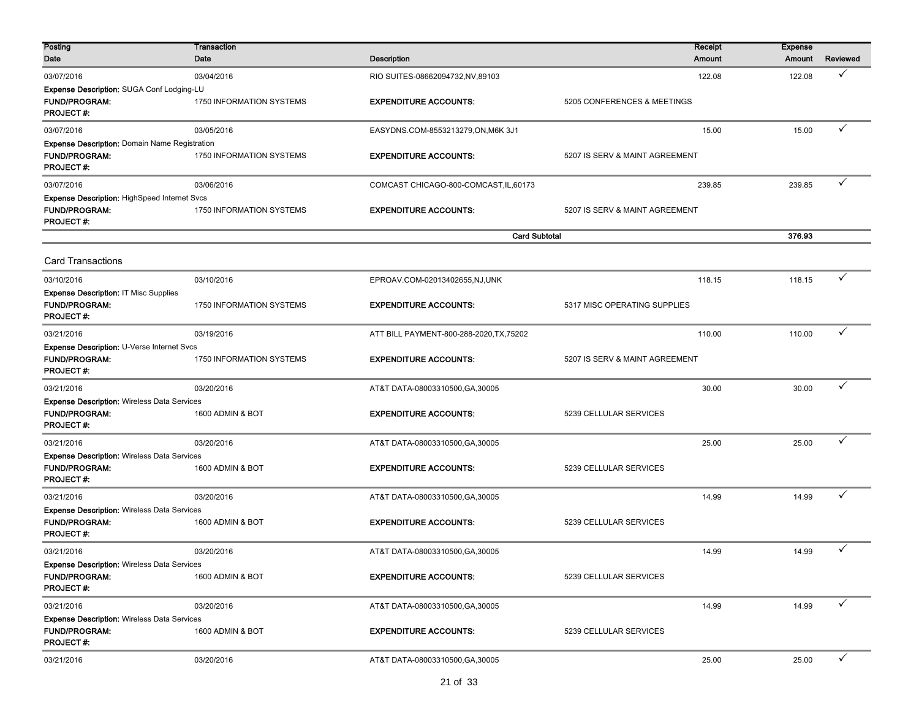| Posting<br>Date                                                                                  | <b>Transaction</b><br>Date      | <b>Description</b>                       | Receipt<br><b>Amount</b>       | <b>Expense</b><br>Amount | Reviewed     |
|--------------------------------------------------------------------------------------------------|---------------------------------|------------------------------------------|--------------------------------|--------------------------|--------------|
| 03/07/2016                                                                                       | 03/04/2016                      | RIO SUITES-08662094732, NV, 89103        | 122.08                         | 122.08                   | ✓            |
| Expense Description: SUGA Conf Lodging-LU<br><b>FUND/PROGRAM:</b><br><b>PROJECT#:</b>            | 1750 INFORMATION SYSTEMS        | <b>EXPENDITURE ACCOUNTS:</b>             | 5205 CONFERENCES & MEETINGS    |                          |              |
| 03/07/2016                                                                                       | 03/05/2016                      | EASYDNS.COM-8553213279,ON,M6K 3J1        | 15.00                          | 15.00                    | ✓            |
| <b>Expense Description: Domain Name Registration</b><br><b>FUND/PROGRAM:</b><br><b>PROJECT#:</b> | 1750 INFORMATION SYSTEMS        | <b>EXPENDITURE ACCOUNTS:</b>             | 5207 IS SERV & MAINT AGREEMENT |                          |              |
| 03/07/2016                                                                                       | 03/06/2016                      | COMCAST CHICAGO-800-COMCAST, IL, 60173   | 239.85                         | 239.85                   | ✓            |
| <b>Expense Description: HighSpeed Internet Svcs</b><br><b>FUND/PROGRAM:</b><br><b>PROJECT#:</b>  | 1750 INFORMATION SYSTEMS        | <b>EXPENDITURE ACCOUNTS:</b>             | 5207 IS SERV & MAINT AGREEMENT |                          |              |
|                                                                                                  |                                 | <b>Card Subtotal</b>                     |                                | 376.93                   |              |
| <b>Card Transactions</b>                                                                         |                                 |                                          |                                |                          |              |
| 03/10/2016                                                                                       | 03/10/2016                      | EPROAV.COM-02013402655,NJ,UNK            | 118.15                         | 118.15                   | ✓            |
| Expense Description: IT Misc Supplies<br><b>FUND/PROGRAM:</b><br><b>PROJECT#:</b>                | 1750 INFORMATION SYSTEMS        | <b>EXPENDITURE ACCOUNTS:</b>             | 5317 MISC OPERATING SUPPLIES   |                          |              |
| 03/21/2016                                                                                       | 03/19/2016                      | ATT BILL PAYMENT-800-288-2020, TX, 75202 | 110.00                         | 110.00                   | ✓            |
| Expense Description: U-Verse Internet Svcs<br>FUND/PROGRAM:<br>PROJECT#:                         | <b>1750 INFORMATION SYSTEMS</b> | <b>EXPENDITURE ACCOUNTS:</b>             | 5207 IS SERV & MAINT AGREEMENT |                          |              |
| 03/21/2016                                                                                       | 03/20/2016                      | AT&T DATA-08003310500, GA, 30005         | 30.00                          | 30.00                    | ✓            |
| <b>Expense Description: Wireless Data Services</b><br><b>FUND/PROGRAM:</b><br><b>PROJECT#:</b>   | 1600 ADMIN & BOT                | <b>EXPENDITURE ACCOUNTS:</b>             | 5239 CELLULAR SERVICES         |                          |              |
| 03/21/2016                                                                                       | 03/20/2016                      | AT&T DATA-08003310500, GA, 30005         | 25.00                          | 25.00                    |              |
| <b>Expense Description: Wireless Data Services</b><br><b>FUND/PROGRAM:</b><br><b>PROJECT#:</b>   | 1600 ADMIN & BOT                | <b>EXPENDITURE ACCOUNTS:</b>             | 5239 CELLULAR SERVICES         |                          |              |
| 03/21/2016                                                                                       | 03/20/2016                      | AT&T DATA-08003310500, GA, 30005         | 14.99                          | 14.99                    | ✓            |
| <b>Expense Description: Wireless Data Services</b><br><b>FUND/PROGRAM:</b><br><b>PROJECT#:</b>   | 1600 ADMIN & BOT                | <b>EXPENDITURE ACCOUNTS:</b>             | 5239 CELLULAR SERVICES         |                          |              |
| 03/21/2016                                                                                       | 03/20/2016                      | AT&T DATA-08003310500, GA, 30005         | 14.99                          | 14.99                    | ✓            |
| <b>Expense Description: Wireless Data Services</b><br><b>FUND/PROGRAM:</b><br><b>PROJECT#:</b>   | 1600 ADMIN & BOT                | <b>EXPENDITURE ACCOUNTS:</b>             | 5239 CELLULAR SERVICES         |                          |              |
| 03/21/2016                                                                                       | 03/20/2016                      | AT&T DATA-08003310500, GA, 30005         | 14.99                          | 14.99                    | ✓            |
| <b>Expense Description: Wireless Data Services</b><br><b>FUND/PROGRAM:</b><br><b>PROJECT#:</b>   | 1600 ADMIN & BOT                | <b>EXPENDITURE ACCOUNTS:</b>             | 5239 CELLULAR SERVICES         |                          |              |
| 03/21/2016                                                                                       | 03/20/2016                      | AT&T DATA-08003310500, GA, 30005         | 25.00                          | 25.00                    | $\checkmark$ |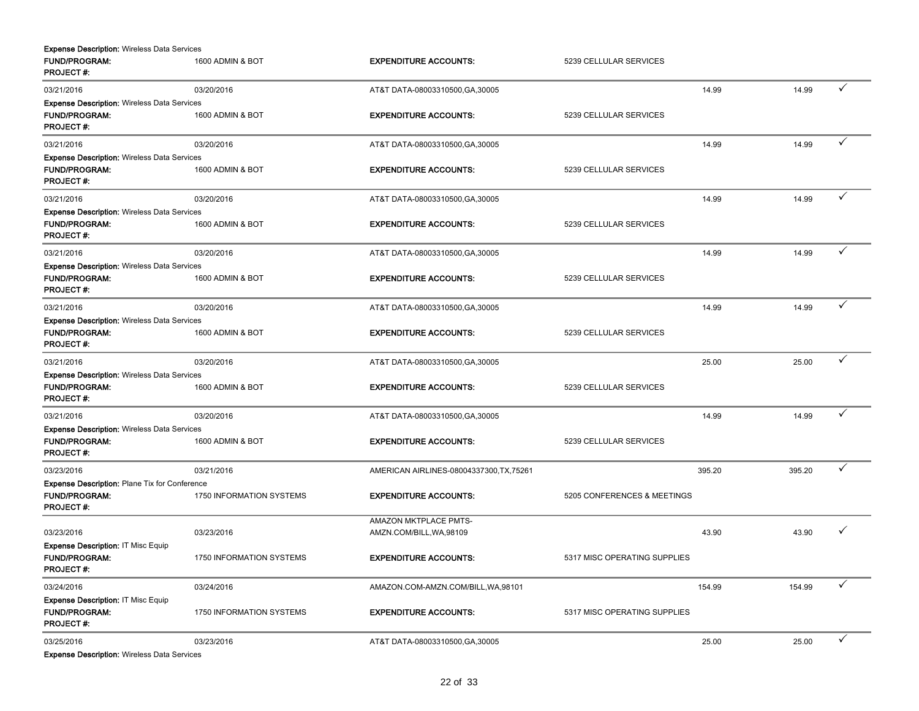| <b>Expense Description: Wireless Data Services</b>                                             |                                 |                                                   |                              |        |        |   |
|------------------------------------------------------------------------------------------------|---------------------------------|---------------------------------------------------|------------------------------|--------|--------|---|
| <b>FUND/PROGRAM:</b><br><b>PROJECT#:</b>                                                       | 1600 ADMIN & BOT                | <b>EXPENDITURE ACCOUNTS:</b>                      | 5239 CELLULAR SERVICES       |        |        |   |
| 03/21/2016                                                                                     | 03/20/2016                      | AT&T DATA-08003310500, GA, 30005                  |                              | 14.99  | 14.99  | ✓ |
| <b>Expense Description: Wireless Data Services</b><br><b>FUND/PROGRAM:</b><br><b>PROJECT#:</b> | 1600 ADMIN & BOT                | <b>EXPENDITURE ACCOUNTS:</b>                      | 5239 CELLULAR SERVICES       |        |        |   |
| 03/21/2016                                                                                     | 03/20/2016                      | AT&T DATA-08003310500, GA, 30005                  |                              | 14.99  | 14.99  |   |
| <b>Expense Description: Wireless Data Services</b><br><b>FUND/PROGRAM:</b>                     | 1600 ADMIN & BOT                | <b>EXPENDITURE ACCOUNTS:</b>                      | 5239 CELLULAR SERVICES       |        |        |   |
| <b>PROJECT#:</b>                                                                               |                                 |                                                   |                              |        |        |   |
| 03/21/2016                                                                                     | 03/20/2016                      | AT&T DATA-08003310500, GA, 30005                  |                              | 14.99  | 14.99  | ✓ |
| <b>Expense Description: Wireless Data Services</b><br><b>FUND/PROGRAM:</b><br><b>PROJECT#:</b> | 1600 ADMIN & BOT                | <b>EXPENDITURE ACCOUNTS:</b>                      | 5239 CELLULAR SERVICES       |        |        |   |
| 03/21/2016                                                                                     | 03/20/2016                      | AT&T DATA-08003310500, GA, 30005                  |                              | 14.99  | 14.99  | ✓ |
| <b>Expense Description: Wireless Data Services</b><br><b>FUND/PROGRAM:</b><br><b>PROJECT#:</b> | 1600 ADMIN & BOT                | <b>EXPENDITURE ACCOUNTS:</b>                      | 5239 CELLULAR SERVICES       |        |        |   |
| 03/21/2016                                                                                     | 03/20/2016                      | AT&T DATA-08003310500, GA, 30005                  |                              | 14.99  | 14.99  | ✓ |
| <b>Expense Description: Wireless Data Services</b><br><b>FUND/PROGRAM:</b><br><b>PROJECT#:</b> | 1600 ADMIN & BOT                | <b>EXPENDITURE ACCOUNTS:</b>                      | 5239 CELLULAR SERVICES       |        |        |   |
| 03/21/2016                                                                                     | 03/20/2016                      | AT&T DATA-08003310500, GA, 30005                  |                              | 25.00  | 25.00  | ✓ |
| <b>Expense Description: Wireless Data Services</b><br><b>FUND/PROGRAM:</b><br><b>PROJECT#:</b> | 1600 ADMIN & BOT                | <b>EXPENDITURE ACCOUNTS:</b>                      | 5239 CELLULAR SERVICES       |        |        |   |
| 03/21/2016                                                                                     | 03/20/2016                      | AT&T DATA-08003310500, GA, 30005                  |                              | 14.99  | 14.99  | ✓ |
| <b>Expense Description: Wireless Data Services</b><br><b>FUND/PROGRAM:</b><br><b>PROJECT#:</b> | 1600 ADMIN & BOT                | <b>EXPENDITURE ACCOUNTS:</b>                      | 5239 CELLULAR SERVICES       |        |        |   |
| 03/23/2016                                                                                     | 03/21/2016                      | AMERICAN AIRLINES-08004337300, TX, 75261          |                              | 395.20 | 395.20 | ✓ |
| Expense Description: Plane Tix for Conference<br><b>FUND/PROGRAM:</b><br><b>PROJECT#:</b>      | 1750 INFORMATION SYSTEMS        | <b>EXPENDITURE ACCOUNTS:</b>                      | 5205 CONFERENCES & MEETINGS  |        |        |   |
| 03/23/2016                                                                                     | 03/23/2016                      | AMAZON MKTPLACE PMTS-<br>AMZN.COM/BILL, WA, 98109 |                              | 43.90  | 43.90  | ✓ |
| Expense Description: IT Misc Equip<br><b>FUND/PROGRAM:</b><br><b>PROJECT#:</b>                 | <b>1750 INFORMATION SYSTEMS</b> | <b>EXPENDITURE ACCOUNTS:</b>                      | 5317 MISC OPERATING SUPPLIES |        |        |   |
| 03/24/2016                                                                                     | 03/24/2016                      | AMAZON.COM-AMZN.COM/BILL, WA, 98101               |                              | 154.99 | 154.99 |   |
| <b>Expense Description: IT Misc Equip</b><br><b>FUND/PROGRAM:</b><br><b>PROJECT#:</b>          | 1750 INFORMATION SYSTEMS        | <b>EXPENDITURE ACCOUNTS:</b>                      | 5317 MISC OPERATING SUPPLIES |        |        |   |
| 03/25/2016<br><b>Expense Description: Wireless Data Services</b>                               | 03/23/2016                      | AT&T DATA-08003310500, GA, 30005                  |                              | 25.00  | 25.00  | ✓ |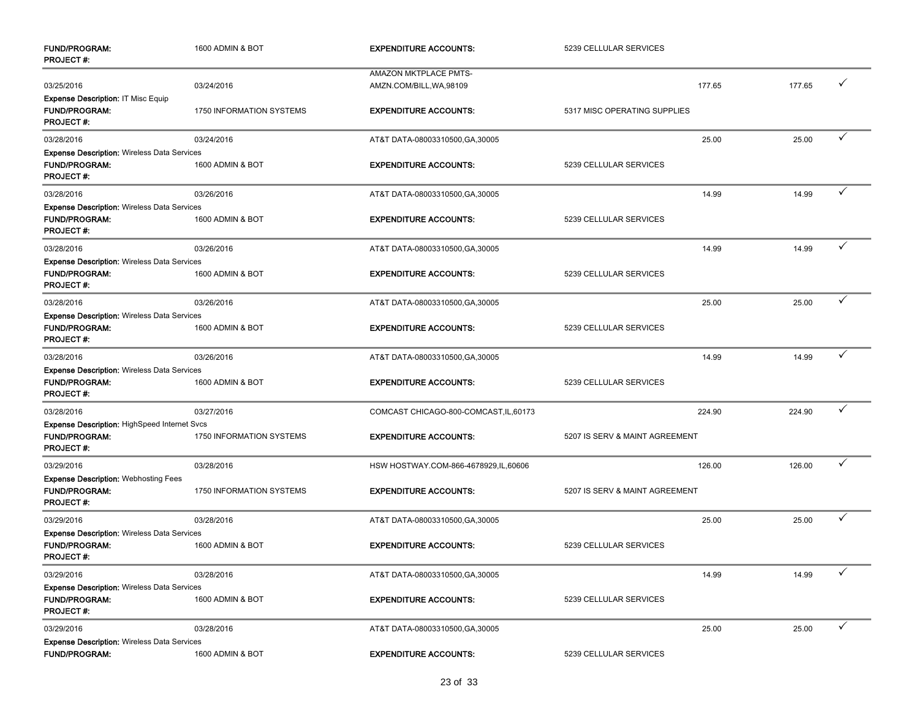| <b>FUND/PROGRAM:</b><br><b>PROJECT#:</b>                                                       | 1600 ADMIN & BOT         | <b>EXPENDITURE ACCOUNTS:</b>                      | 5239 CELLULAR SERVICES         |        |              |
|------------------------------------------------------------------------------------------------|--------------------------|---------------------------------------------------|--------------------------------|--------|--------------|
| 03/25/2016                                                                                     | 03/24/2016               | AMAZON MKTPLACE PMTS-<br>AMZN.COM/BILL, WA, 98109 | 177.65                         | 177.65 | ✓            |
| <b>Expense Description: IT Misc Equip</b><br><b>FUND/PROGRAM:</b><br><b>PROJECT#:</b>          | 1750 INFORMATION SYSTEMS | <b>EXPENDITURE ACCOUNTS:</b>                      | 5317 MISC OPERATING SUPPLIES   |        |              |
| 03/28/2016                                                                                     | 03/24/2016               | AT&T DATA-08003310500, GA, 30005                  | 25.00                          | 25.00  |              |
| <b>Expense Description: Wireless Data Services</b><br><b>FUND/PROGRAM:</b><br><b>PROJECT#:</b> | 1600 ADMIN & BOT         | <b>EXPENDITURE ACCOUNTS:</b>                      | 5239 CELLULAR SERVICES         |        |              |
| 03/28/2016                                                                                     | 03/26/2016               | AT&T DATA-08003310500, GA, 30005                  | 14.99                          | 14.99  | ✓            |
| <b>Expense Description: Wireless Data Services</b><br><b>FUND/PROGRAM:</b><br><b>PROJECT#:</b> | 1600 ADMIN & BOT         | <b>EXPENDITURE ACCOUNTS:</b>                      | 5239 CELLULAR SERVICES         |        |              |
| 03/28/2016                                                                                     | 03/26/2016               | AT&T DATA-08003310500, GA, 30005                  | 14.99                          | 14.99  | ✓            |
| <b>Expense Description: Wireless Data Services</b><br><b>FUND/PROGRAM:</b><br><b>PROJECT#:</b> | 1600 ADMIN & BOT         | <b>EXPENDITURE ACCOUNTS:</b>                      | 5239 CELLULAR SERVICES         |        |              |
| 03/28/2016                                                                                     | 03/26/2016               | AT&T DATA-08003310500, GA, 30005                  | 25.00                          | 25.00  | ✓            |
| <b>Expense Description: Wireless Data Services</b><br><b>FUND/PROGRAM:</b><br><b>PROJECT#:</b> | 1600 ADMIN & BOT         | <b>EXPENDITURE ACCOUNTS:</b>                      | 5239 CELLULAR SERVICES         |        |              |
| 03/28/2016                                                                                     | 03/26/2016               | AT&T DATA-08003310500, GA, 30005                  | 14.99                          | 14.99  | ✓            |
| <b>Expense Description: Wireless Data Services</b><br><b>FUND/PROGRAM:</b><br><b>PROJECT#:</b> | 1600 ADMIN & BOT         | <b>EXPENDITURE ACCOUNTS:</b>                      | 5239 CELLULAR SERVICES         |        |              |
| 03/28/2016                                                                                     | 03/27/2016               | COMCAST CHICAGO-800-COMCAST, IL, 60173            | 224.90                         | 224.90 | ✓            |
| Expense Description: HighSpeed Internet Svcs<br><b>FUND/PROGRAM:</b><br><b>PROJECT#:</b>       | 1750 INFORMATION SYSTEMS | <b>EXPENDITURE ACCOUNTS:</b>                      | 5207 IS SERV & MAINT AGREEMENT |        |              |
| 03/29/2016                                                                                     | 03/28/2016               | HSW HOSTWAY.COM-866-4678929,IL,60606              | 126.00                         | 126.00 | ✓            |
| <b>Expense Description: Webhosting Fees</b><br><b>FUND/PROGRAM:</b><br><b>PROJECT#:</b>        | 1750 INFORMATION SYSTEMS | <b>EXPENDITURE ACCOUNTS:</b>                      | 5207 IS SERV & MAINT AGREEMENT |        |              |
| 03/29/2016                                                                                     | 03/28/2016               | AT&T DATA-08003310500, GA, 30005                  | 25.00                          | 25.00  | ✓            |
| <b>Expense Description: Wireless Data Services</b><br><b>FUND/PROGRAM:</b><br>PROJECT#:        | 1600 ADMIN & BOT         | <b>EXPENDITURE ACCOUNTS:</b>                      | 5239 CELLULAR SERVICES         |        |              |
| 03/29/2016                                                                                     | 03/28/2016               | AT&T DATA-08003310500, GA, 30005                  | 14.99                          | 14.99  | ✓            |
| <b>Expense Description: Wireless Data Services</b><br><b>FUND/PROGRAM:</b><br><b>PROJECT#:</b> | 1600 ADMIN & BOT         | <b>EXPENDITURE ACCOUNTS:</b>                      | 5239 CELLULAR SERVICES         |        |              |
| 03/29/2016                                                                                     | 03/28/2016               | AT&T DATA-08003310500, GA, 30005                  | 25.00                          | 25.00  | $\checkmark$ |
| <b>Expense Description: Wireless Data Services</b><br>FUND/PROGRAM:                            | 1600 ADMIN & BOT         | <b>EXPENDITURE ACCOUNTS:</b>                      | 5239 CELLULAR SERVICES         |        |              |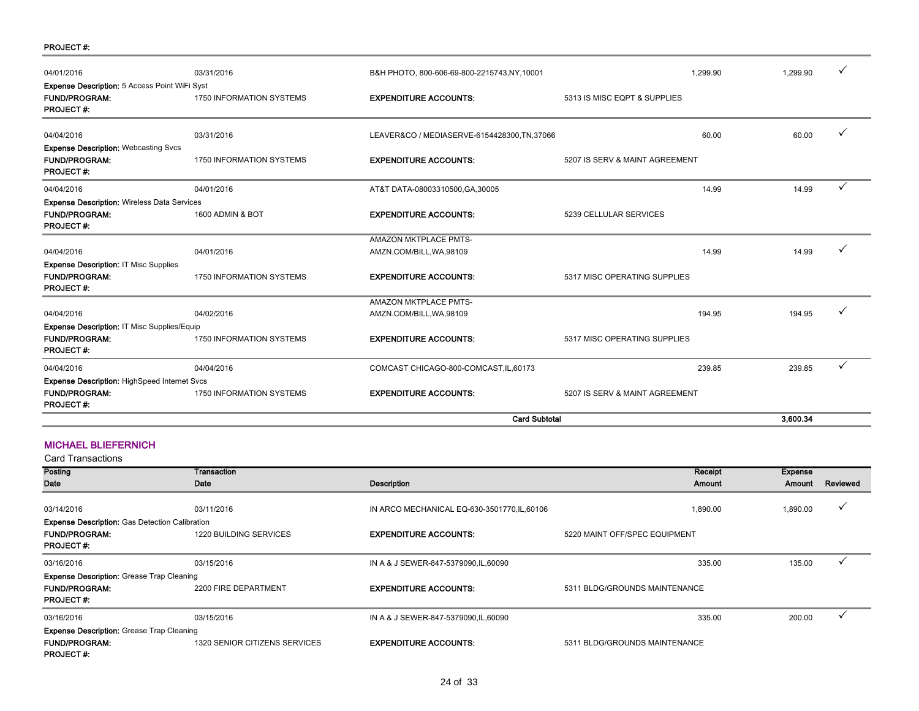| <b>PROJECT#:</b> |  |
|------------------|--|
|------------------|--|

|                                             |                                                                                                                                                                                                                                                    |                                | 3.600.34                                                             |   |
|---------------------------------------------|----------------------------------------------------------------------------------------------------------------------------------------------------------------------------------------------------------------------------------------------------|--------------------------------|----------------------------------------------------------------------|---|
| <b>1750 INFORMATION SYSTEMS</b>             | <b>EXPENDITURE ACCOUNTS:</b>                                                                                                                                                                                                                       | 5207 IS SERV & MAINT AGREEMENT |                                                                      |   |
| 04/04/2016                                  | COMCAST CHICAGO-800-COMCAST, IL, 60173                                                                                                                                                                                                             | 239.85                         | 239.85                                                               |   |
| <b>1750 INFORMATION SYSTEMS</b>             | <b>EXPENDITURE ACCOUNTS:</b>                                                                                                                                                                                                                       | 5317 MISC OPERATING SUPPLIES   |                                                                      |   |
| Expense Description: IT Misc Supplies/Equip |                                                                                                                                                                                                                                                    |                                |                                                                      |   |
| 04/02/2016                                  | <b>AMAZON MKTPLACE PMTS-</b><br>AMZN.COM/BILL, WA, 98109                                                                                                                                                                                           | 194.95                         | 194.95                                                               |   |
| 1750 INFORMATION SYSTEMS                    | <b>EXPENDITURE ACCOUNTS:</b>                                                                                                                                                                                                                       | 5317 MISC OPERATING SUPPLIES   |                                                                      |   |
| 04/01/2016                                  | AMAZON MKTPLACE PMTS-<br>AMZN.COM/BILL, WA, 98109                                                                                                                                                                                                  | 14.99                          | 14.99                                                                |   |
| 1600 ADMIN & BOT                            | <b>EXPENDITURE ACCOUNTS:</b>                                                                                                                                                                                                                       | 5239 CELLULAR SERVICES         |                                                                      |   |
| 04/01/2016                                  | AT&T DATA-08003310500, GA, 30005                                                                                                                                                                                                                   | 14.99                          | 14.99                                                                | ✓ |
| <b>1750 INFORMATION SYSTEMS</b>             | <b>EXPENDITURE ACCOUNTS:</b>                                                                                                                                                                                                                       | 5207 IS SERV & MAINT AGREEMENT |                                                                      |   |
| 03/31/2016                                  |                                                                                                                                                                                                                                                    | 60.00                          | 60.00                                                                |   |
| 1750 INFORMATION SYSTEMS                    | <b>EXPENDITURE ACCOUNTS:</b>                                                                                                                                                                                                                       | 5313 IS MISC EQPT & SUPPLIES   |                                                                      |   |
| 03/31/2016                                  | B&H PHOTO, 800-606-69-800-2215743, NY, 10001                                                                                                                                                                                                       | 1.299.90                       | 1.299.90                                                             |   |
|                                             | Expense Description: 5 Access Point WiFi Syst<br><b>Expense Description: Webcasting Svcs</b><br><b>Expense Description: Wireless Data Services</b><br><b>Expense Description: IT Misc Supplies</b><br>Expense Description: HighSpeed Internet Svcs |                                | LEAVER&CO / MEDIASERVE-6154428300, TN, 37066<br><b>Card Subtotal</b> |   |

## MICHAEL BLIEFERNICH

| <b>Card Transactions</b>                              |                               |                                              |                               |                |              |
|-------------------------------------------------------|-------------------------------|----------------------------------------------|-------------------------------|----------------|--------------|
| <b>Posting</b>                                        | Transaction                   |                                              | Receipt                       | <b>Expense</b> |              |
| Date                                                  | Date                          | <b>Description</b>                           | Amount                        | Amount         | Reviewed     |
| 03/14/2016                                            | 03/11/2016                    | IN ARCO MECHANICAL EQ-630-3501770, IL, 60106 | 1,890.00                      | 1,890.00       | v            |
| <b>Expense Description:</b> Gas Detection Calibration |                               |                                              |                               |                |              |
| <b>FUND/PROGRAM:</b><br><b>PROJECT#:</b>              | <b>1220 BUILDING SERVICES</b> | <b>EXPENDITURE ACCOUNTS:</b>                 | 5220 MAINT OFF/SPEC EQUIPMENT |                |              |
| 03/16/2016                                            | 03/15/2016                    | IN A & J SEWER-847-5379090, IL, 60090        | 335.00                        | 135.00         | $\checkmark$ |
| <b>Expense Description:</b> Grease Trap Cleaning      |                               |                                              |                               |                |              |
| <b>FUND/PROGRAM:</b><br><b>PROJECT#:</b>              | 2200 FIRE DEPARTMENT          | <b>EXPENDITURE ACCOUNTS:</b>                 | 5311 BLDG/GROUNDS MAINTENANCE |                |              |
| 03/16/2016                                            | 03/15/2016                    | IN A & J SEWER-847-5379090, IL, 60090        | 335.00                        | 200.00         |              |
| <b>Expense Description:</b> Grease Trap Cleaning      |                               |                                              |                               |                |              |
| <b>FUND/PROGRAM:</b><br><b>PROJECT#:</b>              | 1320 SENIOR CITIZENS SERVICES | <b>EXPENDITURE ACCOUNTS:</b>                 | 5311 BLDG/GROUNDS MAINTENANCE |                |              |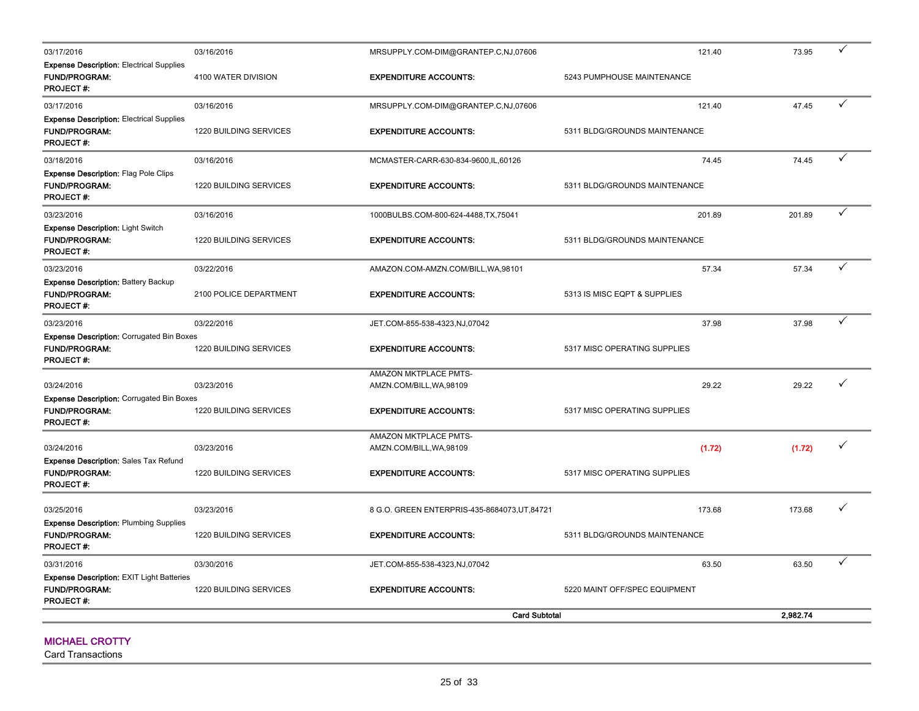| 03/17/2016                                                                                   | 03/16/2016                    | MRSUPPLY.COM-DIM@GRANTEP.C,NJ,07606               | 121.40                        | 73.95    | $\checkmark$ |
|----------------------------------------------------------------------------------------------|-------------------------------|---------------------------------------------------|-------------------------------|----------|--------------|
| <b>Expense Description: Electrical Supplies</b><br><b>FUND/PROGRAM:</b><br><b>PROJECT#:</b>  | 4100 WATER DIVISION           | <b>EXPENDITURE ACCOUNTS:</b>                      | 5243 PUMPHOUSE MAINTENANCE    |          |              |
| 03/17/2016                                                                                   | 03/16/2016                    | MRSUPPLY.COM-DIM@GRANTEP.C,NJ,07606               | 121.40                        | 47.45    | ✓            |
| <b>Expense Description: Electrical Supplies</b><br><b>FUND/PROGRAM:</b><br><b>PROJECT#:</b>  | 1220 BUILDING SERVICES        | <b>EXPENDITURE ACCOUNTS:</b>                      | 5311 BLDG/GROUNDS MAINTENANCE |          |              |
| 03/18/2016                                                                                   | 03/16/2016                    | MCMASTER-CARR-630-834-9600,IL,60126               | 74.45                         | 74.45    | $\checkmark$ |
| <b>Expense Description: Flag Pole Clips</b><br><b>FUND/PROGRAM:</b><br><b>PROJECT#:</b>      | 1220 BUILDING SERVICES        | <b>EXPENDITURE ACCOUNTS:</b>                      | 5311 BLDG/GROUNDS MAINTENANCE |          |              |
| 03/23/2016                                                                                   | 03/16/2016                    | 1000BULBS.COM-800-624-4488,TX,75041               | 201.89                        | 201.89   | $\checkmark$ |
| <b>Expense Description: Light Switch</b><br><b>FUND/PROGRAM:</b><br><b>PROJECT#:</b>         | <b>1220 BUILDING SERVICES</b> | <b>EXPENDITURE ACCOUNTS:</b>                      | 5311 BLDG/GROUNDS MAINTENANCE |          |              |
| 03/23/2016                                                                                   | 03/22/2016                    | AMAZON.COM-AMZN.COM/BILL, WA, 98101               | 57.34                         | 57.34    | $\checkmark$ |
| <b>Expense Description: Battery Backup</b><br><b>FUND/PROGRAM:</b><br><b>PROJECT#:</b>       | 2100 POLICE DEPARTMENT        | <b>EXPENDITURE ACCOUNTS:</b>                      | 5313 IS MISC EQPT & SUPPLIES  |          |              |
| 03/23/2016                                                                                   | 03/22/2016                    | JET.COM-855-538-4323,NJ,07042                     | 37.98                         | 37.98    | $\checkmark$ |
| <b>Expense Description: Corrugated Bin Boxes</b><br><b>FUND/PROGRAM:</b><br><b>PROJECT#:</b> | 1220 BUILDING SERVICES        | <b>EXPENDITURE ACCOUNTS:</b>                      | 5317 MISC OPERATING SUPPLIES  |          |              |
|                                                                                              |                               | AMAZON MKTPLACE PMTS-                             |                               |          |              |
| 03/24/2016<br><b>Expense Description: Corrugated Bin Boxes</b>                               | 03/23/2016                    | AMZN.COM/BILL, WA, 98109                          | 29.22                         | 29.22    | ✓            |
| <b>FUND/PROGRAM:</b><br>PROJECT#:                                                            | 1220 BUILDING SERVICES        | <b>EXPENDITURE ACCOUNTS:</b>                      | 5317 MISC OPERATING SUPPLIES  |          |              |
| 03/24/2016                                                                                   | 03/23/2016                    | AMAZON MKTPLACE PMTS-<br>AMZN.COM/BILL, WA, 98109 | (1.72)                        | (1.72)   | $\checkmark$ |
| <b>Expense Description: Sales Tax Refund</b><br><b>FUND/PROGRAM:</b><br>PROJECT#:            | 1220 BUILDING SERVICES        | <b>EXPENDITURE ACCOUNTS:</b>                      | 5317 MISC OPERATING SUPPLIES  |          |              |
| 03/25/2016                                                                                   | 03/23/2016                    | 8 G.O. GREEN ENTERPRIS-435-8684073, UT, 84721     | 173.68                        | 173.68   | ✓            |
| <b>Expense Description: Plumbing Supplies</b><br><b>FUND/PROGRAM:</b><br>PROJECT#:           | 1220 BUILDING SERVICES        | <b>EXPENDITURE ACCOUNTS:</b>                      | 5311 BLDG/GROUNDS MAINTENANCE |          |              |
| 03/31/2016                                                                                   | 03/30/2016                    | JET.COM-855-538-4323,NJ,07042                     | 63.50                         | 63.50    | $\checkmark$ |
| Expense Description: EXIT Light Batteries<br><b>FUND/PROGRAM:</b><br><b>PROJECT#:</b>        | 1220 BUILDING SERVICES        | <b>EXPENDITURE ACCOUNTS:</b>                      | 5220 MAINT OFF/SPEC EQUIPMENT |          |              |
|                                                                                              |                               | <b>Card Subtotal</b>                              |                               | 2.982.74 |              |

#### MICHAEL CROTTY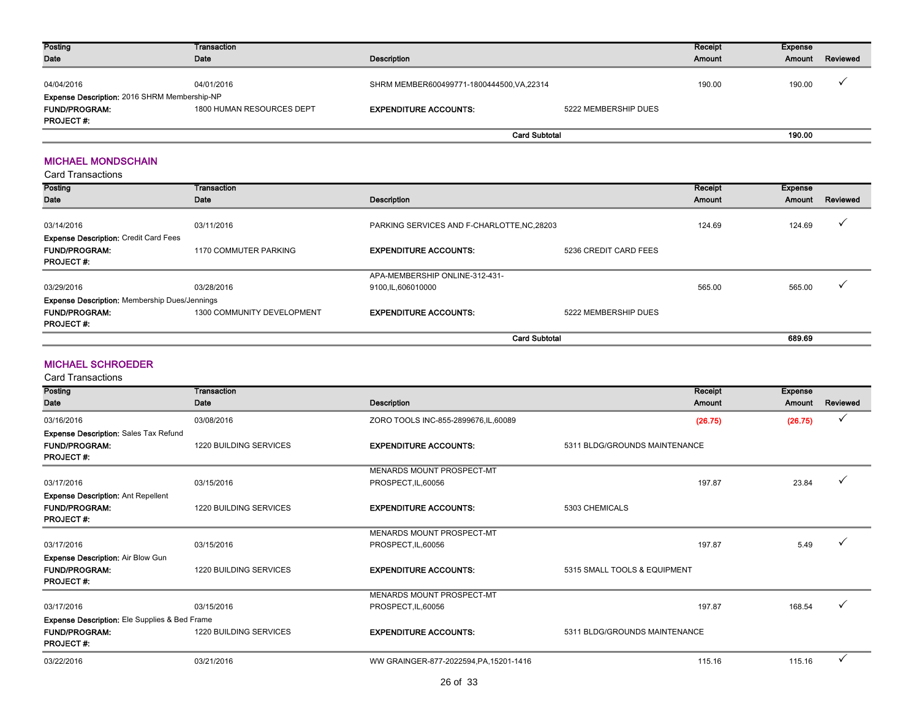| <b>Posting</b>                               | Transaction               |                                            |                      | Receipt | Expense |          |
|----------------------------------------------|---------------------------|--------------------------------------------|----------------------|---------|---------|----------|
| Date                                         | Date                      | Description                                |                      | Amount  | Amount  | Reviewed |
| 04/04/2016                                   | 04/01/2016                | SHRM MEMBER600499771-1800444500, VA, 22314 |                      | 190.00  | 190.00  |          |
| Expense Description: 2016 SHRM Membership-NP |                           |                                            |                      |         |         |          |
| <b>FUND/PROGRAM:</b>                         | 1800 HUMAN RESOURCES DEPT | <b>EXPENDITURE ACCOUNTS:</b>               | 5222 MEMBERSHIP DUES |         |         |          |
| <b>PROJECT#:</b>                             |                           |                                            |                      |         |         |          |
|                                              |                           | <b>Card Subtotal</b>                       |                      |         | 190.00  |          |

#### MICHAEL MONDSCHAIN

| <b>Card Transactions</b>                             |                            |                                             |                       |         |         |          |
|------------------------------------------------------|----------------------------|---------------------------------------------|-----------------------|---------|---------|----------|
| <b>Posting</b>                                       | Transaction                |                                             |                       | Receipt | Expense |          |
| Date                                                 | Date                       | Description                                 |                       | Amount  | Amount  | Reviewed |
| 03/14/2016                                           | 03/11/2016                 | PARKING SERVICES AND F-CHARLOTTE, NC, 28203 |                       | 124.69  | 124.69  |          |
| <b>Expense Description: Credit Card Fees</b>         |                            |                                             |                       |         |         |          |
| <b>FUND/PROGRAM:</b>                                 | 1170 COMMUTER PARKING      | <b>EXPENDITURE ACCOUNTS:</b>                | 5236 CREDIT CARD FEES |         |         |          |
| <b>PROJECT#:</b>                                     |                            |                                             |                       |         |         |          |
|                                                      |                            | APA-MEMBERSHIP ONLINE-312-431-              |                       |         |         |          |
| 03/29/2016                                           | 03/28/2016                 | 9100,IL,606010000                           |                       | 565.00  | 565.00  |          |
| <b>Expense Description: Membership Dues/Jennings</b> |                            |                                             |                       |         |         |          |
| <b>FUND/PROGRAM:</b>                                 | 1300 COMMUNITY DEVELOPMENT | <b>EXPENDITURE ACCOUNTS:</b>                | 5222 MEMBERSHIP DUES  |         |         |          |
| <b>PROJECT#:</b>                                     |                            |                                             |                       |         |         |          |
|                                                      |                            |                                             | <b>Card Subtotal</b>  |         | 689.69  |          |

#### MICHAEL SCHROEDER

| Posting                                       | Transaction                   |                                         | Receipt                       | <b>Expense</b> |              |
|-----------------------------------------------|-------------------------------|-----------------------------------------|-------------------------------|----------------|--------------|
| Date                                          | Date                          | <b>Description</b>                      | Amount                        | Amount         | Reviewed     |
|                                               |                               |                                         |                               |                |              |
| 03/16/2016                                    | 03/08/2016                    | ZORO TOOLS INC-855-2899676, IL, 60089   | (26.75)                       | (26.75)        | $\checkmark$ |
| <b>Expense Description: Sales Tax Refund</b>  |                               |                                         |                               |                |              |
| <b>FUND/PROGRAM:</b>                          | <b>1220 BUILDING SERVICES</b> | <b>EXPENDITURE ACCOUNTS:</b>            | 5311 BLDG/GROUNDS MAINTENANCE |                |              |
| <b>PROJECT#:</b>                              |                               |                                         |                               |                |              |
|                                               |                               | MENARDS MOUNT PROSPECT-MT               |                               |                |              |
| 03/17/2016                                    | 03/15/2016                    | PROSPECT, IL, 60056                     | 197.87                        | 23.84          | $\checkmark$ |
| <b>Expense Description: Ant Repellent</b>     |                               |                                         |                               |                |              |
| <b>FUND/PROGRAM:</b>                          | <b>1220 BUILDING SERVICES</b> | <b>EXPENDITURE ACCOUNTS:</b>            | 5303 CHEMICALS                |                |              |
| <b>PROJECT#:</b>                              |                               |                                         |                               |                |              |
|                                               |                               | MENARDS MOUNT PROSPECT-MT               |                               |                |              |
| 03/17/2016                                    | 03/15/2016                    | PROSPECT, IL, 60056                     | 197.87                        | 5.49           |              |
| <b>Expense Description: Air Blow Gun</b>      |                               |                                         |                               |                |              |
| <b>FUND/PROGRAM:</b>                          | <b>1220 BUILDING SERVICES</b> | <b>EXPENDITURE ACCOUNTS:</b>            | 5315 SMALL TOOLS & EQUIPMENT  |                |              |
| <b>PROJECT#:</b>                              |                               |                                         |                               |                |              |
|                                               |                               | MENARDS MOUNT PROSPECT-MT               |                               |                |              |
| 03/17/2016                                    | 03/15/2016                    | PROSPECT, IL, 60056                     | 197.87                        | 168.54         | $\checkmark$ |
| Expense Description: Ele Supplies & Bed Frame |                               |                                         |                               |                |              |
| <b>FUND/PROGRAM:</b>                          | <b>1220 BUILDING SERVICES</b> | <b>EXPENDITURE ACCOUNTS:</b>            | 5311 BLDG/GROUNDS MAINTENANCE |                |              |
| <b>PROJECT#:</b>                              |                               |                                         |                               |                |              |
| 03/22/2016                                    | 03/21/2016                    | WW GRAINGER-877-2022594, PA, 15201-1416 | 115.16                        | 115.16         | $\checkmark$ |
|                                               |                               |                                         |                               |                |              |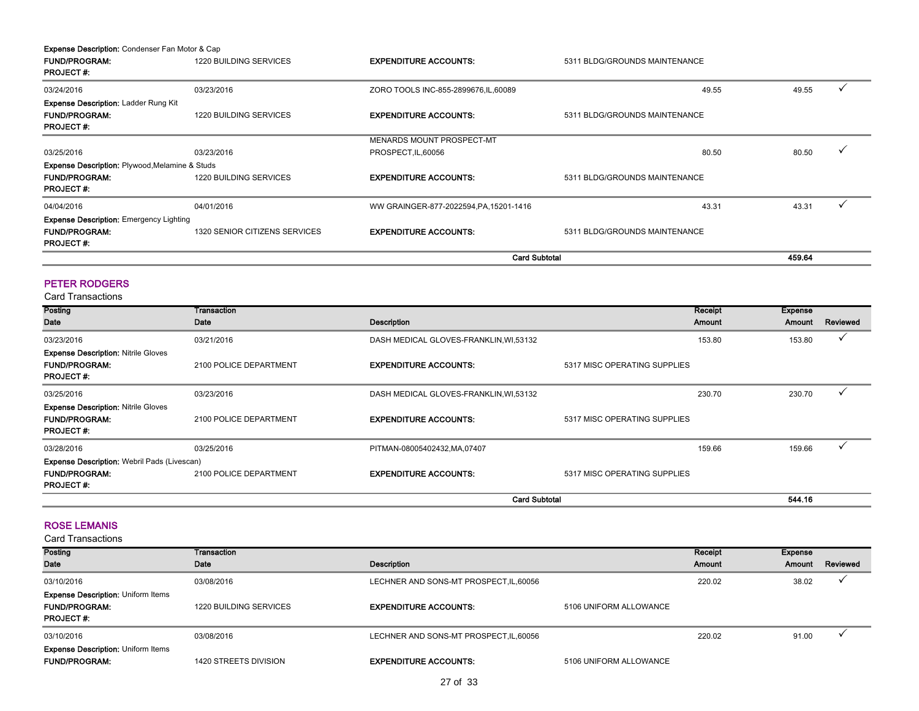| <b>Expense Description:</b> Condenser Fan Motor & Cap     |                               |                                         |                               |        |  |
|-----------------------------------------------------------|-------------------------------|-----------------------------------------|-------------------------------|--------|--|
| <b>FUND/PROGRAM:</b><br><b>PROJECT#:</b>                  | 1220 BUILDING SERVICES        | <b>EXPENDITURE ACCOUNTS:</b>            | 5311 BLDG/GROUNDS MAINTENANCE |        |  |
| 03/24/2016                                                | 03/23/2016                    | ZORO TOOLS INC-855-2899676, IL, 60089   | 49.55                         | 49.55  |  |
| <b>Expense Description: Ladder Rung Kit</b>               |                               |                                         |                               |        |  |
| <b>FUND/PROGRAM:</b><br><b>PROJECT#:</b>                  | <b>1220 BUILDING SERVICES</b> | <b>EXPENDITURE ACCOUNTS:</b>            | 5311 BLDG/GROUNDS MAINTENANCE |        |  |
|                                                           |                               | MENARDS MOUNT PROSPECT-MT               |                               |        |  |
| 03/25/2016                                                | 03/23/2016                    | PROSPECT, IL, 60056                     | 80.50                         | 80.50  |  |
| <b>Expense Description: Plywood, Melamine &amp; Studs</b> |                               |                                         |                               |        |  |
| <b>FUND/PROGRAM:</b><br><b>PROJECT#:</b>                  | 1220 BUILDING SERVICES        | <b>EXPENDITURE ACCOUNTS:</b>            | 5311 BLDG/GROUNDS MAINTENANCE |        |  |
| 04/04/2016                                                | 04/01/2016                    | WW GRAINGER-877-2022594, PA, 15201-1416 | 43.31                         | 43.31  |  |
| <b>Expense Description: Emergency Lighting</b>            |                               |                                         |                               |        |  |
| <b>FUND/PROGRAM:</b><br><b>PROJECT#:</b>                  | 1320 SENIOR CITIZENS SERVICES | <b>EXPENDITURE ACCOUNTS:</b>            | 5311 BLDG/GROUNDS MAINTENANCE |        |  |
|                                                           |                               | <b>Card Subtotal</b>                    |                               | 459.64 |  |

#### PETER RODGERS

Card Transactions

| Posting                                            | <b>Transaction</b>     |                                         | Receipt                      | Expense |              |
|----------------------------------------------------|------------------------|-----------------------------------------|------------------------------|---------|--------------|
| Date                                               | Date                   | Description                             | Amount                       | Amount  | Reviewed     |
| 03/23/2016                                         | 03/21/2016             | DASH MEDICAL GLOVES-FRANKLIN, WI, 53132 | 153.80                       | 153.80  | $\checkmark$ |
| <b>Expense Description: Nitrile Gloves</b>         |                        |                                         |                              |         |              |
| <b>FUND/PROGRAM:</b><br><b>PROJECT#:</b>           | 2100 POLICE DEPARTMENT | <b>EXPENDITURE ACCOUNTS:</b>            | 5317 MISC OPERATING SUPPLIES |         |              |
| 03/25/2016                                         | 03/23/2016             | DASH MEDICAL GLOVES-FRANKLIN, WI,53132  | 230.70                       | 230.70  |              |
| <b>Expense Description: Nitrile Gloves</b>         |                        |                                         |                              |         |              |
| <b>FUND/PROGRAM:</b>                               | 2100 POLICE DEPARTMENT | <b>EXPENDITURE ACCOUNTS:</b>            | 5317 MISC OPERATING SUPPLIES |         |              |
| <b>PROJECT#:</b>                                   |                        |                                         |                              |         |              |
| 03/28/2016                                         | 03/25/2016             | PITMAN-08005402432, MA, 07407           | 159.66                       | 159.66  | $\checkmark$ |
| <b>Expense Description: Webril Pads (Livescan)</b> |                        |                                         |                              |         |              |
| <b>FUND/PROGRAM:</b>                               | 2100 POLICE DEPARTMENT | <b>EXPENDITURE ACCOUNTS:</b>            | 5317 MISC OPERATING SUPPLIES |         |              |
| <b>PROJECT#:</b>                                   |                        |                                         |                              |         |              |
|                                                    |                        | <b>Card Subtotal</b>                    |                              | 544.16  |              |

#### ROSE LEMANIS

| Posting<br>Date                           | Transaction<br>Date          | Description                             |                        | Receipt<br><b>Amount</b> | Expense<br>Amount | Reviewed |
|-------------------------------------------|------------------------------|-----------------------------------------|------------------------|--------------------------|-------------------|----------|
|                                           |                              |                                         |                        |                          |                   |          |
| 03/10/2016                                | 03/08/2016                   | LECHNER AND SONS-MT PROSPECT, IL, 60056 |                        | 220.02                   | 38.02             |          |
| <b>Expense Description: Uniform Items</b> |                              |                                         |                        |                          |                   |          |
| <b>FUND/PROGRAM:</b><br><b>PROJECT#:</b>  | 1220 BUILDING SERVICES       | <b>EXPENDITURE ACCOUNTS:</b>            | 5106 UNIFORM ALLOWANCE |                          |                   |          |
|                                           |                              |                                         |                        |                          |                   |          |
| 03/10/2016                                | 03/08/2016                   | LECHNER AND SONS-MT PROSPECT, IL, 60056 |                        | 220.02                   | 91.00             |          |
| <b>Expense Description: Uniform Items</b> |                              |                                         |                        |                          |                   |          |
| <b>FUND/PROGRAM:</b>                      | <b>1420 STREETS DIVISION</b> | <b>EXPENDITURE ACCOUNTS:</b>            | 5106 UNIFORM ALLOWANCE |                          |                   |          |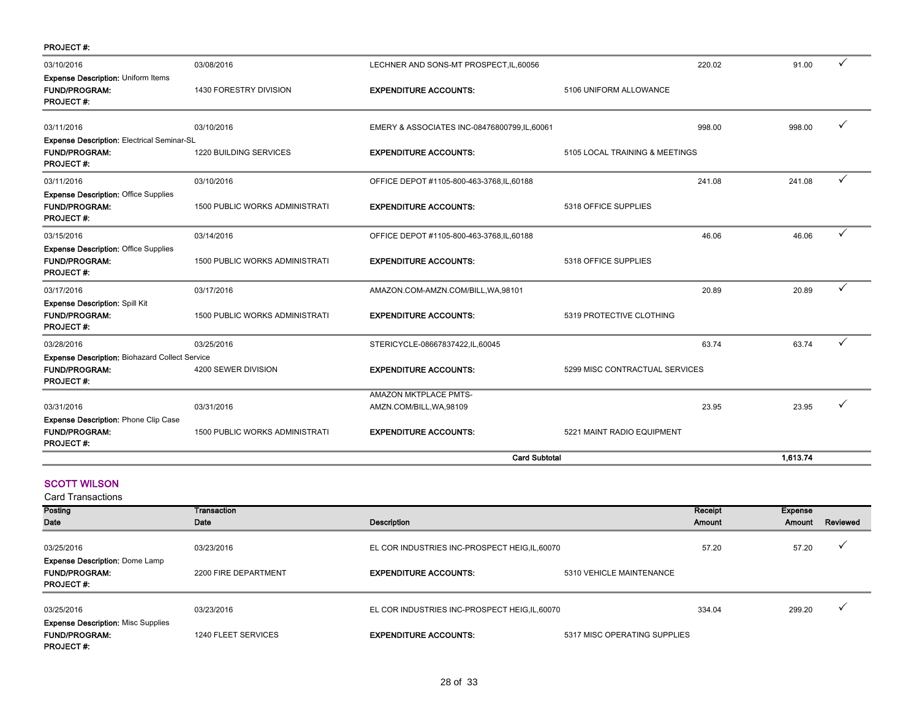| <b>PROJECT#:</b>                                      |                                |                                             |                                |        |          |              |
|-------------------------------------------------------|--------------------------------|---------------------------------------------|--------------------------------|--------|----------|--------------|
| 03/10/2016                                            | 03/08/2016                     | LECHNER AND SONS-MT PROSPECT, IL, 60056     |                                | 220.02 | 91.00    | $\checkmark$ |
| <b>Expense Description: Uniform Items</b>             |                                |                                             |                                |        |          |              |
| <b>FUND/PROGRAM:</b>                                  | 1430 FORESTRY DIVISION         | <b>EXPENDITURE ACCOUNTS:</b>                | 5106 UNIFORM ALLOWANCE         |        |          |              |
| <b>PROJECT#:</b>                                      |                                |                                             |                                |        |          |              |
| 03/11/2016                                            | 03/10/2016                     | EMERY & ASSOCIATES INC-08476800799,IL,60061 |                                | 998.00 | 998.00   | ✓            |
| <b>Expense Description: Electrical Seminar-SL</b>     |                                |                                             |                                |        |          |              |
| <b>FUND/PROGRAM:</b>                                  | 1220 BUILDING SERVICES         | <b>EXPENDITURE ACCOUNTS:</b>                | 5105 LOCAL TRAINING & MEETINGS |        |          |              |
| <b>PROJECT#:</b>                                      |                                |                                             |                                |        |          |              |
| 03/11/2016                                            | 03/10/2016                     | OFFICE DEPOT #1105-800-463-3768, IL, 60188  |                                | 241.08 | 241.08   | ✓            |
| <b>Expense Description: Office Supplies</b>           |                                |                                             |                                |        |          |              |
| <b>FUND/PROGRAM:</b>                                  | 1500 PUBLIC WORKS ADMINISTRATI | <b>EXPENDITURE ACCOUNTS:</b>                | 5318 OFFICE SUPPLIES           |        |          |              |
| <b>PROJECT#:</b>                                      |                                |                                             |                                |        |          |              |
| 03/15/2016                                            | 03/14/2016                     | OFFICE DEPOT #1105-800-463-3768, IL, 60188  |                                | 46.06  | 46.06    | ✓            |
| <b>Expense Description: Office Supplies</b>           |                                |                                             |                                |        |          |              |
| <b>FUND/PROGRAM:</b>                                  | 1500 PUBLIC WORKS ADMINISTRATI | <b>EXPENDITURE ACCOUNTS:</b>                | 5318 OFFICE SUPPLIES           |        |          |              |
| <b>PROJECT#:</b>                                      |                                |                                             |                                |        |          |              |
| 03/17/2016                                            | 03/17/2016                     | AMAZON.COM-AMZN.COM/BILL, WA, 98101         |                                | 20.89  | 20.89    | $\checkmark$ |
| <b>Expense Description: Spill Kit</b>                 |                                |                                             |                                |        |          |              |
| <b>FUND/PROGRAM:</b>                                  | 1500 PUBLIC WORKS ADMINISTRATI | <b>EXPENDITURE ACCOUNTS:</b>                | 5319 PROTECTIVE CLOTHING       |        |          |              |
| <b>PROJECT#:</b>                                      |                                |                                             |                                |        |          |              |
| 03/28/2016                                            | 03/25/2016                     | STERICYCLE-08667837422,IL,60045             |                                | 63.74  | 63.74    | ✓            |
| <b>Expense Description: Biohazard Collect Service</b> |                                |                                             |                                |        |          |              |
| <b>FUND/PROGRAM:</b>                                  | 4200 SEWER DIVISION            | <b>EXPENDITURE ACCOUNTS:</b>                | 5299 MISC CONTRACTUAL SERVICES |        |          |              |
| <b>PROJECT#:</b>                                      |                                |                                             |                                |        |          |              |
|                                                       |                                | <b>AMAZON MKTPLACE PMTS-</b>                |                                |        |          |              |
| 03/31/2016                                            | 03/31/2016                     | AMZN.COM/BILL, WA, 98109                    |                                | 23.95  | 23.95    |              |
| <b>Expense Description: Phone Clip Case</b>           |                                |                                             |                                |        |          |              |
| <b>FUND/PROGRAM:</b>                                  | 1500 PUBLIC WORKS ADMINISTRATI | <b>EXPENDITURE ACCOUNTS:</b>                | 5221 MAINT RADIO EQUIPMENT     |        |          |              |
| <b>PROJECT#:</b>                                      |                                |                                             |                                |        |          |              |
|                                                       |                                | <b>Card Subtotal</b>                        |                                |        | 1,613.74 |              |
|                                                       |                                |                                             |                                |        |          |              |
| <b>SCOTT WILSON</b>                                   |                                |                                             |                                |        |          |              |
| <b>Card Transactions</b>                              |                                |                                             |                                |        |          |              |

| Posting                                             | Transaction          |                                                |                              | Receipt | Expense |          |
|-----------------------------------------------------|----------------------|------------------------------------------------|------------------------------|---------|---------|----------|
| Date                                                | Date                 | Description                                    |                              | Amount  | Amount  | Reviewed |
| 03/25/2016<br><b>Expense Description: Dome Lamp</b> | 03/23/2016           | EL COR INDUSTRIES INC-PROSPECT HEIG, IL, 60070 |                              | 57.20   | 57.20   |          |
| <b>FUND/PROGRAM:</b><br><b>PROJECT#:</b>            | 2200 FIRE DEPARTMENT | <b>EXPENDITURE ACCOUNTS:</b>                   | 5310 VEHICLE MAINTENANCE     |         |         |          |
|                                                     |                      |                                                |                              |         |         |          |
| 03/25/2016                                          | 03/23/2016           | EL COR INDUSTRIES INC-PROSPECT HEIG, IL, 60070 |                              | 334.04  | 299.20  |          |
| <b>Expense Description: Misc Supplies</b>           |                      |                                                |                              |         |         |          |
| <b>FUND/PROGRAM:</b>                                | 1240 FLEET SERVICES  | <b>EXPENDITURE ACCOUNTS:</b>                   | 5317 MISC OPERATING SUPPLIES |         |         |          |
| <b>PROJECT#:</b>                                    |                      |                                                |                              |         |         |          |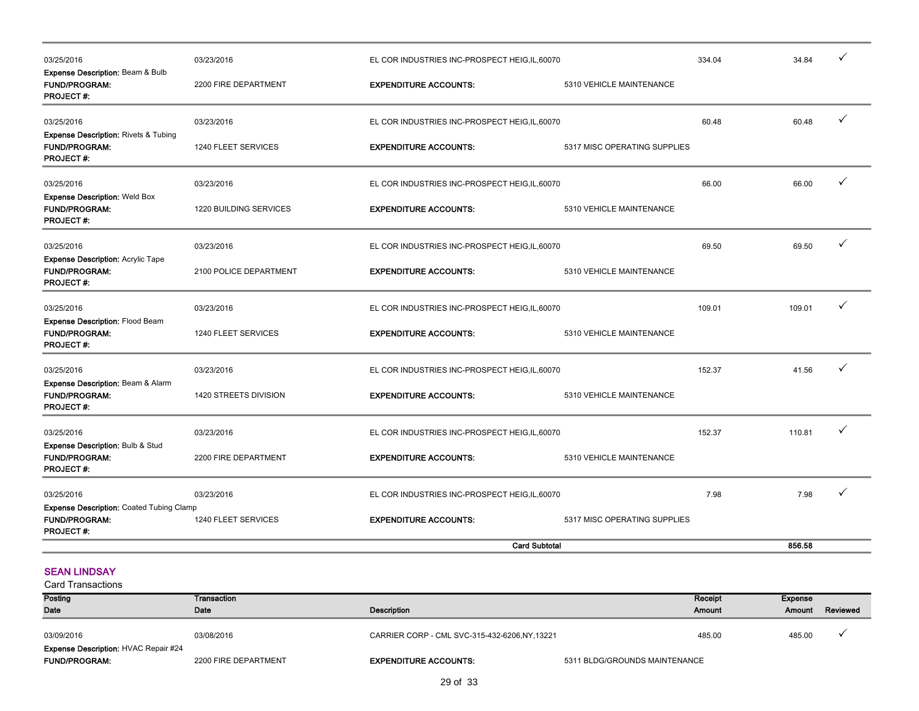| 03/25/2016                                                                                  | 03/23/2016             | EL COR INDUSTRIES INC-PROSPECT HEIG, IL, 60070 |                              | 334.04 | 34.84  | $\checkmark$ |
|---------------------------------------------------------------------------------------------|------------------------|------------------------------------------------|------------------------------|--------|--------|--------------|
| <b>Expense Description: Beam &amp; Bulb</b><br><b>FUND/PROGRAM:</b><br><b>PROJECT#:</b>     | 2200 FIRE DEPARTMENT   | <b>EXPENDITURE ACCOUNTS:</b>                   | 5310 VEHICLE MAINTENANCE     |        |        |              |
| 03/25/2016                                                                                  | 03/23/2016             | EL COR INDUSTRIES INC-PROSPECT HEIG, IL, 60070 |                              | 60.48  | 60.48  | $\checkmark$ |
| <b>Expense Description: Rivets &amp; Tubing</b><br><b>FUND/PROGRAM:</b><br><b>PROJECT#:</b> | 1240 FLEET SERVICES    | <b>EXPENDITURE ACCOUNTS:</b>                   | 5317 MISC OPERATING SUPPLIES |        |        |              |
| 03/25/2016                                                                                  | 03/23/2016             | EL COR INDUSTRIES INC-PROSPECT HEIG,IL,60070   |                              | 66.00  | 66.00  | ✓            |
| <b>Expense Description: Weld Box</b><br><b>FUND/PROGRAM:</b><br><b>PROJECT#:</b>            | 1220 BUILDING SERVICES | <b>EXPENDITURE ACCOUNTS:</b>                   | 5310 VEHICLE MAINTENANCE     |        |        |              |
| 03/25/2016                                                                                  | 03/23/2016             | EL COR INDUSTRIES INC-PROSPECT HEIG,IL,60070   |                              | 69.50  | 69.50  | $\checkmark$ |
| <b>Expense Description: Acrylic Tape</b><br><b>FUND/PROGRAM:</b><br><b>PROJECT#:</b>        | 2100 POLICE DEPARTMENT | <b>EXPENDITURE ACCOUNTS:</b>                   | 5310 VEHICLE MAINTENANCE     |        |        |              |
| 03/25/2016                                                                                  | 03/23/2016             | EL COR INDUSTRIES INC-PROSPECT HEIG, IL, 60070 |                              | 109.01 | 109.01 | ✓            |
| Expense Description: Flood Beam<br><b>FUND/PROGRAM:</b><br><b>PROJECT#:</b>                 | 1240 FLEET SERVICES    | <b>EXPENDITURE ACCOUNTS:</b>                   | 5310 VEHICLE MAINTENANCE     |        |        |              |
| 03/25/2016                                                                                  | 03/23/2016             | EL COR INDUSTRIES INC-PROSPECT HEIG, IL, 60070 |                              | 152.37 | 41.56  | ✓            |
| Expense Description: Beam & Alarm<br><b>FUND/PROGRAM:</b><br><b>PROJECT#:</b>               | 1420 STREETS DIVISION  | <b>EXPENDITURE ACCOUNTS:</b>                   | 5310 VEHICLE MAINTENANCE     |        |        |              |
| 03/25/2016                                                                                  | 03/23/2016             | EL COR INDUSTRIES INC-PROSPECT HEIG, IL, 60070 |                              | 152.37 | 110.81 |              |
| <b>Expense Description: Bulb &amp; Stud</b><br>FUND/PROGRAM:<br><b>PROJECT#:</b>            | 2200 FIRE DEPARTMENT   | <b>EXPENDITURE ACCOUNTS:</b>                   | 5310 VEHICLE MAINTENANCE     |        |        |              |
| 03/25/2016                                                                                  | 03/23/2016             | EL COR INDUSTRIES INC-PROSPECT HEIG, IL, 60070 |                              | 7.98   | 7.98   |              |
| <b>Expense Description: Coated Tubing Clamp</b><br><b>FUND/PROGRAM:</b><br><b>PROJECT#:</b> | 1240 FLEET SERVICES    | <b>EXPENDITURE ACCOUNTS:</b>                   | 5317 MISC OPERATING SUPPLIES |        |        |              |
|                                                                                             |                        | <b>Card Subtotal</b>                           |                              |        | 856.58 |              |

### SEAN LINDSAY

| <b>Posting</b>                                                      | Transaction          |                                                |                               | Receipt       | Expense |          |
|---------------------------------------------------------------------|----------------------|------------------------------------------------|-------------------------------|---------------|---------|----------|
| Date                                                                | Date                 | Description                                    |                               | <b>Amount</b> | Amount  | Reviewed |
| 03/09/2016                                                          | 03/08/2016           | CARRIER CORP - CML SVC-315-432-6206, NY, 13221 |                               | 485.00        | 485.00  |          |
| <b>Expense Description: HVAC Repair #24</b><br><b>FUND/PROGRAM:</b> | 2200 FIRE DEPARTMENT | <b>EXPENDITURE ACCOUNTS:</b>                   | 5311 BLDG/GROUNDS MAINTENANCE |               |         |          |
|                                                                     |                      |                                                |                               |               |         |          |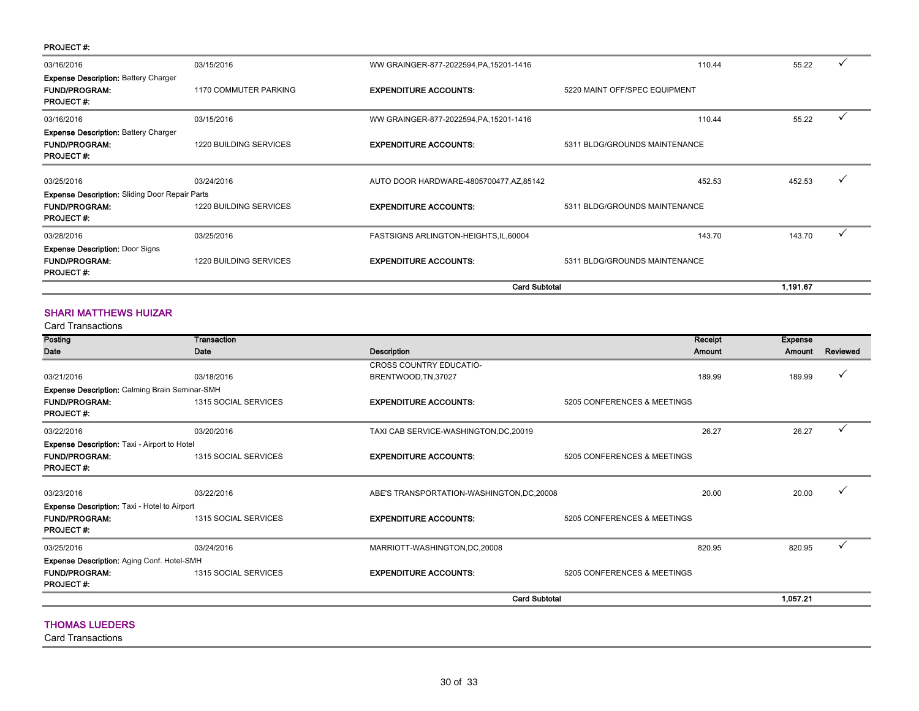#### PROJECT #:

| <b>Expense Description: Battery Charger</b>           |                               |                                          |                               |          |  |
|-------------------------------------------------------|-------------------------------|------------------------------------------|-------------------------------|----------|--|
| <b>FUND/PROGRAM:</b><br><b>PROJECT#:</b>              | 1170 COMMUTER PARKING         | <b>EXPENDITURE ACCOUNTS:</b>             | 5220 MAINT OFF/SPEC EQUIPMENT |          |  |
| 03/16/2016                                            | 03/15/2016                    | WW GRAINGER-877-2022594, PA, 15201-1416  | 110.44                        | 55.22    |  |
| <b>Expense Description: Battery Charger</b>           |                               |                                          |                               |          |  |
| <b>FUND/PROGRAM:</b>                                  | <b>1220 BUILDING SERVICES</b> | <b>EXPENDITURE ACCOUNTS:</b>             | 5311 BLDG/GROUNDS MAINTENANCE |          |  |
| <b>PROJECT#:</b>                                      |                               |                                          |                               |          |  |
| 03/25/2016                                            | 03/24/2016                    | AUTO DOOR HARDWARE-4805700477, AZ, 85142 | 452.53                        | 452.53   |  |
| <b>Expense Description: Sliding Door Repair Parts</b> |                               |                                          |                               |          |  |
| <b>FUND/PROGRAM:</b>                                  | 1220 BUILDING SERVICES        | <b>EXPENDITURE ACCOUNTS:</b>             | 5311 BLDG/GROUNDS MAINTENANCE |          |  |
| <b>PROJECT#:</b>                                      |                               |                                          |                               |          |  |
| 03/28/2016                                            | 03/25/2016                    | FASTSIGNS ARLINGTON-HEIGHTS, IL, 60004   | 143.70                        | 143.70   |  |
| <b>Expense Description: Door Signs</b>                |                               |                                          |                               |          |  |
| <b>FUND/PROGRAM:</b>                                  | 1220 BUILDING SERVICES        | <b>EXPENDITURE ACCOUNTS:</b>             | 5311 BLDG/GROUNDS MAINTENANCE |          |  |
| <b>PROJECT#:</b>                                      |                               |                                          |                               |          |  |
|                                                       |                               | <b>Card Subtotal</b>                     |                               | 1,191.67 |  |

### SHARI MATTHEWS HUIZAR

Card Transactions

| Date<br><b>Date</b><br><b>Description</b><br><b>CROSS COUNTRY EDUCATIO-</b>                      | Amount                      | Amount   | Reviewed     |
|--------------------------------------------------------------------------------------------------|-----------------------------|----------|--------------|
|                                                                                                  |                             |          |              |
|                                                                                                  |                             |          |              |
| 03/21/2016<br>03/18/2016<br>BRENTWOOD, TN, 37027                                                 | 189.99                      | 189.99   | ✓            |
| Expense Description: Calming Brain Seminar-SMH                                                   |                             |          |              |
| <b>FUND/PROGRAM:</b><br>1315 SOCIAL SERVICES<br><b>EXPENDITURE ACCOUNTS:</b><br><b>PROJECT#:</b> | 5205 CONFERENCES & MEETINGS |          |              |
| 03/22/2016<br>03/20/2016<br>TAXI CAB SERVICE-WASHINGTON, DC, 20019                               | 26.27                       | 26.27    | $\checkmark$ |
| <b>Expense Description: Taxi - Airport to Hotel</b>                                              |                             |          |              |
| <b>FUND/PROGRAM:</b><br><b>EXPENDITURE ACCOUNTS:</b><br>1315 SOCIAL SERVICES<br><b>PROJECT#:</b> | 5205 CONFERENCES & MEETINGS |          |              |
| 03/23/2016<br>03/22/2016<br>ABE'S TRANSPORTATION-WASHINGTON, DC, 20008                           | 20.00                       | 20.00    |              |
| <b>Expense Description:</b> Taxi - Hotel to Airport                                              |                             |          |              |
| <b>FUND/PROGRAM:</b><br>1315 SOCIAL SERVICES<br><b>EXPENDITURE ACCOUNTS:</b><br><b>PROJECT#:</b> | 5205 CONFERENCES & MEETINGS |          |              |
| 03/24/2016<br>03/25/2016<br>MARRIOTT-WASHINGTON, DC, 20008                                       | 820.95                      | 820.95   | $\checkmark$ |
| Expense Description: Aging Conf. Hotel-SMH                                                       |                             |          |              |
| <b>FUND/PROGRAM:</b><br><b>EXPENDITURE ACCOUNTS:</b><br>1315 SOCIAL SERVICES<br><b>PROJECT#:</b> | 5205 CONFERENCES & MEETINGS |          |              |
| <b>Card Subtotal</b>                                                                             |                             | 1,057.21 |              |

#### THOMAS LUEDERS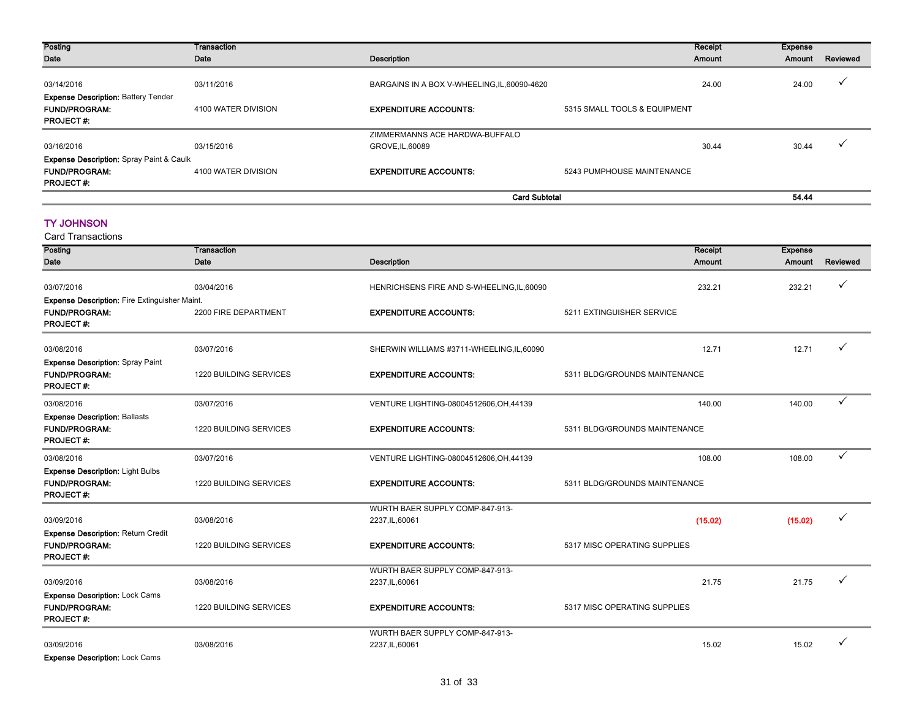| Posting                                             | Transaction         |                                              | Receipt                      | Expense |              |
|-----------------------------------------------------|---------------------|----------------------------------------------|------------------------------|---------|--------------|
| Date                                                | Date                | Description                                  | Amount                       | Amount  | Reviewed     |
|                                                     |                     |                                              |                              |         |              |
| 03/14/2016                                          | 03/11/2016          | BARGAINS IN A BOX V-WHEELING, IL, 60090-4620 | 24.00                        | 24.00   | $\checkmark$ |
| <b>Expense Description: Battery Tender</b>          |                     |                                              |                              |         |              |
| <b>FUND/PROGRAM:</b>                                | 4100 WATER DIVISION | <b>EXPENDITURE ACCOUNTS:</b>                 | 5315 SMALL TOOLS & EQUIPMENT |         |              |
| <b>PROJECT#:</b>                                    |                     |                                              |                              |         |              |
|                                                     |                     | ZIMMERMANNS ACE HARDWA-BUFFALO               |                              |         |              |
| 03/16/2016                                          | 03/15/2016          | GROVE, IL, 60089                             | 30.44                        | 30.44   | $\checkmark$ |
| <b>Expense Description: Spray Paint &amp; Caulk</b> |                     |                                              |                              |         |              |
| <b>FUND/PROGRAM:</b>                                | 4100 WATER DIVISION | <b>EXPENDITURE ACCOUNTS:</b>                 | 5243 PUMPHOUSE MAINTENANCE   |         |              |
| <b>PROJECT#:</b>                                    |                     |                                              |                              |         |              |
|                                                     |                     | <b>Card Subtotal</b>                         |                              | 54.44   |              |

#### TY JOHNSON

| <b>Card Transactions</b>                             |                               |                                            |                               |                |              |
|------------------------------------------------------|-------------------------------|--------------------------------------------|-------------------------------|----------------|--------------|
| Posting                                              | Transaction                   |                                            | Receipt                       | <b>Expense</b> |              |
| Date                                                 | Date                          | <b>Description</b>                         | Amount                        | Amount         | Reviewed     |
| 03/07/2016                                           | 03/04/2016                    | HENRICHSENS FIRE AND S-WHEELING, IL, 60090 | 232.21                        | 232.21         | ✓            |
| <b>Expense Description: Fire Extinguisher Maint.</b> |                               |                                            |                               |                |              |
| <b>FUND/PROGRAM:</b><br><b>PROJECT#:</b>             | 2200 FIRE DEPARTMENT          | <b>EXPENDITURE ACCOUNTS:</b>               | 5211 EXTINGUISHER SERVICE     |                |              |
| 03/08/2016                                           | 03/07/2016                    | SHERWIN WILLIAMS #3711-WHEELING,IL,60090   | 12.71                         | 12.71          |              |
| <b>Expense Description: Spray Paint</b>              |                               |                                            |                               |                |              |
| <b>FUND/PROGRAM:</b><br><b>PROJECT#:</b>             | 1220 BUILDING SERVICES        | <b>EXPENDITURE ACCOUNTS:</b>               | 5311 BLDG/GROUNDS MAINTENANCE |                |              |
| 03/08/2016                                           | 03/07/2016                    | VENTURE LIGHTING-08004512606, OH, 44139    | 140.00                        | 140.00         | $\checkmark$ |
| <b>Expense Description: Ballasts</b>                 |                               |                                            |                               |                |              |
| <b>FUND/PROGRAM:</b><br><b>PROJECT#:</b>             | <b>1220 BUILDING SERVICES</b> | <b>EXPENDITURE ACCOUNTS:</b>               | 5311 BLDG/GROUNDS MAINTENANCE |                |              |
|                                                      |                               |                                            |                               |                |              |
| 03/08/2016                                           | 03/07/2016                    | VENTURE LIGHTING-08004512606, OH, 44139    | 108.00                        | 108.00         | $\checkmark$ |
| <b>Expense Description: Light Bulbs</b>              |                               |                                            |                               |                |              |
| <b>FUND/PROGRAM:</b><br><b>PROJECT#:</b>             | 1220 BUILDING SERVICES        | <b>EXPENDITURE ACCOUNTS:</b>               | 5311 BLDG/GROUNDS MAINTENANCE |                |              |
|                                                      |                               | WURTH BAER SUPPLY COMP-847-913-            |                               |                |              |
| 03/09/2016                                           | 03/08/2016                    | 2237, IL, 60061                            | (15.02)                       | (15.02)        | ✓            |
| <b>Expense Description: Return Credit</b>            |                               |                                            |                               |                |              |
| <b>FUND/PROGRAM:</b>                                 | 1220 BUILDING SERVICES        | <b>EXPENDITURE ACCOUNTS:</b>               | 5317 MISC OPERATING SUPPLIES  |                |              |
| <b>PROJECT#:</b>                                     |                               |                                            |                               |                |              |
|                                                      |                               | WURTH BAER SUPPLY COMP-847-913-            |                               |                | $\checkmark$ |
| 03/09/2016                                           | 03/08/2016                    | 2237, IL, 60061                            | 21.75                         | 21.75          |              |
| Expense Description: Lock Cams                       |                               |                                            |                               |                |              |
| <b>FUND/PROGRAM:</b><br><b>PROJECT#:</b>             | 1220 BUILDING SERVICES        | <b>EXPENDITURE ACCOUNTS:</b>               | 5317 MISC OPERATING SUPPLIES  |                |              |
|                                                      |                               | WURTH BAER SUPPLY COMP-847-913-            |                               |                |              |
| 03/09/2016                                           | 03/08/2016                    | 2237, IL, 60061                            | 15.02                         | 15.02          |              |
| <b>Expense Description: Lock Cams</b>                |                               |                                            |                               |                |              |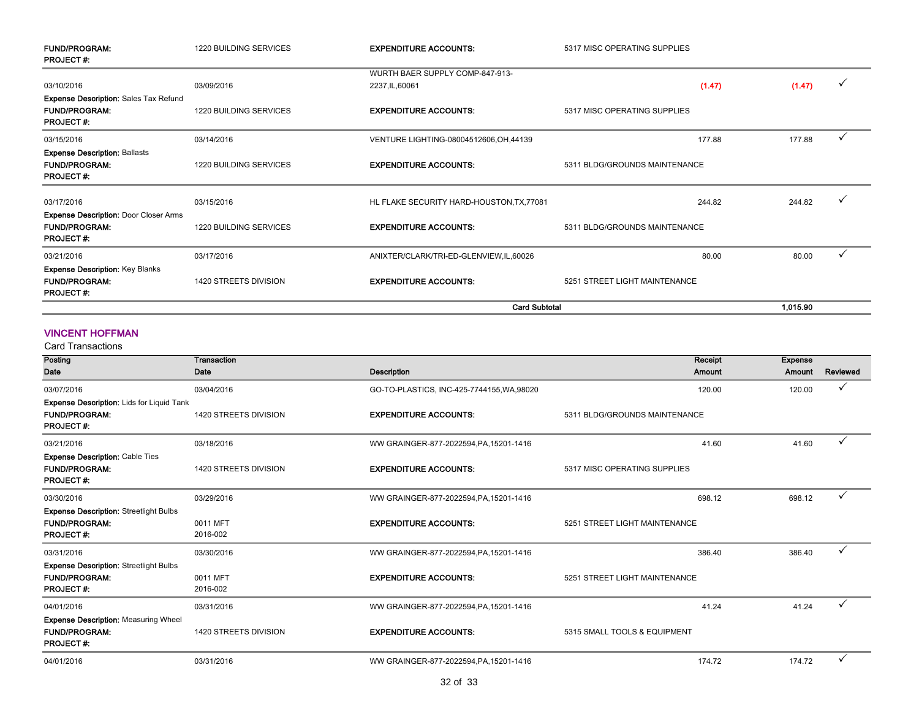| <b>FUND/PROGRAM:</b><br><b>PROJECT#:</b>                                           | <b>1220 BUILDING SERVICES</b> | <b>EXPENDITURE ACCOUNTS:</b>              | 5317 MISC OPERATING SUPPLIES  |          |   |
|------------------------------------------------------------------------------------|-------------------------------|-------------------------------------------|-------------------------------|----------|---|
|                                                                                    |                               | WURTH BAER SUPPLY COMP-847-913-           |                               |          |   |
| 03/10/2016                                                                         | 03/09/2016                    | 2237, IL, 60061                           | (1.47)                        | (1.47)   | ✓ |
| <b>Expense Description: Sales Tax Refund</b>                                       |                               |                                           |                               |          |   |
| <b>FUND/PROGRAM:</b><br><b>PROJECT#:</b>                                           | <b>1220 BUILDING SERVICES</b> | <b>EXPENDITURE ACCOUNTS:</b>              | 5317 MISC OPERATING SUPPLIES  |          |   |
| 03/15/2016                                                                         | 03/14/2016                    | VENTURE LIGHTING-08004512606, OH, 44139   | 177.88                        | 177.88   | ✓ |
| <b>Expense Description: Ballasts</b><br><b>FUND/PROGRAM:</b><br><b>PROJECT#:</b>   | <b>1220 BUILDING SERVICES</b> | <b>EXPENDITURE ACCOUNTS:</b>              | 5311 BLDG/GROUNDS MAINTENANCE |          |   |
| 03/17/2016                                                                         | 03/15/2016                    | HL FLAKE SECURITY HARD-HOUSTON, TX, 77081 | 244.82                        | 244.82   | ✓ |
| <b>Expense Description: Door Closer Arms</b>                                       |                               |                                           |                               |          |   |
| <b>FUND/PROGRAM:</b><br><b>PROJECT#:</b>                                           | <b>1220 BUILDING SERVICES</b> | <b>EXPENDITURE ACCOUNTS:</b>              | 5311 BLDG/GROUNDS MAINTENANCE |          |   |
| 03/21/2016                                                                         | 03/17/2016                    | ANIXTER/CLARK/TRI-ED-GLENVIEW,IL,60026    | 80.00                         | 80.00    |   |
| <b>Expense Description: Key Blanks</b><br><b>FUND/PROGRAM:</b><br><b>PROJECT#:</b> | 1420 STREETS DIVISION         | <b>EXPENDITURE ACCOUNTS:</b>              | 5251 STREET LIGHT MAINTENANCE |          |   |
|                                                                                    |                               | <b>Card Subtotal</b>                      |                               | 1.015.90 |   |

#### VINCENT HOFFMAN

Card Transactions

| Posting                                                                                      | Transaction           |                                            | Receipt                       | <b>Expense</b> |              |
|----------------------------------------------------------------------------------------------|-----------------------|--------------------------------------------|-------------------------------|----------------|--------------|
| Date                                                                                         | Date                  | <b>Description</b>                         | Amount                        | Amount         | Reviewed     |
| 03/07/2016                                                                                   | 03/04/2016            | GO-TO-PLASTICS, INC-425-7744155, WA, 98020 | 120.00                        | 120.00         |              |
| <b>Expense Description: Lids for Liquid Tank</b><br><b>FUND/PROGRAM:</b><br><b>PROJECT#:</b> | 1420 STREETS DIVISION | <b>EXPENDITURE ACCOUNTS:</b>               | 5311 BLDG/GROUNDS MAINTENANCE |                |              |
| 03/21/2016                                                                                   | 03/18/2016            | WW GRAINGER-877-2022594, PA, 15201-1416    | 41.60                         | 41.60          |              |
| <b>Expense Description: Cable Ties</b><br><b>FUND/PROGRAM:</b><br><b>PROJECT#:</b>           | 1420 STREETS DIVISION | <b>EXPENDITURE ACCOUNTS:</b>               | 5317 MISC OPERATING SUPPLIES  |                |              |
| 03/30/2016                                                                                   | 03/29/2016            | WW GRAINGER-877-2022594, PA, 15201-1416    | 698.12                        | 698.12         | ✓            |
| <b>Expense Description: Streetlight Bulbs</b><br><b>FUND/PROGRAM:</b><br><b>PROJECT#:</b>    | 0011 MFT<br>2016-002  | <b>EXPENDITURE ACCOUNTS:</b>               | 5251 STREET LIGHT MAINTENANCE |                |              |
| 03/31/2016                                                                                   | 03/30/2016            | WW GRAINGER-877-2022594, PA, 15201-1416    | 386.40                        | 386.40         | $\checkmark$ |
| <b>Expense Description: Streetlight Bulbs</b><br><b>FUND/PROGRAM:</b><br><b>PROJECT#:</b>    | 0011 MFT<br>2016-002  | <b>EXPENDITURE ACCOUNTS:</b>               | 5251 STREET LIGHT MAINTENANCE |                |              |
| 04/01/2016                                                                                   | 03/31/2016            | WW GRAINGER-877-2022594, PA, 15201-1416    | 41.24                         | 41.24          |              |
| <b>Expense Description: Measuring Wheel</b><br><b>FUND/PROGRAM:</b><br><b>PROJECT#:</b>      | 1420 STREETS DIVISION | <b>EXPENDITURE ACCOUNTS:</b>               | 5315 SMALL TOOLS & EQUIPMENT  |                |              |
| 04/01/2016                                                                                   | 03/31/2016            | WW GRAINGER-877-2022594, PA, 15201-1416    | 174.72                        | 174.72         | ✓            |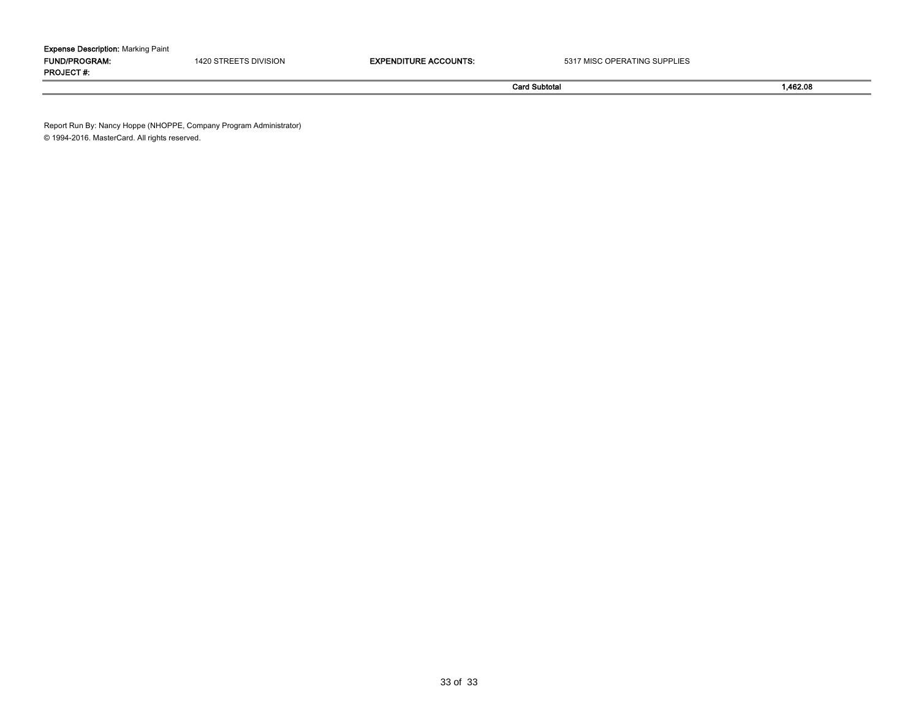| <b>Expense Description:</b> Marking Paint |      |                         |                              |  |  |  |  |  |  |
|-------------------------------------------|------|-------------------------|------------------------------|--|--|--|--|--|--|
| <b>FUND/PROGRAM:</b>                      | 420. | <b>ACCOUNTS</b><br>unr. | 5317 MISC OPERATING SUPPLIES |  |  |  |  |  |  |
| <b>PROJECT#</b>                           |      |                         |                              |  |  |  |  |  |  |

Card Subtotal 1,462.08

Report Run By: Nancy Hoppe (NHOPPE, Company Program Administrator) © 1994-2016. MasterCard. All rights reserved.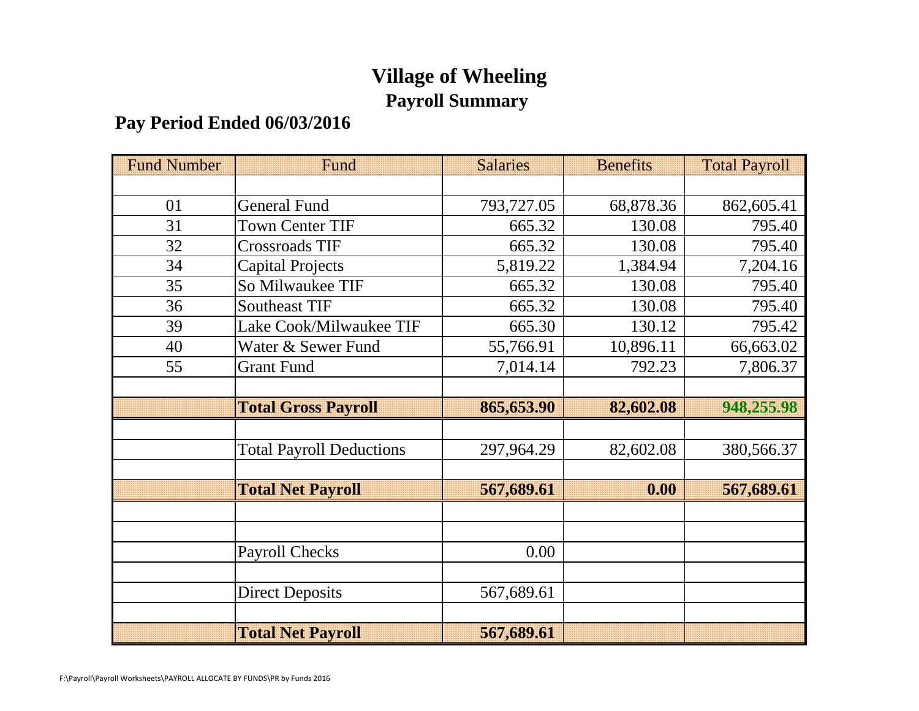# **Village of Wheeling Payroll Summary**

# **Pay Period Ended 06/03/2016**

| <b>Fund Number</b> | Fund                            | <b>Salaries</b> | <b>Benefits</b> | <b>Total Payroll</b> |
|--------------------|---------------------------------|-----------------|-----------------|----------------------|
|                    |                                 |                 |                 |                      |
| 01                 | <b>General Fund</b>             | 793,727.05      | 68,878.36       | 862,605.41           |
| 31                 | <b>Town Center TIF</b>          | 665.32          | 130.08          | 795.40               |
| 32                 | <b>Crossroads TIF</b>           | 665.32          | 130.08          | 795.40               |
| 34                 | <b>Capital Projects</b>         | 5,819.22        | 1,384.94        | 7,204.16             |
| 35                 | So Milwaukee TIF                | 665.32          | 130.08          | 795.40               |
| 36                 | <b>Southeast TIF</b>            | 665.32          | 130.08          | 795.40               |
| 39                 | Lake Cook/Milwaukee TIF         | 665.30          | 130.12          | 795.42               |
| 40                 | Water & Sewer Fund              | 55,766.91       | 10,896.11       | 66,663.02            |
| 55                 | <b>Grant Fund</b>               | 7,014.14        | 792.23          | 7,806.37             |
|                    |                                 |                 |                 |                      |
|                    | <b>Total Gross Payroll</b>      | 865,653.90      | 82,602.08       | 948,255.98           |
|                    |                                 |                 |                 |                      |
|                    | <b>Total Payroll Deductions</b> | 297,964.29      | 82,602.08       | 380,566.37           |
|                    |                                 |                 |                 |                      |
|                    | <b>Total Net Payroll</b>        | 567,689.61      | 0.00            | 567,689.61           |
|                    |                                 |                 |                 |                      |
|                    |                                 |                 |                 |                      |
|                    | <b>Payroll Checks</b>           | 0.00            |                 |                      |
|                    |                                 |                 |                 |                      |
|                    | <b>Direct Deposits</b>          | 567,689.61      |                 |                      |
|                    |                                 |                 |                 |                      |
|                    | <b>Total Net Payroll</b>        | 567,689.61      |                 |                      |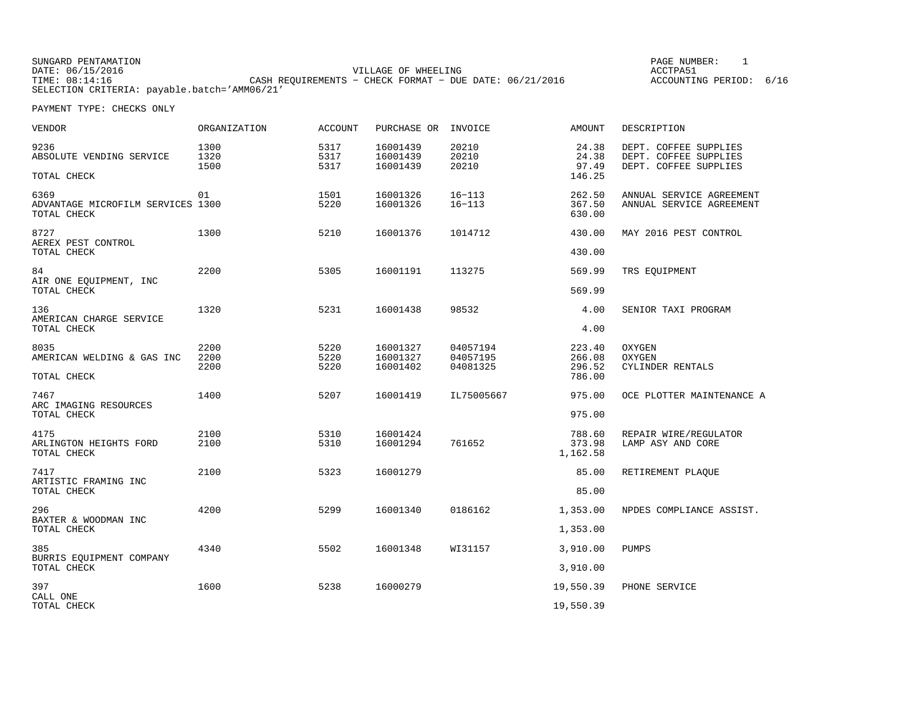| SUNGARD PENTAMATION                          |                                                           |                     | PAGE NUMBER:            |  |
|----------------------------------------------|-----------------------------------------------------------|---------------------|-------------------------|--|
| DATE: 06/15/2016                             |                                                           | VILLAGE OF WHEELING | ACCTPA51                |  |
| TIME: 08:14:16                               | CASH REOUIREMENTS - CHECK FORMAT - DUE DATE: $06/21/2016$ |                     | ACCOUNTING PERIOD: 6/16 |  |
| SELECTION CRITERIA: payable.batch='AMM06/21' |                                                           |                     |                         |  |

| <b>VENDOR</b>                                            | <b>ORGANIZATION</b>  | <b>ACCOUNT</b>       | PURCHASE OR                      | INVOICE                          | <b>AMOUNT</b>                | DESCRIPTION                                                             |
|----------------------------------------------------------|----------------------|----------------------|----------------------------------|----------------------------------|------------------------------|-------------------------------------------------------------------------|
| 9236<br>ABSOLUTE VENDING SERVICE                         | 1300<br>1320<br>1500 | 5317<br>5317<br>5317 | 16001439<br>16001439<br>16001439 | 20210<br>20210<br>20210          | 24.38<br>24.38<br>97.49      | DEPT. COFFEE SUPPLIES<br>DEPT. COFFEE SUPPLIES<br>DEPT. COFFEE SUPPLIES |
| TOTAL CHECK                                              |                      |                      |                                  |                                  | 146.25                       |                                                                         |
| 6369<br>ADVANTAGE MICROFILM SERVICES 1300<br>TOTAL CHECK | 01                   | 1501<br>5220         | 16001326<br>16001326             | $16 - 113$<br>$16 - 113$         | 262.50<br>367.50<br>630.00   | ANNUAL SERVICE AGREEMENT<br>ANNUAL SERVICE AGREEMENT                    |
| 8727<br>AEREX PEST CONTROL                               | 1300                 | 5210                 | 16001376                         | 1014712                          | 430.00                       | MAY 2016 PEST CONTROL                                                   |
| TOTAL CHECK                                              |                      |                      |                                  |                                  | 430.00                       |                                                                         |
| 84<br>AIR ONE EQUIPMENT, INC                             | 2200                 | 5305                 | 16001191                         | 113275                           | 569.99                       | TRS EQUIPMENT                                                           |
| TOTAL CHECK                                              |                      |                      |                                  |                                  | 569.99                       |                                                                         |
| 136<br>AMERICAN CHARGE SERVICE                           | 1320                 | 5231                 | 16001438                         | 98532                            | 4.00                         | SENIOR TAXI PROGRAM                                                     |
| TOTAL CHECK                                              |                      |                      |                                  |                                  | 4.00                         |                                                                         |
| 8035<br>AMERICAN WELDING & GAS INC                       | 2200<br>2200<br>2200 | 5220<br>5220<br>5220 | 16001327<br>16001327<br>16001402 | 04057194<br>04057195<br>04081325 | 223.40<br>266.08<br>296.52   | OXYGEN<br><b>OXYGEN</b><br>CYLINDER RENTALS                             |
| TOTAL CHECK                                              |                      |                      |                                  |                                  | 786.00                       |                                                                         |
| 7467<br>ARC IMAGING RESOURCES                            | 1400                 | 5207                 | 16001419                         | IL75005667                       | 975.00                       | OCE PLOTTER MAINTENANCE A                                               |
| TOTAL CHECK                                              |                      |                      |                                  |                                  | 975.00                       |                                                                         |
| 4175<br>ARLINGTON HEIGHTS FORD<br>TOTAL CHECK            | 2100<br>2100         | 5310<br>5310         | 16001424<br>16001294             | 761652                           | 788.60<br>373.98<br>1,162.58 | REPAIR WIRE/REGULATOR<br>LAMP ASY AND CORE                              |
| 7417                                                     | 2100                 | 5323                 | 16001279                         |                                  | 85.00                        | RETIREMENT PLAQUE                                                       |
| ARTISTIC FRAMING INC<br>TOTAL CHECK                      |                      |                      |                                  |                                  | 85.00                        |                                                                         |
| 296<br>BAXTER & WOODMAN INC                              | 4200                 | 5299                 | 16001340                         | 0186162                          | 1,353.00                     | NPDES COMPLIANCE ASSIST.                                                |
| TOTAL CHECK                                              |                      |                      |                                  |                                  | 1,353.00                     |                                                                         |
| 385<br>BURRIS EQUIPMENT COMPANY                          | 4340                 | 5502                 | 16001348                         | WI31157                          | 3,910.00                     | PUMPS                                                                   |
| TOTAL CHECK                                              |                      |                      |                                  |                                  | 3,910.00                     |                                                                         |
| 397<br>CALL ONE                                          | 1600                 | 5238                 | 16000279                         |                                  | 19,550.39                    | PHONE SERVICE                                                           |
| TOTAL CHECK                                              |                      |                      |                                  |                                  | 19,550.39                    |                                                                         |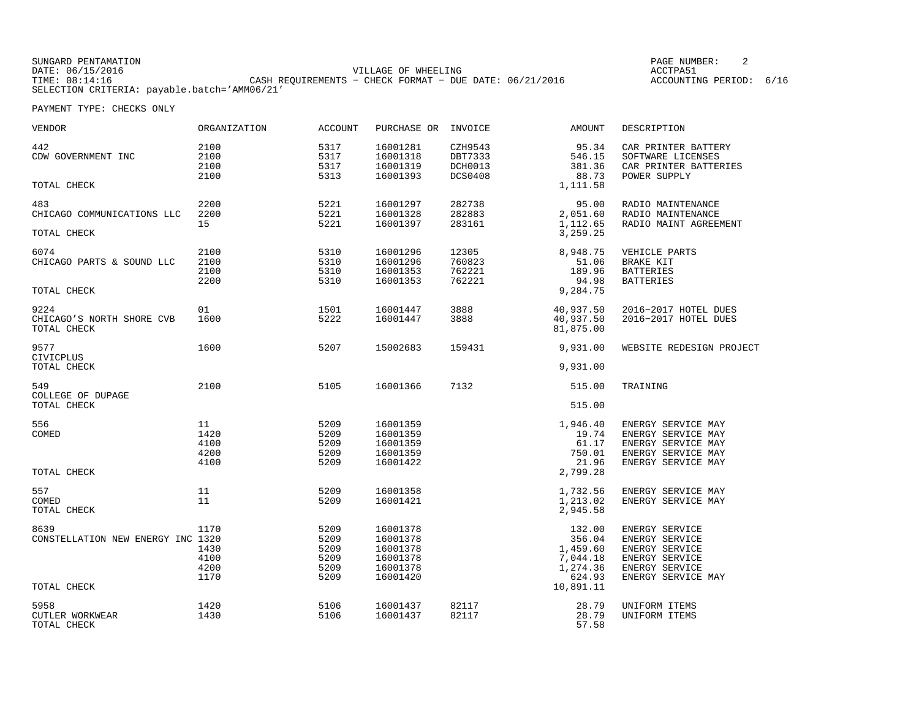| SUNGARD PENTAMATION                          |                                                         |                     |  | PAGE NUMBER:            |  |
|----------------------------------------------|---------------------------------------------------------|---------------------|--|-------------------------|--|
| DATE: 06/15/2016                             |                                                         | VILLAGE OF WHEELING |  | ACCTPA51                |  |
| TIME: 08:14:16                               | CASH REQUIREMENTS - CHECK FORMAT - DUE DATE: 06/21/2016 |                     |  | ACCOUNTING PERIOD: 6/16 |  |
| SELECTION CRITERIA: payable.batch='AMM06/21' |                                                         |                     |  |                         |  |

| VENDOR                                                   | ORGANIZATION                         | <b>ACCOUNT</b>                               | PURCHASE OR                                                          | INVOICE                                                | <b>AMOUNT</b>                                                               | DESCRIPTION                                                                                                  |
|----------------------------------------------------------|--------------------------------------|----------------------------------------------|----------------------------------------------------------------------|--------------------------------------------------------|-----------------------------------------------------------------------------|--------------------------------------------------------------------------------------------------------------|
| 442<br>CDW GOVERNMENT INC                                | 2100<br>2100<br>2100<br>2100         | 5317<br>5317<br>5317<br>5313                 | 16001281<br>16001318<br>16001319<br>16001393                         | CZH9543<br>DBT7333<br><b>DCH0013</b><br><b>DCS0408</b> | 95.34<br>546.15<br>381.36<br>88.73                                          | CAR PRINTER BATTERY<br>SOFTWARE LICENSES<br>CAR PRINTER BATTERIES<br>POWER SUPPLY                            |
| TOTAL CHECK                                              |                                      |                                              |                                                                      |                                                        | 1,111.58                                                                    |                                                                                                              |
| 483<br>CHICAGO COMMUNICATIONS LLC<br>TOTAL CHECK         | 2200<br>2200<br>15                   | 5221<br>5221<br>5221                         | 16001297<br>16001328<br>16001397                                     | 282738<br>282883<br>283161                             | 95.00<br>2,051.60<br>1,112.65<br>3,259.25                                   | RADIO MAINTENANCE<br>RADIO MAINTENANCE<br>RADIO MAINT AGREEMENT                                              |
| 6074<br>CHICAGO PARTS & SOUND LLC<br>TOTAL CHECK         | 2100<br>2100<br>2100<br>2200         | 5310<br>5310<br>5310<br>5310                 | 16001296<br>16001296<br>16001353<br>16001353                         | 12305<br>760823<br>762221<br>762221                    | 8,948.75<br>51.06<br>189.96<br>94.98<br>9,284.75                            | VEHICLE PARTS<br><b>BRAKE KIT</b><br><b>BATTERIES</b><br><b>BATTERIES</b>                                    |
| 9224<br>CHICAGO'S NORTH SHORE CVB<br>TOTAL CHECK         | 01<br>1600                           | 1501<br>5222                                 | 16001447<br>16001447                                                 | 3888<br>3888                                           | 40,937.50<br>40,937.50<br>81,875.00                                         | 2016-2017 HOTEL DUES<br>2016-2017 HOTEL DUES                                                                 |
| 9577<br>CIVICPLUS<br>TOTAL CHECK                         | 1600                                 | 5207                                         | 15002683                                                             | 159431                                                 | 9,931.00<br>9,931.00                                                        | WEBSITE REDESIGN PROJECT                                                                                     |
| 549<br>COLLEGE OF DUPAGE<br>TOTAL CHECK                  | 2100                                 | 5105                                         | 16001366                                                             | 7132                                                   | 515.00<br>515.00                                                            | TRAINING                                                                                                     |
| 556<br>COMED<br>TOTAL CHECK                              | 11<br>1420<br>4100<br>4200<br>4100   | 5209<br>5209<br>5209<br>5209<br>5209         | 16001359<br>16001359<br>16001359<br>16001359<br>16001422             |                                                        | 1,946.40<br>19.74<br>61.17<br>750.01<br>21.96<br>2,799.28                   | ENERGY SERVICE MAY<br>ENERGY SERVICE MAY<br>ENERGY SERVICE MAY<br>ENERGY SERVICE MAY<br>ENERGY SERVICE MAY   |
| 557<br>COMED<br>TOTAL CHECK                              | 11<br>11                             | 5209<br>5209                                 | 16001358<br>16001421                                                 |                                                        | 1,732.56<br>1,213.02<br>2,945.58                                            | ENERGY SERVICE MAY<br>ENERGY SERVICE MAY                                                                     |
| 8639<br>CONSTELLATION NEW ENERGY INC 1320<br>TOTAL CHECK | 1170<br>1430<br>4100<br>4200<br>1170 | 5209<br>5209<br>5209<br>5209<br>5209<br>5209 | 16001378<br>16001378<br>16001378<br>16001378<br>16001378<br>16001420 |                                                        | 132.00<br>356.04<br>1,459.60<br>7,044.18<br>1,274.36<br>624.93<br>10,891.11 | ENERGY SERVICE<br>ENERGY SERVICE<br>ENERGY SERVICE<br>ENERGY SERVICE<br>ENERGY SERVICE<br>ENERGY SERVICE MAY |
| 5958<br>CUTLER WORKWEAR<br>TOTAL CHECK                   | 1420<br>1430                         | 5106<br>5106                                 | 16001437<br>16001437                                                 | 82117<br>82117                                         | 28.79<br>28.79<br>57.58                                                     | UNIFORM ITEMS<br>UNIFORM ITEMS                                                                               |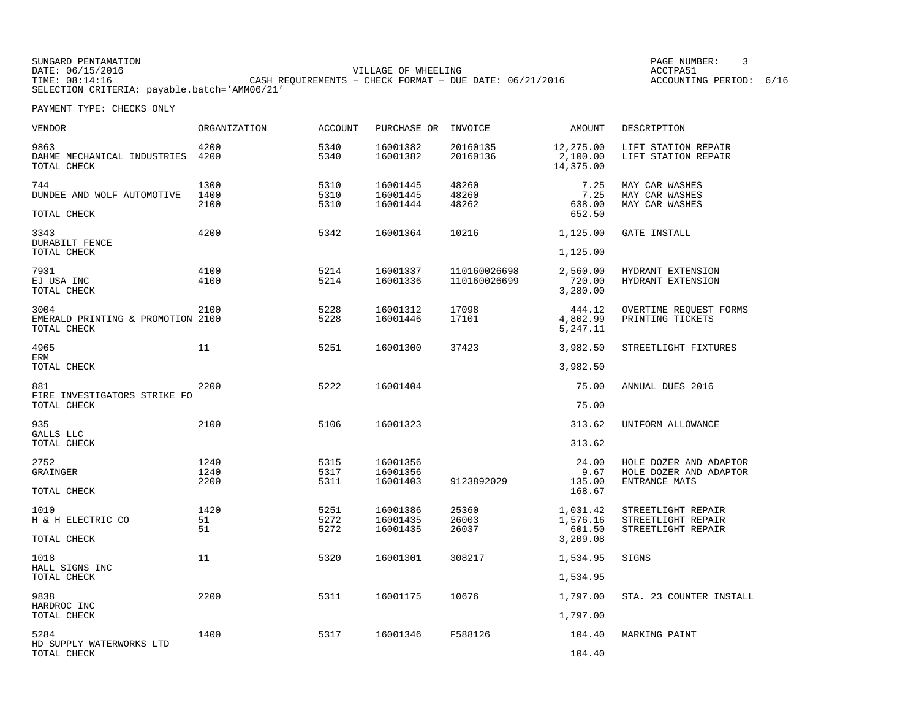SUNGARD PENTAMATION PAGE NUMBER: 3DATE: 06/15/2016 VILLAGE OF WHEELING ACCTPA51ACCOUNTING PERIOD: 6/16 TIME: 08:14:16 CASH REQUIREMENTS − CHECK FORMAT − DUE DATE: 06/21/2016 SELECTION CRITERIA: payable.batch='AMM06/21'

| VENDOR                                                   | ORGANIZATION         | <b>ACCOUNT</b>       | PURCHASE OR                      | INVOICE                      | AMOUNT                                     | DESCRIPTION                                                       |
|----------------------------------------------------------|----------------------|----------------------|----------------------------------|------------------------------|--------------------------------------------|-------------------------------------------------------------------|
| 9863<br>DAHME MECHANICAL INDUSTRIES<br>TOTAL CHECK       | 4200<br>4200         | 5340<br>5340         | 16001382<br>16001382             | 20160135<br>20160136         | 12,275.00<br>2,100.00<br>14,375.00         | LIFT STATION REPAIR<br>LIFT STATION REPAIR                        |
| 744<br>DUNDEE AND WOLF AUTOMOTIVE<br>TOTAL CHECK         | 1300<br>1400<br>2100 | 5310<br>5310<br>5310 | 16001445<br>16001445<br>16001444 | 48260<br>48260<br>48262      | 7.25<br>7.25<br>638.00<br>652.50           | MAY CAR WASHES<br>MAY CAR WASHES<br>MAY CAR WASHES                |
| 3343<br>DURABILT FENCE<br>TOTAL CHECK                    | 4200                 | 5342                 | 16001364                         | 10216                        | 1,125.00<br>1,125.00                       | GATE INSTALL                                                      |
| 7931<br>EJ USA INC<br>TOTAL CHECK                        | 4100<br>4100         | 5214<br>5214         | 16001337<br>16001336             | 110160026698<br>110160026699 | 2,560.00<br>720.00<br>3,280.00             | HYDRANT EXTENSION<br>HYDRANT EXTENSION                            |
| 3004<br>EMERALD PRINTING & PROMOTION 2100<br>TOTAL CHECK | 2100                 | 5228<br>5228         | 16001312<br>16001446             | 17098<br>17101               | 444.12<br>4,802.99<br>5,247.11             | OVERTIME REQUEST FORMS<br>PRINTING TICKETS                        |
| 4965<br>ERM<br>TOTAL CHECK                               | 11                   | 5251                 | 16001300                         | 37423                        | 3,982.50<br>3,982.50                       | STREETLIGHT FIXTURES                                              |
| 881<br>FIRE INVESTIGATORS STRIKE FO<br>TOTAL CHECK       | 2200                 | 5222                 | 16001404                         |                              | 75.00<br>75.00                             | ANNUAL DUES 2016                                                  |
| 935<br>GALLS LLC<br>TOTAL CHECK                          | 2100                 | 5106                 | 16001323                         |                              | 313.62<br>313.62                           | UNIFORM ALLOWANCE                                                 |
| 2752<br>GRAINGER<br>TOTAL CHECK                          | 1240<br>1240<br>2200 | 5315<br>5317<br>5311 | 16001356<br>16001356<br>16001403 | 9123892029                   | 24.00<br>9.67<br>135.00<br>168.67          | HOLE DOZER AND ADAPTOR<br>HOLE DOZER AND ADAPTOR<br>ENTRANCE MATS |
| 1010<br>H & H ELECTRIC CO<br>TOTAL CHECK                 | 1420<br>51<br>51     | 5251<br>5272<br>5272 | 16001386<br>16001435<br>16001435 | 25360<br>26003<br>26037      | 1,031.42<br>1,576.16<br>601.50<br>3,209.08 | STREETLIGHT REPAIR<br>STREETLIGHT REPAIR<br>STREETLIGHT REPAIR    |
| 1018<br>HALL SIGNS INC<br>TOTAL CHECK                    | 11                   | 5320                 | 16001301                         | 308217                       | 1,534.95<br>1,534.95                       | SIGNS                                                             |
| 9838<br>HARDROC INC<br>TOTAL CHECK                       | 2200                 | 5311                 | 16001175                         | 10676                        | 1,797.00<br>1,797.00                       | STA. 23 COUNTER INSTALL                                           |
| 5284<br>HD SUPPLY WATERWORKS LTD<br>TOTAL CHECK          | 1400                 | 5317                 | 16001346                         | F588126                      | 104.40<br>104.40                           | MARKING PAINT                                                     |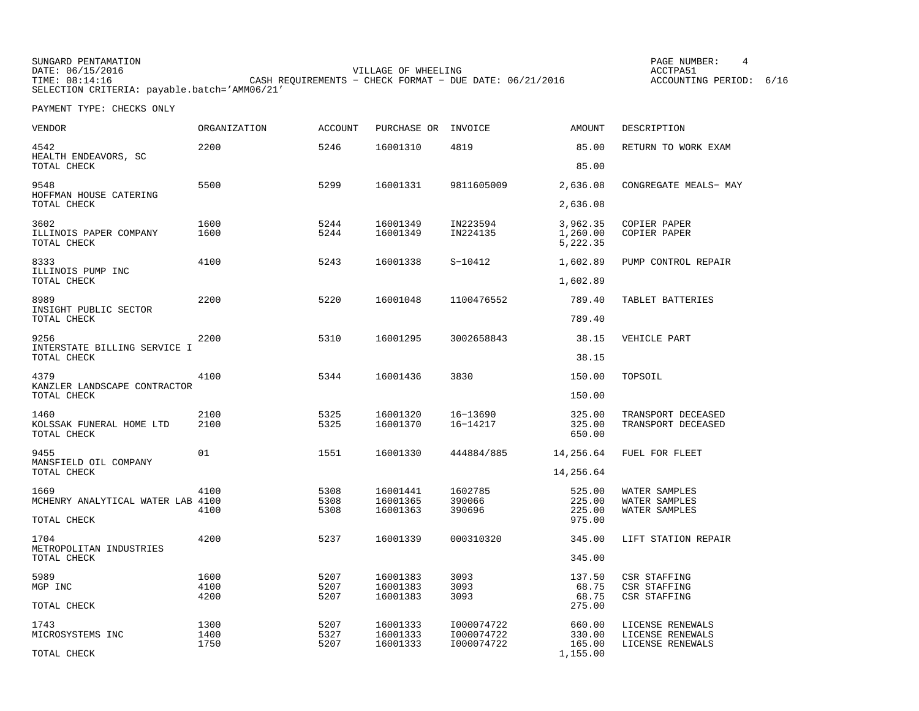SUNGARD PENTAMATION PAGE NUMBER: 4DATE: 06/15/2016 VILLAGE OF WHEELING ACCTPA51TIME: 08:14:16 CASH REQUIREMENTS − CHECK FORMAT − DUE DATE: 06/21/2016 SELECTION CRITERIA: payable.batch='AMM06/21'

ACCOUNTING PERIOD: 6/16

| VENDOR                                          | ORGANIZATION | <b>ACCOUNT</b> | PURCHASE OR          | INVOICE                  | <b>AMOUNT</b>                    | DESCRIPTION                              |
|-------------------------------------------------|--------------|----------------|----------------------|--------------------------|----------------------------------|------------------------------------------|
| 4542<br>HEALTH ENDEAVORS, SC                    | 2200         | 5246           | 16001310             | 4819                     | 85.00                            | RETURN TO WORK EXAM                      |
| TOTAL CHECK                                     |              |                |                      |                          | 85.00                            |                                          |
| 9548<br>HOFFMAN HOUSE CATERING                  | 5500         | 5299           | 16001331             | 9811605009               | 2,636.08                         | CONGREGATE MEALS- MAY                    |
| TOTAL CHECK                                     |              |                |                      |                          | 2,636.08                         |                                          |
| 3602<br>ILLINOIS PAPER COMPANY<br>TOTAL CHECK   | 1600<br>1600 | 5244<br>5244   | 16001349<br>16001349 | IN223594<br>IN224135     | 3,962.35<br>1,260.00<br>5,222.35 | COPIER PAPER<br>COPIER PAPER             |
| 8333<br>ILLINOIS PUMP INC                       | 4100         | 5243           | 16001338             | $S-10412$                | 1,602.89                         | PUMP CONTROL REPAIR                      |
| TOTAL CHECK                                     |              |                |                      |                          | 1,602.89                         |                                          |
| 8989<br>INSIGHT PUBLIC SECTOR                   | 2200         | 5220           | 16001048             | 1100476552               | 789.40                           | TABLET BATTERIES                         |
| TOTAL CHECK                                     |              |                |                      |                          | 789.40                           |                                          |
| 9256<br>INTERSTATE BILLING SERVICE I            | 2200         | 5310           | 16001295             | 3002658843               | 38.15                            | VEHICLE PART                             |
| TOTAL CHECK                                     |              |                |                      |                          | 38.15                            |                                          |
| 4379<br>KANZLER LANDSCAPE CONTRACTOR            | 4100         | 5344           | 16001436             | 3830                     | 150.00                           | TOPSOIL                                  |
| TOTAL CHECK                                     |              |                |                      |                          | 150.00                           |                                          |
| 1460<br>KOLSSAK FUNERAL HOME LTD<br>TOTAL CHECK | 2100<br>2100 | 5325<br>5325   | 16001320<br>16001370 | 16-13690<br>16-14217     | 325.00<br>325.00<br>650.00       | TRANSPORT DECEASED<br>TRANSPORT DECEASED |
| 9455<br>MANSFIELD OIL COMPANY                   | 01           | 1551           | 16001330             | 444884/885               | 14,256.64                        | FUEL FOR FLEET                           |
| TOTAL CHECK                                     |              |                |                      |                          | 14,256.64                        |                                          |
| 1669<br>MCHENRY ANALYTICAL WATER LAB 4100       | 4100         | 5308<br>5308   | 16001441<br>16001365 | 1602785<br>390066        | 525.00<br>225.00                 | WATER SAMPLES<br>WATER SAMPLES           |
| TOTAL CHECK                                     | 4100         | 5308           | 16001363             | 390696                   | 225.00<br>975.00                 | WATER SAMPLES                            |
| 1704<br>METROPOLITAN INDUSTRIES                 | 4200         | 5237           | 16001339             | 000310320                | 345.00                           | LIFT STATION REPAIR                      |
| TOTAL CHECK                                     |              |                |                      |                          | 345.00                           |                                          |
| 5989                                            | 1600         | 5207           | 16001383             | 3093                     | 137.50                           | CSR STAFFING                             |
| MGP INC                                         | 4100         | 5207           | 16001383             | 3093                     | 68.75                            | CSR STAFFING                             |
| TOTAL CHECK                                     | 4200         | 5207           | 16001383             | 3093                     | 68.75<br>275.00                  | CSR STAFFING                             |
| 1743                                            | 1300         | 5207           | 16001333             | I000074722               | 660.00                           | LICENSE RENEWALS                         |
| MICROSYSTEMS INC                                | 1400<br>1750 | 5327<br>5207   | 16001333<br>16001333 | I000074722<br>I000074722 | 330.00<br>165.00                 | LICENSE RENEWALS<br>LICENSE RENEWALS     |
| TOTAL CHECK                                     |              |                |                      |                          | 1,155.00                         |                                          |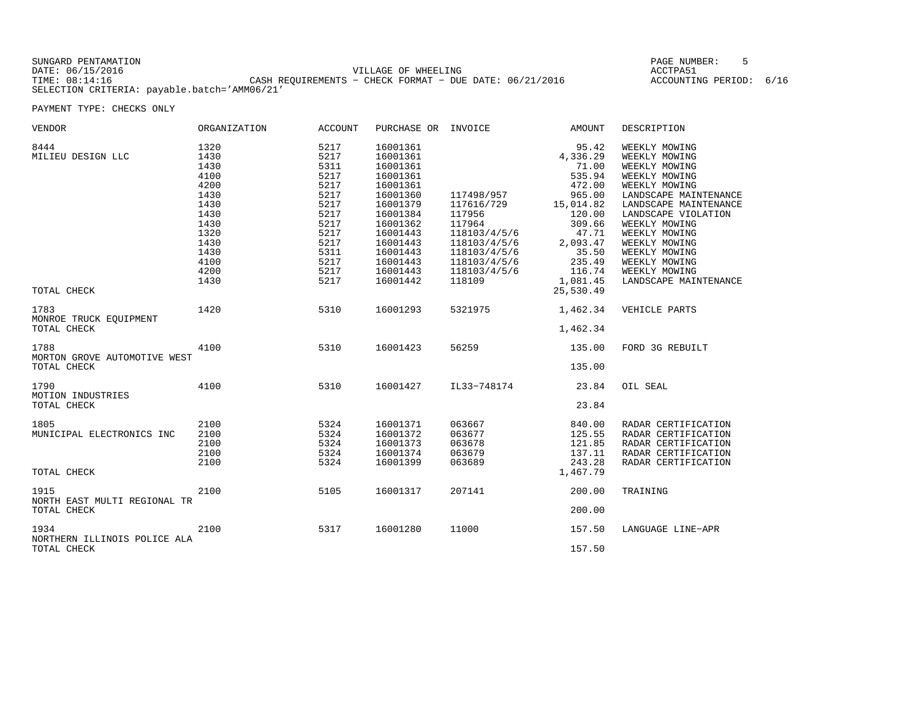| SUNGARD PENTAMATION                          |                                                         | PAGE NUMBER:            |  |
|----------------------------------------------|---------------------------------------------------------|-------------------------|--|
| DATE: 06/15/2016                             | VILLAGE OF WHEELING                                     | ACCTPA51                |  |
| TIME: 08:14:16                               | CASH REOUIREMENTS - CHECK FORMAT - DUE DATE: 06/21/2016 | ACCOUNTING PERIOD: 6/16 |  |
| SELECTION CRITERIA: payable.batch='AMM06/21' |                                                         |                         |  |

| VENDOR                                              | ORGANIZATION                                                                                                         | ACCOUNT                                                                                                              | PURCHASE OR                                                                                                                                                                      | INVOICE                                                                                                                                | AMOUNT                                                                                                                                                  | DESCRIPTION                                                                                                                                                                                                                                                                               |
|-----------------------------------------------------|----------------------------------------------------------------------------------------------------------------------|----------------------------------------------------------------------------------------------------------------------|----------------------------------------------------------------------------------------------------------------------------------------------------------------------------------|----------------------------------------------------------------------------------------------------------------------------------------|---------------------------------------------------------------------------------------------------------------------------------------------------------|-------------------------------------------------------------------------------------------------------------------------------------------------------------------------------------------------------------------------------------------------------------------------------------------|
| 8444<br>MILIEU DESIGN LLC                           | 1320<br>1430<br>1430<br>4100<br>4200<br>1430<br>1430<br>1430<br>1430<br>1320<br>1430<br>1430<br>4100<br>4200<br>1430 | 5217<br>5217<br>5311<br>5217<br>5217<br>5217<br>5217<br>5217<br>5217<br>5217<br>5217<br>5311<br>5217<br>5217<br>5217 | 16001361<br>16001361<br>16001361<br>16001361<br>16001361<br>16001360<br>16001379<br>16001384<br>16001362<br>16001443<br>16001443<br>16001443<br>16001443<br>16001443<br>16001442 | 117498/957<br>117616/729<br>117956<br>117964<br>118103/4/5/6<br>118103/4/5/6<br>118103/4/5/6<br>118103/4/5/6<br>118103/4/5/6<br>118109 | 95.42<br>4,336.29<br>71.00<br>535.94<br>472.00<br>965.00<br>15,014.82<br>120.00<br>309.66<br>47.71<br>2,093.47<br>35.50<br>235.49<br>116.74<br>1,081.45 | WEEKLY MOWING<br>WEEKLY MOWING<br>WEEKLY MOWING<br>WEEKLY MOWING<br>WEEKLY MOWING<br>LANDSCAPE MAINTENANCE<br>LANDSCAPE MAINTENANCE<br>LANDSCAPE VIOLATION<br>WEEKLY MOWING<br>WEEKLY MOWING<br>WEEKLY MOWING<br>WEEKLY MOWING<br>WEEKLY MOWING<br>WEEKLY MOWING<br>LANDSCAPE MAINTENANCE |
| TOTAL CHECK                                         |                                                                                                                      |                                                                                                                      |                                                                                                                                                                                  |                                                                                                                                        | 25,530.49                                                                                                                                               |                                                                                                                                                                                                                                                                                           |
| 1783<br>MONROE TRUCK EOUIPMENT<br>TOTAL CHECK       | 1420                                                                                                                 | 5310                                                                                                                 | 16001293                                                                                                                                                                         | 5321975                                                                                                                                | 1,462.34<br>1,462.34                                                                                                                                    | VEHICLE PARTS                                                                                                                                                                                                                                                                             |
| 1788<br>MORTON GROVE AUTOMOTIVE WEST<br>TOTAL CHECK | 4100                                                                                                                 | 5310                                                                                                                 | 16001423                                                                                                                                                                         | 56259                                                                                                                                  | 135.00<br>135.00                                                                                                                                        | FORD 3G REBUILT                                                                                                                                                                                                                                                                           |
| 1790<br>MOTION INDUSTRIES<br>TOTAL CHECK            | 4100                                                                                                                 | 5310                                                                                                                 | 16001427                                                                                                                                                                         | IL33-748174                                                                                                                            | 23.84<br>23.84                                                                                                                                          | OIL SEAL                                                                                                                                                                                                                                                                                  |
| 1805<br>MUNICIPAL ELECTRONICS INC                   | 2100<br>2100<br>2100<br>2100<br>2100                                                                                 | 5324<br>5324<br>5324<br>5324<br>5324                                                                                 | 16001371<br>16001372<br>16001373<br>16001374<br>16001399                                                                                                                         | 063667<br>063677<br>063678<br>063679<br>063689                                                                                         | 840.00<br>125.55<br>121.85<br>137.11<br>243.28                                                                                                          | RADAR CERTIFICATION<br>RADAR CERTIFICATION<br>RADAR CERTIFICATION<br>RADAR CERTIFICATION<br>RADAR CERTIFICATION                                                                                                                                                                           |
| TOTAL CHECK                                         |                                                                                                                      |                                                                                                                      |                                                                                                                                                                                  |                                                                                                                                        | 1,467.79                                                                                                                                                |                                                                                                                                                                                                                                                                                           |
| 1915<br>NORTH EAST MULTI REGIONAL TR<br>TOTAL CHECK | 2100                                                                                                                 | 5105                                                                                                                 | 16001317                                                                                                                                                                         | 207141                                                                                                                                 | 200.00<br>200.00                                                                                                                                        | TRAINING                                                                                                                                                                                                                                                                                  |
| 1934<br>NORTHERN ILLINOIS POLICE ALA<br>TOTAL CHECK | 2100                                                                                                                 | 5317                                                                                                                 | 16001280                                                                                                                                                                         | 11000                                                                                                                                  | 157.50<br>157.50                                                                                                                                        | LANGUAGE LINE-APR                                                                                                                                                                                                                                                                         |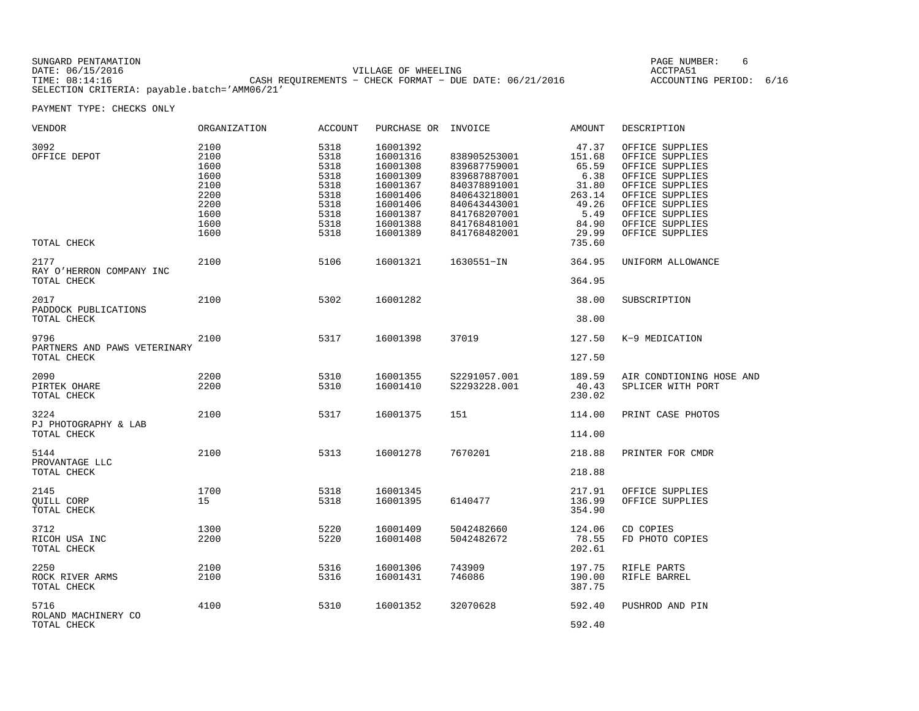| SUNGARD PENTAMATION                          |                                                         | PAGE NUMBER:            |  |
|----------------------------------------------|---------------------------------------------------------|-------------------------|--|
| DATE: 06/15/2016                             | VILLAGE OF WHEELING                                     | ACCTPA51                |  |
| TIME: 08:14:16                               | CASH REQUIREMENTS - CHECK FORMAT - DUE DATE: 06/21/2016 | ACCOUNTING PERIOD: 6/16 |  |
| SELECTION CRITERIA: payable.batch='AMM06/21' |                                                         |                         |  |

| VENDOR                                              | ORGANIZATION                                                                 | ACCOUNT                                                                      | PURCHASE OR                                                                                                          | INVOICE                                                                                                                                      | AMOUNT                                                                                           | DESCRIPTION                                                                                                                                                                                |
|-----------------------------------------------------|------------------------------------------------------------------------------|------------------------------------------------------------------------------|----------------------------------------------------------------------------------------------------------------------|----------------------------------------------------------------------------------------------------------------------------------------------|--------------------------------------------------------------------------------------------------|--------------------------------------------------------------------------------------------------------------------------------------------------------------------------------------------|
| 3092<br>OFFICE DEPOT<br>TOTAL CHECK                 | 2100<br>2100<br>1600<br>1600<br>2100<br>2200<br>2200<br>1600<br>1600<br>1600 | 5318<br>5318<br>5318<br>5318<br>5318<br>5318<br>5318<br>5318<br>5318<br>5318 | 16001392<br>16001316<br>16001308<br>16001309<br>16001367<br>16001406<br>16001406<br>16001387<br>16001388<br>16001389 | 838905253001<br>839687759001<br>839687887001<br>840378891001<br>840643218001<br>840643443001<br>841768207001<br>841768481001<br>841768482001 | 47.37<br>151.68<br>65.59<br>6.38<br>31.80<br>263.14<br>49.26<br>5.49<br>84.90<br>29.99<br>735.60 | OFFICE SUPPLIES<br>OFFICE SUPPLIES<br>OFFICE SUPPLIES<br>OFFICE SUPPLIES<br>OFFICE SUPPLIES<br>OFFICE SUPPLIES<br>OFFICE SUPPLIES<br>OFFICE SUPPLIES<br>OFFICE SUPPLIES<br>OFFICE SUPPLIES |
| 2177<br>RAY O'HERRON COMPANY INC                    | 2100                                                                         | 5106                                                                         | 16001321                                                                                                             | 1630551-IN                                                                                                                                   | 364.95                                                                                           | UNIFORM ALLOWANCE                                                                                                                                                                          |
| TOTAL CHECK                                         |                                                                              |                                                                              |                                                                                                                      |                                                                                                                                              | 364.95                                                                                           |                                                                                                                                                                                            |
| 2017<br>PADDOCK PUBLICATIONS                        | 2100                                                                         | 5302                                                                         | 16001282                                                                                                             |                                                                                                                                              | 38.00                                                                                            | SUBSCRIPTION                                                                                                                                                                               |
| TOTAL CHECK                                         |                                                                              |                                                                              |                                                                                                                      |                                                                                                                                              | 38.00                                                                                            |                                                                                                                                                                                            |
| 9796<br>PARTNERS AND PAWS VETERINARY<br>TOTAL CHECK | 2100                                                                         | 5317                                                                         | 16001398                                                                                                             | 37019                                                                                                                                        | 127.50<br>127.50                                                                                 | K-9 MEDICATION                                                                                                                                                                             |
|                                                     |                                                                              |                                                                              |                                                                                                                      |                                                                                                                                              |                                                                                                  |                                                                                                                                                                                            |
| 2090<br>PIRTEK OHARE<br>TOTAL CHECK                 | 2200<br>2200                                                                 | 5310<br>5310                                                                 | 16001355<br>16001410                                                                                                 | S2291057.001<br>S2293228.001                                                                                                                 | 189.59<br>40.43<br>230.02                                                                        | AIR CONDTIONING HOSE AND<br>SPLICER WITH PORT                                                                                                                                              |
| 3224<br>PJ PHOTOGRAPHY & LAB<br>TOTAL CHECK         | 2100                                                                         | 5317                                                                         | 16001375                                                                                                             | 151                                                                                                                                          | 114.00<br>114.00                                                                                 | PRINT CASE PHOTOS                                                                                                                                                                          |
|                                                     |                                                                              |                                                                              |                                                                                                                      |                                                                                                                                              |                                                                                                  |                                                                                                                                                                                            |
| 5144<br>PROVANTAGE LLC                              | 2100                                                                         | 5313                                                                         | 16001278                                                                                                             | 7670201                                                                                                                                      | 218.88                                                                                           | PRINTER FOR CMDR                                                                                                                                                                           |
| TOTAL CHECK                                         |                                                                              |                                                                              |                                                                                                                      |                                                                                                                                              | 218.88                                                                                           |                                                                                                                                                                                            |
| 2145<br>OUILL CORP<br>TOTAL CHECK                   | 1700<br>15                                                                   | 5318<br>5318                                                                 | 16001345<br>16001395                                                                                                 | 6140477                                                                                                                                      | 217.91<br>136.99<br>354.90                                                                       | OFFICE SUPPLIES<br>OFFICE SUPPLIES                                                                                                                                                         |
| 3712<br>RICOH USA INC<br>TOTAL CHECK                | 1300<br>2200                                                                 | 5220<br>5220                                                                 | 16001409<br>16001408                                                                                                 | 5042482660<br>5042482672                                                                                                                     | 124.06<br>78.55<br>202.61                                                                        | CD COPIES<br>FD PHOTO COPIES                                                                                                                                                               |
| 2250<br>ROCK RIVER ARMS<br>TOTAL CHECK              | 2100<br>2100                                                                 | 5316<br>5316                                                                 | 16001306<br>16001431                                                                                                 | 743909<br>746086                                                                                                                             | 197.75<br>190.00<br>387.75                                                                       | RIFLE PARTS<br>RIFLE BARREL                                                                                                                                                                |
| 5716<br>ROLAND MACHINERY CO<br>TOTAL CHECK          | 4100                                                                         | 5310                                                                         | 16001352                                                                                                             | 32070628                                                                                                                                     | 592.40<br>592.40                                                                                 | PUSHROD AND PIN                                                                                                                                                                            |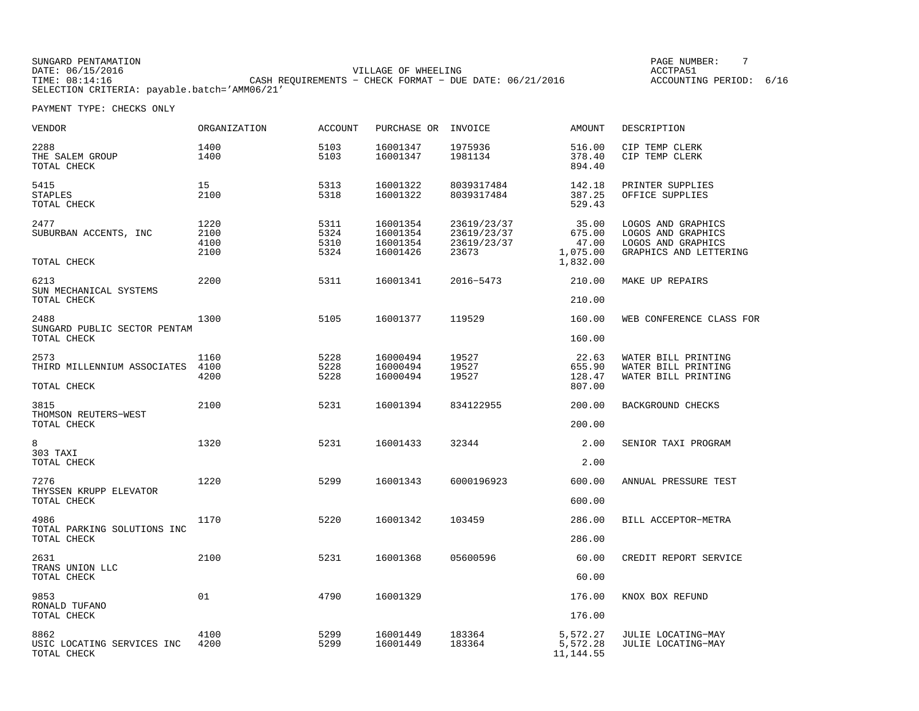SUNGARD PENTAMATION PAGE NUMBER: 7DATE: 06/15/2016 VILLAGE OF WHEELING ACCTPA51ACCOUNTING PERIOD: 6/16 TIME: 08:14:16 CASH REQUIREMENTS − CHECK FORMAT − DUE DATE: 06/21/2016 SELECTION CRITERIA: payable.batch='AMM06/21'

| VENDOR                                             | ORGANIZATION                 | <b>ACCOUNT</b>               | PURCHASE OR                                  | INVOICE                                            | AMOUNT                                           | DESCRIPTION                                                                              |
|----------------------------------------------------|------------------------------|------------------------------|----------------------------------------------|----------------------------------------------------|--------------------------------------------------|------------------------------------------------------------------------------------------|
| 2288<br>THE SALEM GROUP<br>TOTAL CHECK             | 1400<br>1400                 | 5103<br>5103                 | 16001347<br>16001347                         | 1975936<br>1981134                                 | 516.00<br>378.40<br>894.40                       | CIP TEMP CLERK<br>CIP TEMP CLERK                                                         |
| 5415<br><b>STAPLES</b><br>TOTAL CHECK              | 15<br>2100                   | 5313<br>5318                 | 16001322<br>16001322                         | 8039317484<br>8039317484                           | 142.18<br>387.25<br>529.43                       | PRINTER SUPPLIES<br>OFFICE SUPPLIES                                                      |
| 2477<br>SUBURBAN ACCENTS, INC<br>TOTAL CHECK       | 1220<br>2100<br>4100<br>2100 | 5311<br>5324<br>5310<br>5324 | 16001354<br>16001354<br>16001354<br>16001426 | 23619/23/37<br>23619/23/37<br>23619/23/37<br>23673 | 35.00<br>675.00<br>47.00<br>1,075.00<br>1,832.00 | LOGOS AND GRAPHICS<br>LOGOS AND GRAPHICS<br>LOGOS AND GRAPHICS<br>GRAPHICS AND LETTERING |
| 6213<br>SUN MECHANICAL SYSTEMS                     | 2200                         | 5311                         | 16001341                                     | 2016-5473                                          | 210.00                                           | MAKE UP REPAIRS                                                                          |
| TOTAL CHECK                                        |                              |                              |                                              |                                                    | 210.00                                           |                                                                                          |
| 2488<br>SUNGARD PUBLIC SECTOR PENTAM               | 1300                         | 5105                         | 16001377                                     | 119529                                             | 160.00                                           | WEB CONFERENCE CLASS FOR                                                                 |
| TOTAL CHECK                                        |                              |                              |                                              |                                                    | 160.00                                           |                                                                                          |
| 2573<br>THIRD MILLENNIUM ASSOCIATES<br>TOTAL CHECK | 1160<br>4100<br>4200         | 5228<br>5228<br>5228         | 16000494<br>16000494<br>16000494             | 19527<br>19527<br>19527                            | 22.63<br>655.90<br>128.47<br>807.00              | WATER BILL PRINTING<br>WATER BILL PRINTING<br>WATER BILL PRINTING                        |
| 3815<br>THOMSON REUTERS-WEST                       | 2100                         | 5231                         | 16001394                                     | 834122955                                          | 200.00                                           | BACKGROUND CHECKS                                                                        |
| TOTAL CHECK                                        |                              |                              |                                              |                                                    | 200.00                                           |                                                                                          |
| 8<br>303 TAXI<br>TOTAL CHECK                       | 1320                         | 5231                         | 16001433                                     | 32344                                              | 2.00<br>2.00                                     | SENIOR TAXI PROGRAM                                                                      |
| 7276                                               | 1220                         | 5299                         | 16001343                                     | 6000196923                                         | 600.00                                           | ANNUAL PRESSURE TEST                                                                     |
| THYSSEN KRUPP ELEVATOR<br>TOTAL CHECK              |                              |                              |                                              |                                                    | 600.00                                           |                                                                                          |
| 4986                                               | 1170                         | 5220                         | 16001342                                     | 103459                                             | 286.00                                           | BILL ACCEPTOR-METRA                                                                      |
| TOTAL PARKING SOLUTIONS INC<br>TOTAL CHECK         |                              |                              |                                              |                                                    | 286.00                                           |                                                                                          |
| 2631                                               | 2100                         | 5231                         | 16001368                                     | 05600596                                           | 60.00                                            | CREDIT REPORT SERVICE                                                                    |
| TRANS UNION LLC<br>TOTAL CHECK                     |                              |                              |                                              |                                                    | 60.00                                            |                                                                                          |
| 9853<br>RONALD TUFANO                              | 01                           | 4790                         | 16001329                                     |                                                    | 176.00                                           | KNOX BOX REFUND                                                                          |
| TOTAL CHECK                                        |                              |                              |                                              |                                                    | 176.00                                           |                                                                                          |
| 8862<br>USIC LOCATING SERVICES INC<br>TOTAL CHECK  | 4100<br>4200                 | 5299<br>5299                 | 16001449<br>16001449                         | 183364<br>183364                                   | 5,572.27<br>5,572.28<br>11, 144.55               | JULIE LOCATING-MAY<br>JULIE LOCATING-MAY                                                 |